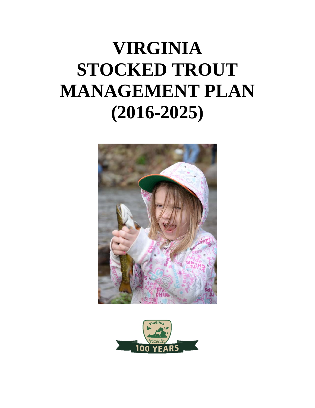# **VIRGINIA STOCKED TROUT MANAGEMENT PLAN (2016-2025)**



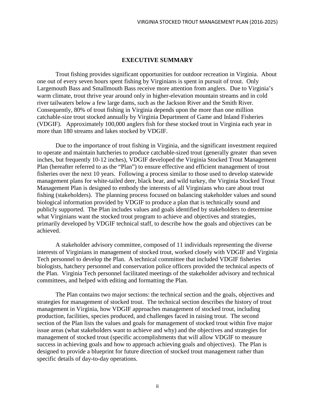#### **EXECUTIVE SUMMARY**

<span id="page-1-0"></span>Trout fishing provides significant opportunities for outdoor recreation in Virginia. About one out of every seven hours spent fishing by Virginians is spent in pursuit of trout. Only Largemouth Bass and Smallmouth Bass receive more attention from anglers. Due to Virginia's warm climate, trout thrive year around only in higher-elevation mountain streams and in cold river tailwaters below a few large dams, such as the Jackson River and the Smith River. Consequently, 80% of trout fishing in Virginia depends upon the more than one million catchable-size trout stocked annually by Virginia Department of Game and Inland Fisheries (VDGIF). Approximately 100,000 anglers fish for these stocked trout in Virginia each year in more than 180 streams and lakes stocked by VDGIF.

Due to the importance of trout fishing in Virginia, and the significant investment required to operate and maintain hatcheries to produce catchable-sized trout (generally greater than seven inches, but frequently 10-12 inches), VDGIF developed the Virginia Stocked Trout Management Plan (hereafter referred to as the "Plan") to ensure effective and efficient management of trout fisheries over the next 10 years. Following a process similar to those used to develop statewide management plans for white-tailed deer, black bear, and wild turkey, the Virginia Stocked Trout Management Plan is designed to embody the interests of all Virginians who care about trout fishing (stakeholders). The planning process focused on balancing stakeholder values and sound biological information provided by VDGIF to produce a plan that is technically sound and publicly supported. The Plan includes values and goals identified by stakeholders to determine what Virginians want the stocked trout program to achieve and objectives and strategies, primarily developed by VDGIF technical staff, to describe how the goals and objectives can be achieved.

A stakeholder advisory committee, composed of 11 individuals representing the diverse interests of Virginians in management of stocked trout, worked closely with VDGIF and Virginia Tech personnel to develop the Plan. A technical committee that included VDGIF fisheries biologists, hatchery personnel and conservation police officers provided the technical aspects of the Plan. Virginia Tech personnel facilitated meetings of the stakeholder advisory and technical committees, and helped with editing and formatting the Plan.

The Plan contains two major sections: the technical section and the goals, objectives and strategies for management of stocked trout. The technical section describes the history of trout management in Virginia, how VDGIF approaches management of stocked trout, including production, facilities, species produced, and challenges faced in raising trout. The second section of the Plan lists the values and goals for management of stocked trout within five major issue areas (what stakeholders want to achieve and why) and the objectives and strategies for management of stocked trout (specific accomplishments that will allow VDGIF to measure success in achieving goals and how to approach achieving goals and objectives). The Plan is designed to provide a blueprint for future direction of stocked trout management rather than specific details of day-to-day operations.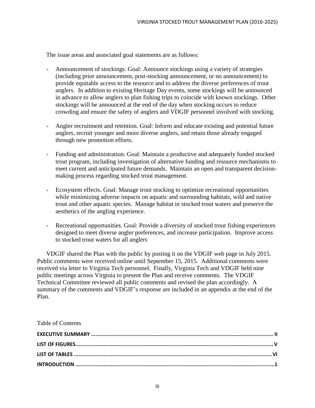The issue areas and associated goal statements are as follows:

- Announcement of stockings. Goal: Announce stockings using a variety of strategies (including prior announcement, post-stocking announcement, or no announcement) to provide equitable access to the resource and to address the diverse preferences of trout anglers. In addition to existing Heritage Day events, some stockings will be announced in advance to allow anglers to plan fishing trips to coincide with known stockings. Other stockings will be announced at the end of the day when stocking occurs to reduce crowding and ensure the safety of anglers and VDGIF personnel involved with stocking.
- Angler recruitment and retention. Goal: Inform and educate existing and potential future anglers, recruit younger and more diverse anglers, and retain those already engaged through new promotion efforts.
- Funding and administration. Goal: Maintain a productive and adequately funded stocked trout program, including investigation of alternative funding and resource mechanisms to meet current and anticipated future demands. Maintain an open and transparent decisionmaking process regarding stocked trout management.
- Ecosystem effects. Goal: Manage trout stocking to optimize recreational opportunities while minimizing adverse impacts on aquatic and surrounding habitats, wild and native trout and other aquatic species. Manage habitat in stocked trout waters and preserve the aesthetics of the angling experience.
- Recreational opportunities. Goal: Provide a diversity of stocked trout fishing experiences designed to meet diverse angler preferences, and increase participation. Improve access to stocked trout waters for all anglers

VDGIF shared the Plan with the public by posting it on the VDGIF web page in July 2015. Public comments were received online until September 15, 2015. Additional comments were received via letter to Virginia Tech personnel. Finally, Virginia Tech and VDGIF held nine public meetings across Virginia to present the Plan and receive comments. The VDGIF Technical Committee reviewed all public comments and revised the plan accordingly. A summary of the comments and VDGIF's response are included in an appendix at the end of the Plan.

#### Table of Contents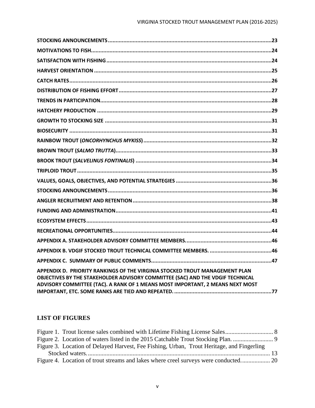| APPENDIX D. PRIORITY RANKINGS OF THE VIRGINIA STOCKED TROUT MANAGEMENT PLAN<br>OBJECTIVES BY THE STAKEHOLDER ADVISORY COMMITTEE (SAC) AND THE VDGIF TECHNICAL<br>ADVISORY COMMITTEE (TAC). A RANK OF 1 MEANS MOST IMPORTANT, 2 MEANS NEXT MOST |
|------------------------------------------------------------------------------------------------------------------------------------------------------------------------------------------------------------------------------------------------|

#### <span id="page-4-0"></span>**LIST OF FIGURES**

| Figure 3. Location of Delayed Harvest, Fee Fishing, Urban, Trout Heritage, and Fingerling |  |
|-------------------------------------------------------------------------------------------|--|
|                                                                                           |  |
|                                                                                           |  |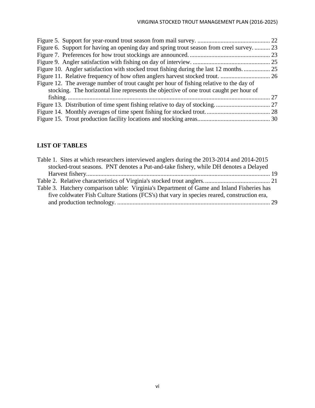| Figure 6. Support for having an opening day and spring trout season from creel survey 23 |    |
|------------------------------------------------------------------------------------------|----|
|                                                                                          |    |
|                                                                                          |    |
| Figure 10. Angler satisfaction with stocked trout fishing during the last 12 months      |    |
|                                                                                          |    |
| Figure 12. The average number of trout caught per hour of fishing relative to the day of |    |
| stocking. The horizontal line represents the objective of one trout caught per hour of   |    |
|                                                                                          | 27 |
|                                                                                          |    |
|                                                                                          |    |
|                                                                                          |    |

### <span id="page-5-0"></span>**LIST OF TABLES**

| Table 1. Sites at which researchers interviewed anglers during the 2013-2014 and 2014-2015  |  |
|---------------------------------------------------------------------------------------------|--|
| stocked-trout seasons. PNT denotes a Put-and-take fishery, while DH denotes a Delayed       |  |
|                                                                                             |  |
|                                                                                             |  |
| Table 3. Hatchery comparison table: Virginia's Department of Game and Inland Fisheries has  |  |
| five coldwater Fish Culture Stations (FCS's) that vary in species reared, construction era, |  |
|                                                                                             |  |
|                                                                                             |  |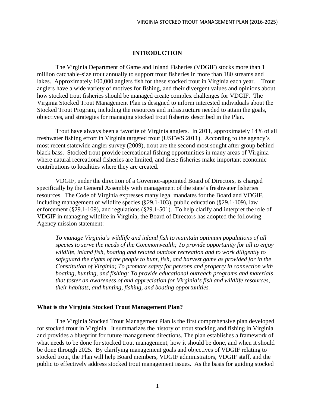#### **INTRODUCTION**

<span id="page-6-0"></span>The Virginia Department of Game and Inland Fisheries (VDGIF) stocks more than 1 million catchable-size trout annually to support trout fisheries in more than 180 streams and lakes. Approximately 100,000 anglers fish for these stocked trout in Virginia each year. Trout anglers have a wide variety of motives for fishing, and their divergent values and opinions about how stocked trout fisheries should be managed create complex challenges for VDGIF. The Virginia Stocked Trout Management Plan is designed to inform interested individuals about the Stocked Trout Program, including the resources and infrastructure needed to attain the goals, objectives, and strategies for managing stocked trout fisheries described in the Plan.

Trout have always been a favorite of Virginia anglers. In 2011, approximately 14% of all freshwater fishing effort in Virginia targeted trout (USFWS 2011). According to the agency's most recent statewide angler survey (2009), trout are the second most sought after group behind black bass. Stocked trout provide recreational fishing opportunities in many areas of Virginia where natural recreational fisheries are limited, and these fisheries make important economic contributions to localities where they are created.

VDGIF, under the direction of a Governor-appointed Board of Directors, is charged specifically by the General Assembly with management of the state's freshwater fisheries resources. The Code of Virginia expresses many legal mandates for the Board and VDGIF, including management of wildlife species (§29.1-103), public education (§29.1-109), law enforcement (§29.1-109), and regulations (§29.1-501). To help clarify and interpret the role of VDGIF in managing wildlife in Virginia, the Board of Directors has adopted the following Agency mission statement:

*To manage Virginia's wildlife and inland fish to maintain optimum populations of all species to serve the needs of the Commonwealth; To provide opportunity for all to enjoy wildlife, inland fish, boating and related outdoor recreation and to work diligently to safeguard the rights of the people to hunt, fish, and harvest game as provided for in the Constitution of Virginia; To promote safety for persons and property in connection with boating, hunting, and fishing; To provide educational outreach programs and materials that foster an awareness of and appreciation for Virginia's fish and wildlife resources, their habitats, and hunting, fishing, and boating opportunities.*

#### <span id="page-6-1"></span>**What is the Virginia Stocked Trout Management Plan?**

The Virginia Stocked Trout Management Plan is the first comprehensive plan developed for stocked trout in Virginia. It summarizes the history of trout stocking and fishing in Virginia and provides a blueprint for future management directions. The plan establishes a framework of what needs to be done for stocked trout management, how it should be done, and when it should be done through 2025. By clarifying management goals and objectives of VDGIF relating to stocked trout, the Plan will help Board members, VDGIF administrators, VDGIF staff, and the public to effectively address stocked trout management issues. As the basis for guiding stocked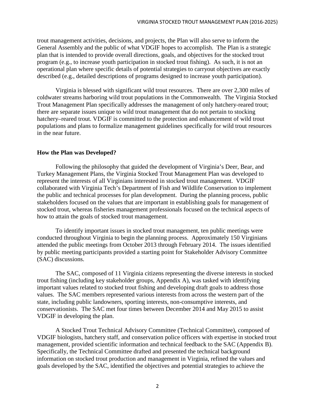trout management activities, decisions, and projects, the Plan will also serve to inform the General Assembly and the public of what VDGIF hopes to accomplish. The Plan is a strategic plan that is intended to provide overall directions, goals, and objectives for the stocked trout program (e.g., to increase youth participation in stocked trout fishing). As such, it is not an operational plan where specific details of potential strategies to carryout objectives are exactly described (e.g., detailed descriptions of programs designed to increase youth participation).

Virginia is blessed with significant wild trout resources. There are over 2,300 miles of coldwater streams harboring wild trout populations in the Commonwealth. The Virginia Stocked Trout Management Plan specifically addresses the management of only hatchery-reared trout; there are separate issues unique to wild trout management that do not pertain to stocking hatchery–reared trout. VDGIF is committed to the protection and enhancement of wild trout populations and plans to formalize management guidelines specifically for wild trout resources in the near future.

#### <span id="page-7-0"></span>**How the Plan was Developed?**

Following the philosophy that guided the development of Virginia's Deer, Bear, and Turkey Management Plans, the Virginia Stocked Trout Management Plan was developed to represent the interests of all Virginians interested in stocked trout management. VDGIF collaborated with Virginia Tech's Department of Fish and Wildlife Conservation to implement the public and technical processes for plan development. During the planning process, public stakeholders focused on the values that are important in establishing goals for management of stocked trout, whereas fisheries management professionals focused on the technical aspects of how to attain the goals of stocked trout management.

To identify important issues in stocked trout management, ten public meetings were conducted throughout Virginia to begin the planning process. Approximately 150 Virginians attended the public meetings from October 2013 through February 2014. The issues identified by public meeting participants provided a starting point for Stakeholder Advisory Committee (SAC) discussions.

The SAC, composed of 11 Virginia citizens representing the diverse interests in stocked trout fishing (including key stakeholder groups, Appendix A), was tasked with identifying important values related to stocked trout fishing and developing draft goals to address those values. The SAC members represented various interests from across the western part of the state, including public landowners, sporting interests, non-consumptive interests, and conservationists. The SAC met four times between December 2014 and May 2015 to assist VDGIF in developing the plan.

A Stocked Trout Technical Advisory Committee (Technical Committee), composed of VDGIF biologists, hatchery staff, and conservation police officers with expertise in stocked trout management, provided scientific information and technical feedback to the SAC (Appendix B). Specifically, the Technical Committee drafted and presented the technical background information on stocked trout production and management in Virginia, refined the values and goals developed by the SAC, identified the objectives and potential strategies to achieve the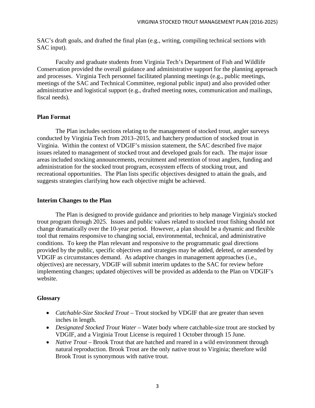SAC's draft goals, and drafted the final plan (e.g., writing, compiling technical sections with SAC input).

Faculty and graduate students from Virginia Tech's Department of Fish and Wildlife Conservation provided the overall guidance and administrative support for the planning approach and processes. Virginia Tech personnel facilitated planning meetings (e.g., public meetings, meetings of the SAC and Technical Committee, regional public input) and also provided other administrative and logistical support (e.g., drafted meeting notes, communication and mailings, fiscal needs).

#### <span id="page-8-0"></span>**Plan Format**

The Plan includes sections relating to the management of stocked trout, angler surveys conducted by Virginia Tech from 2013–2015, and hatchery production of stocked trout in Virginia. Within the context of VDGIF's mission statement, the SAC described five major issues related to management of stocked trout and developed goals for each. The major issue areas included stocking announcements, recruitment and retention of trout anglers, funding and administration for the stocked trout program, ecosystem effects of stocking trout, and recreational opportunities. The Plan lists specific objectives designed to attain the goals, and suggests strategies clarifying how each objective might be achieved.

#### <span id="page-8-1"></span>**Interim Changes to the Plan**

The Plan is designed to provide guidance and priorities to help manage Virginia's stocked trout program through 2025. Issues and public values related to stocked trout fishing should not change dramatically over the 10-year period. However, a plan should be a dynamic and flexible tool that remains responsive to changing social, environmental, technical, and administrative conditions. To keep the Plan relevant and responsive to the programmatic goal directions provided by the public, specific objectives and strategies may be added, deleted, or amended by VDGIF as circumstances demand. As adaptive changes in management approaches (i.e., objectives) are necessary, VDGIF will submit interim updates to the SAC for review before implementing changes; updated objectives will be provided as addenda to the Plan on VDGIF's website.

#### <span id="page-8-2"></span>**Glossary**

- *Catchable-Size Stocked Trout* Trout stocked by VDGIF that are greater than seven inches in length.
- *Designated Stocked Trout Water* Water body where catchable-size trout are stocked by VDGIF, and a Virginia Trout License is required 1 October through 15 June.
- *Native Trout* Brook Trout that are hatched and reared in a wild environment through natural reproduction. Brook Trout are the only native trout to Virginia; therefore wild Brook Trout is synonymous with native trout.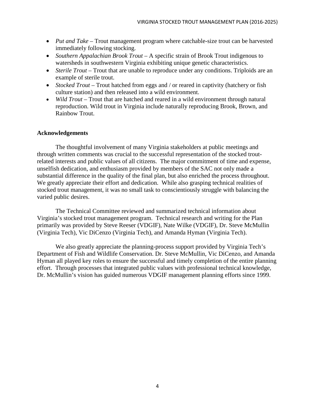- *Put and Take* Trout management program where catchable-size trout can be harvested immediately following stocking.
- *Southern Appalachian Brook Trout* A specific strain of Brook Trout indigenous to watersheds in southwestern Virginia exhibiting unique genetic characteristics.
- *Sterile Trout* Trout that are unable to reproduce under any conditions. Triploids are an example of sterile trout.
- *Stocked Trout* Trout hatched from eggs and / or reared in captivity (hatchery or fish culture station) and then released into a wild environment.
- *Wild Trout* Trout that are hatched and reared in a wild environment through natural reproduction. Wild trout in Virginia include naturally reproducing Brook, Brown, and Rainbow Trout.

#### <span id="page-9-0"></span>**Acknowledgements**

The thoughtful involvement of many Virginia stakeholders at public meetings and through written comments was crucial to the successful representation of the stocked troutrelated interests and public values of all citizens. The major commitment of time and expense, unselfish dedication, and enthusiasm provided by members of the SAC not only made a substantial difference in the quality of the final plan, but also enriched the process throughout. We greatly appreciate their effort and dedication. While also grasping technical realities of stocked trout management, it was no small task to conscientiously struggle with balancing the varied public desires.

The Technical Committee reviewed and summarized technical information about Virginia's stocked trout management program. Technical research and writing for the Plan primarily was provided by Steve Reeser (VDGIF), Nate Wilke (VDGIF), Dr. Steve McMullin (Virginia Tech), Vic DiCenzo (Virginia Tech), and Amanda Hyman (Virginia Tech).

We also greatly appreciate the planning-process support provided by Virginia Tech's Department of Fish and Wildlife Conservation. Dr. Steve McMullin, Vic DiCenzo, and Amanda Hyman all played key roles to ensure the successful and timely completion of the entire planning effort. Through processes that integrated public values with professional technical knowledge, Dr. McMullin's vision has guided numerous VDGIF management planning efforts since 1999.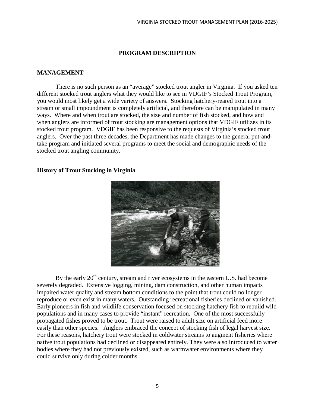#### **PROGRAM DESCRIPTION**

#### <span id="page-10-1"></span><span id="page-10-0"></span>**MANAGEMENT**

There is no such person as an "average" stocked trout angler in Virginia. If you asked ten different stocked trout anglers what they would like to see in VDGIF's Stocked Trout Program, you would most likely get a wide variety of answers. Stocking hatchery-reared trout into a stream or small impoundment is completely artificial, and therefore can be manipulated in many ways. Where and when trout are stocked, the size and number of fish stocked, and how and when anglers are informed of trout stocking are management options that VDGIF utilizes in its stocked trout program. VDGIF has been responsive to the requests of Virginia's stocked trout anglers. Over the past three decades, the Department has made changes to the general put-andtake program and initiated several programs to meet the social and demographic needs of the stocked trout angling community.

#### <span id="page-10-2"></span>**History of Trout Stocking in Virginia**



By the early  $20<sup>th</sup>$  century, stream and river ecosystems in the eastern U.S. had become severely degraded. Extensive logging, mining, dam construction, and other human impacts impaired water quality and stream bottom conditions to the point that trout could no longer reproduce or even exist in many waters. Outstanding recreational fisheries declined or vanished. Early pioneers in fish and wildlife conservation focused on stocking hatchery fish to rebuild wild populations and in many cases to provide "instant" recreation. One of the most successfully propagated fishes proved to be trout. Trout were raised to adult size on artificial feed more easily than other species. Anglers embraced the concept of stocking fish of legal harvest size. For these reasons, hatchery trout were stocked in coldwater streams to augment fisheries where native trout populations had declined or disappeared entirely. They were also introduced to water bodies where they had not previously existed, such as warmwater environments where they could survive only during colder months.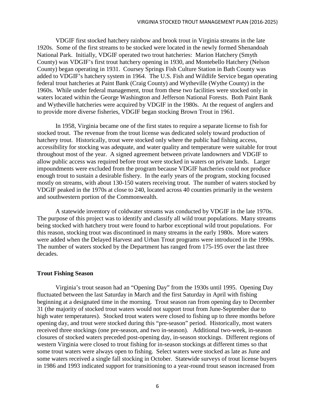VDGIF first stocked hatchery rainbow and brook trout in Virginia streams in the late 1920s. Some of the first streams to be stocked were located in the newly formed Shenandoah National Park. Initially, VDGIF operated two trout hatcheries: Marion Hatchery (Smyth County) was VDGIF's first trout hatchery opening in 1930, and Montebello Hatchery (Nelson County) began operating in 1931. Coursey Springs Fish Culture Station in Bath County was added to VDGIF's hatchery system in 1964. The U.S. Fish and Wildlife Service began operating federal trout hatcheries at Paint Bank (Craig County) and Wytheville (Wythe County) in the 1960s. While under federal management, trout from these two facilities were stocked only in waters located within the George Washington and Jefferson National Forests. Both Paint Bank and Wytheville hatcheries were acquired by VDGIF in the 1980s. At the request of anglers and to provide more diverse fisheries, VDGIF began stocking Brown Trout in 1961.

In 1958, Virginia became one of the first states to require a separate license to fish for stocked trout. The revenue from the trout license was dedicated solely toward production of hatchery trout. Historically, trout were stocked only where the public had fishing access, accessibility for stocking was adequate, and water quality and temperature were suitable for trout throughout most of the year. A signed agreement between private landowners and VDGIF to allow public access was required before trout were stocked in waters on private lands. Larger impoundments were excluded from the program because VDGIF hatcheries could not produce enough trout to sustain a desirable fishery. In the early years of the program, stocking focused mostly on streams, with about 130-150 waters receiving trout. The number of waters stocked by VDGIF peaked in the 1970s at close to 240, located across 40 counties primarily in the western and southwestern portion of the Commonwealth.

A statewide inventory of coldwater streams was conducted by VDGIF in the late 1970s. The purpose of this project was to identify and classify all wild trout populations. Many streams being stocked with hatchery trout were found to harbor exceptional wild trout populations. For this reason, stocking trout was discontinued in many streams in the early 1980s. More waters were added when the Delayed Harvest and Urban Trout programs were introduced in the 1990s. The number of waters stocked by the Department has ranged from 175-195 over the last three decades.

#### <span id="page-11-0"></span>**Trout Fishing Season**

Virginia's trout season had an "Opening Day" from the 1930s until 1995. Opening Day fluctuated between the last Saturday in March and the first Saturday in April with fishing beginning at a designated time in the morning. Trout season ran from opening day to December 31 (the majority of stocked trout waters would not support trout from June-September due to high water temperatures). Stocked trout waters were closed to fishing up to three months before opening day, and trout were stocked during this "pre-season" period. Historically, most waters received three stockings (one pre-season, and two in-season). Additional two-week, in-season closures of stocked waters preceded post-opening day, in-season stockings. Different regions of western Virginia were closed to trout fishing for in-season stockings at different times so that some trout waters were always open to fishing. Select waters were stocked as late as June and some waters received a single fall stocking in October. Statewide surveys of trout license buyers in 1986 and 1993 indicated support for transitioning to a year-round trout season increased from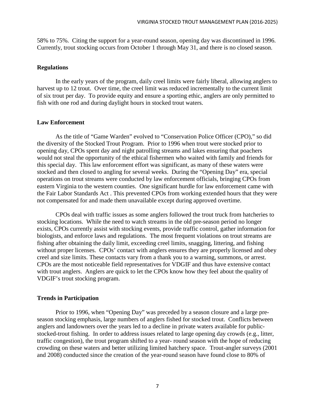58% to 75%. Citing the support for a year-round season, opening day was discontinued in 1996. Currently, trout stocking occurs from October 1 through May 31, and there is no closed season.

#### <span id="page-12-0"></span>**Regulations**

In the early years of the program, daily creel limits were fairly liberal, allowing anglers to harvest up to 12 trout. Over time, the creel limit was reduced incrementally to the current limit of six trout per day. To provide equity and ensure a sporting ethic, anglers are only permitted to fish with one rod and during daylight hours in stocked trout waters.

#### <span id="page-12-1"></span>**Law Enforcement**

As the title of "Game Warden" evolved to "Conservation Police Officer (CPO)," so did the diversity of the Stocked Trout Program. Prior to 1996 when trout were stocked prior to opening day, CPOs spent day and night patrolling streams and lakes ensuring that poachers would not steal the opportunity of the ethical fishermen who waited with family and friends for this special day. This law enforcement effort was significant, as many of these waters were stocked and then closed to angling for several weeks. During the "Opening Day" era, special operations on trout streams were conducted by law enforcement officials, bringing CPOs from eastern Virginia to the western counties. One significant hurdle for law enforcement came with the Fair Labor Standards Act . This prevented CPOs from working extended hours that they were not compensated for and made them unavailable except during approved overtime.

CPOs deal with traffic issues as some anglers followed the trout truck from hatcheries to stocking locations. While the need to watch streams in the old pre-season period no longer exists, CPOs currently assist with stocking events, provide traffic control, gather information for biologists, and enforce laws and regulations. The most frequent violations on trout streams are fishing after obtaining the daily limit, exceeding creel limits, snagging, littering, and fishing without proper licenses. CPOs' contact with anglers ensures they are properly licensed and obey creel and size limits. These contacts vary from a thank you to a warning, summons, or arrest. CPOs are the most noticeable field representatives for VDGIF and thus have extensive contact with trout anglers. Anglers are quick to let the CPOs know how they feel about the quality of VDGIF's trout stocking program.

#### <span id="page-12-2"></span>**Trends in Participation**

Prior to 1996, when "Opening Day" was preceded by a season closure and a large preseason stocking emphasis, large numbers of anglers fished for stocked trout. Conflicts between anglers and landowners over the years led to a decline in private waters available for publicstocked-trout fishing. In order to address issues related to large opening day crowds (e.g., litter, traffic congestion), the trout program shifted to a year- round season with the hope of reducing crowding on these waters and better utilizing limited hatchery space. Trout-angler surveys (2001 and 2008) conducted since the creation of the year-round season have found close to 80% of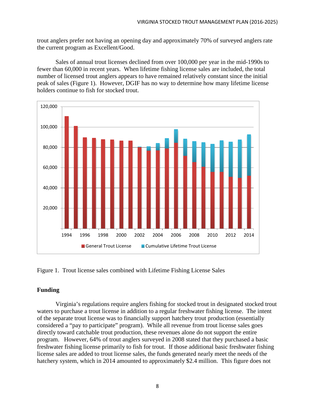trout anglers prefer not having an opening day and approximately 70% of surveyed anglers rate the current program as Excellent/Good.

Sales of annual trout licenses declined from over 100,000 per year in the mid-1990s to fewer than 60,000 in recent years. When lifetime fishing license sales are included, the total number of licensed trout anglers appears to have remained relatively constant since the initial peak of sales (Figure 1). However, DGIF has no way to determine how many lifetime license holders continue to fish for stocked trout.



Figure 1. Trout license sales combined with Lifetime Fishing License Sales

#### <span id="page-13-0"></span>**Funding**

Virginia's regulations require anglers fishing for stocked trout in designated stocked trout waters to purchase a trout license in addition to a regular freshwater fishing license. The intent of the separate trout license was to financially support hatchery trout production (essentially considered a "pay to participate" program). While all revenue from trout license sales goes directly toward catchable trout production, these revenues alone do not support the entire program. However, 64% of trout anglers surveyed in 2008 stated that they purchased a basic freshwater fishing license primarily to fish for trout. If those additional basic freshwater fishing license sales are added to trout license sales, the funds generated nearly meet the needs of the hatchery system, which in 2014 amounted to approximately \$2.4 million. This figure does not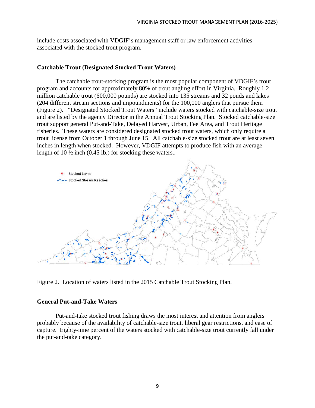include costs associated with VDGIF's management staff or law enforcement activities associated with the stocked trout program.

#### <span id="page-14-0"></span>**Catchable Trout (Designated Stocked Trout Waters)**

The catchable trout-stocking program is the most popular component of VDGIF's trout program and accounts for approximately 80% of trout angling effort in Virginia. Roughly 1.2 million catchable trout (600,000 pounds) are stocked into 135 streams and 32 ponds and lakes (204 different stream sections and impoundments) for the 100,000 anglers that pursue them (Figure 2). "Designated Stocked Trout Waters" include waters stocked with catchable-size trout and are listed by the agency Director in the Annual Trout Stocking Plan. Stocked catchable-size trout support general Put-and-Take, Delayed Harvest, Urban, Fee Area, and Trout Heritage fisheries. These waters are considered designated stocked trout waters, which only require a trout license from October 1 through June 15. All catchable-size stocked trout are at least seven inches in length when stocked. However, VDGIF attempts to produce fish with an average length of 10 ½ inch (0.45 lb.) for stocking these waters..



Figure 2. Location of waters listed in the 2015 Catchable Trout Stocking Plan.

#### <span id="page-14-1"></span>**General Put-and-Take Waters**

Put-and-take stocked trout fishing draws the most interest and attention from anglers probably because of the availability of catchable-size trout, liberal gear restrictions, and ease of capture. Eighty-nine percent of the waters stocked with catchable-size trout currently fall under the put-and-take category.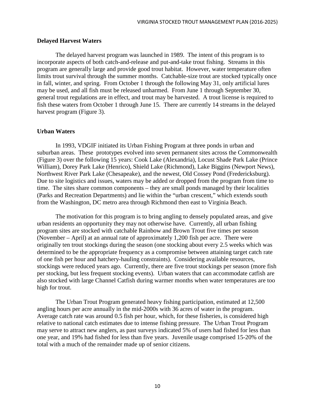#### <span id="page-15-0"></span>**Delayed Harvest Waters**

The delayed harvest program was launched in 1989. The intent of this program is to incorporate aspects of both catch-and-release and put-and-take trout fishing. Streams in this program are generally large and provide good trout habitat. However, water temperature often limits trout survival through the summer months. Catchable-size trout are stocked typically once in fall, winter, and spring. From October 1 through the following May 31, only artificial lures may be used, and all fish must be released unharmed. From June 1 through September 30, general trout regulations are in effect, and trout may be harvested. A trout license is required to fish these waters from October 1 through June 15. There are currently 14 streams in the delayed harvest program (Figure 3).

#### <span id="page-15-1"></span>**Urban Waters**

In 1993, VDGIF initiated its Urban Fishing Program at three ponds in urban and suburban areas. These prototypes evolved into seven permanent sites across the Commonwealth (Figure 3) over the following 15 years: Cook Lake (Alexandria), Locust Shade Park Lake (Prince William), Dorey Park Lake (Henrico), Shield Lake (Richmond), Lake Biggins (Newport News), Northwest River Park Lake (Chesapeake), and the newest, Old Cossey Pond (Fredericksburg). Due to site logistics and issues, waters may be added or dropped from the program from time to time. The sites share common components – they are small ponds managed by their localities (Parks and Recreation Departments) and lie within the "urban crescent," which extends south from the Washington, DC metro area through Richmond then east to Virginia Beach.

The motivation for this program is to bring angling to densely populated areas, and give urban residents an opportunity they may not otherwise have. Currently, all urban fishing program sites are stocked with catchable Rainbow and Brown Trout five times per season (November – April) at an annual rate of approximately 1,200 fish per acre. There were originally ten trout stockings during the season (one stocking about every 2.5 weeks which was determined to be the appropriate frequency as a compromise between attaining target catch rate of one fish per hour and hatchery-hauling constraints). Considering available resources, stockings were reduced years ago. Currently, there are five trout stockings per season (more fish per stocking, but less frequent stocking events). Urban waters that can accommodate catfish are also stocked with large Channel Catfish during warmer months when water temperatures are too high for trout.

The Urban Trout Program generated heavy fishing participation, estimated at 12,500 angling hours per acre annually in the mid-2000s with 36 acres of water in the program. Average catch rate was around 0.5 fish per hour, which, for these fisheries, is considered high relative to national catch estimates due to intense fishing pressure. The Urban Trout Program may serve to attract new anglers, as past surveys indicated 5% of users had fished for less than one year, and 19% had fished for less than five years. Juvenile usage comprised 15-20% of the total with a much of the remainder made up of senior citizens.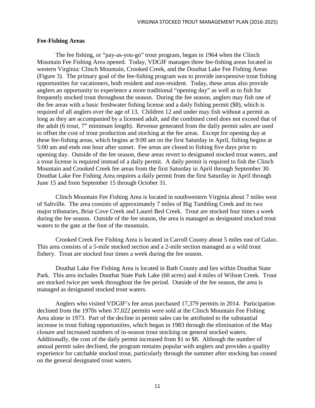#### <span id="page-16-0"></span>**Fee-Fishing Areas**

The fee fishing, or "pay-as-you-go" trout program, began in 1964 when the Clinch Mountain Fee Fishing Area opened. Today, VDGIF manages three fee-fishing areas located in western Virginia: Clinch Mountain, Crooked Creek, and the Douthat Lake Fee Fishing Areas (Figure 3). The primary goal of the fee-fishing program was to provide inexpensive trout fishing opportunities for vacationers, both resident and non-resident. Today, these areas also provide anglers an opportunity to experience a more traditional "opening day" as well as to fish for frequently stocked trout throughout the season. During the fee season, anglers may fish one of the fee areas with a basic freshwater fishing license and a daily fishing permit (\$8), which is required of all anglers over the age of 13. Children 12 and under may fish without a permit as long as they are accompanied by a licensed adult, and the combined creel does not exceed that of the adult (6 trout, 7" minimum length). Revenue generated from the daily permit sales are used to offset the cost of trout production and stocking at the fee areas. Except for opening day at these fee-fishing areas, which begins at 9:00 am on the first Saturday in April, fishing begins at 5:00 am and ends one hour after sunset. Fee areas are closed to fishing five days prior to opening day. Outside of the fee season, these areas revert to designated stocked trout waters, and a trout license is required instead of a daily permit. A daily permit is required to fish the Clinch Mountain and Crooked Creek fee areas from the first Saturday in April through September 30. Douthat Lake Fee Fishing Area requires a daily permit from the first Saturday in April through June 15 and from September 15 through October 31.

Clinch Mountain Fee Fishing Area is located in southwestern Virginia about 7 miles west of Saltville. The area consists of approximately 7 miles of Big Tumbling Creek and its two major tributaries, Briar Cove Creek and Laurel Bed Creek. Trout are stocked four times a week during the fee season. Outside of the fee season, the area is managed as designated stocked trout waters to the gate at the foot of the mountain.

Crooked Creek Fee Fishing Area is located in Carroll County about 5 miles east of Galax. This area consists of a 5-mile stocked section and a 2-mile section managed as a wild trout fishery. Trout are stocked four times a week during the fee season.

Douthat Lake Fee Fishing Area is located in Bath County and lies within Douthat State Park. This area includes Douthat State Park Lake (60 acres) and 4 miles of Wilson Creek. Trout are stocked twice per week throughout the fee period. Outside of the fee season, the area is managed as designated stocked trout waters.

Anglers who visited VDGIF's fee areas purchased 17,379 permits in 2014. Participation declined from the 1970s when 37,022 permits were sold at the Clinch Mountain Fee Fishing Area alone in 1973. Part of the decline in permit sales can be attributed to the substantial increase in trout fishing opportunities, which began in 1983 through the elimination of the May closure and increased numbers of in-season trout stocking on general stocked waters. Additionally, the cost of the daily permit increased from \$1 to \$8. Although the number of annual permit sales declined, the program remains popular with anglers and provides a quality experience for catchable stocked trout, particularly through the summer after stocking has ceased on the general designated trout waters.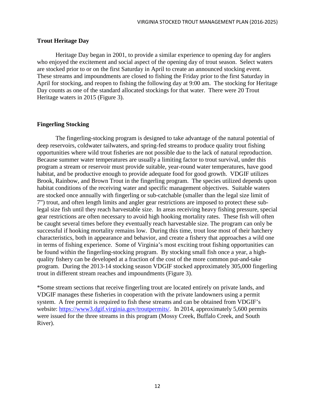#### <span id="page-17-0"></span>**Trout Heritage Day**

Heritage Day began in 2001, to provide a similar experience to opening day for anglers who enjoyed the excitement and social aspect of the opening day of trout season. Select waters are stocked prior to or on the first Saturday in April to create an announced stocking event. These streams and impoundments are closed to fishing the Friday prior to the first Saturday in April for stocking, and reopen to fishing the following day at 9:00 am. The stocking for Heritage Day counts as one of the standard allocated stockings for that water. There were 20 Trout Heritage waters in 2015 (Figure 3).

#### <span id="page-17-1"></span>**Fingerling Stocking**

The fingerling-stocking program is designed to take advantage of the natural potential of deep reservoirs, coldwater tailwaters, and spring-fed streams to produce quality trout fishing opportunities where wild trout fisheries are not possible due to the lack of natural reproduction. Because summer water temperatures are usually a limiting factor to trout survival, under this program a stream or reservoir must provide suitable, year-round water temperatures, have good habitat, and be productive enough to provide adequate food for good growth. VDGIF utilizes Brook, Rainbow, and Brown Trout in the fingerling program. The species utilized depends upon habitat conditions of the receiving water and specific management objectives. Suitable waters are stocked once annually with fingerling or sub-catchable (smaller than the legal size limit of 7") trout, and often length limits and angler gear restrictions are imposed to protect these sublegal size fish until they reach harvestable size. In areas receiving heavy fishing pressure, special gear restrictions are often necessary to avoid high hooking mortality rates. These fish will often be caught several times before they eventually reach harvestable size. The program can only be successful if hooking mortality remains low. During this time, trout lose most of their hatchery characteristics, both in appearance and behavior, and create a fishery that approaches a wild one in terms of fishing experience. Some of Virginia's most exciting trout fishing opportunities can be found within the fingerling-stocking program. By stocking small fish once a year, a highquality fishery can be developed at a fraction of the cost of the more common put-and-take program. During the 2013-14 stocking season VDGIF stocked approximately 305,000 fingerling trout in different stream reaches and impoundments (Figure 3).

\*Some stream sections that receive fingerling trout are located entirely on private lands, and VDGIF manages these fisheries in cooperation with the private landowners using a permit system. A free permit is required to fish these streams and can be obtained from VDGIF's website: [https://www3.dgif.virginia.gov/troutpermits/.](https://www3.dgif.virginia.gov/troutpermits/) In 2014, approximately 5,600 permits were issued for the three streams in this program (Mossy Creek, Buffalo Creek, and South River).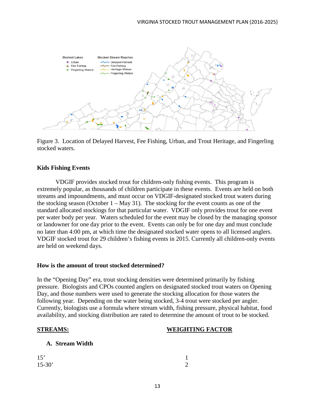

Figure 3. Location of Delayed Harvest, Fee Fishing, Urban, and Trout Heritage, and Fingerling stocked waters.

#### <span id="page-18-0"></span>**Kids Fishing Events**

VDGIF provides stocked trout for children-only fishing events. This program is extremely popular, as thousands of children participate in these events. Events are held on both streams and impoundments, and must occur on VDGIF-designated stocked trout waters during the stocking season (October  $1 - May 31$ ). The stocking for the event counts as one of the standard allocated stockings for that particular water. VDGIF only provides trout for one event per water body per year. Waters scheduled for the event may be closed by the managing sponsor or landowner for one day prior to the event. Events can only be for one day and must conclude no later than 4:00 pm, at which time the designated stocked water opens to all licensed anglers. VDGIF stocked trout for 29 children's fishing events in 2015. Currently all children-only events are held on weekend days.

#### <span id="page-18-1"></span>**How is the amount of trout stocked determined?**

In the "Opening Day" era, trout stocking densities were determined primarily by fishing pressure. Biologists and CPOs counted anglers on designated stocked trout waters on Opening Day, and those numbers were used to generate the stocking allocation for those waters the following year. Depending on the water being stocked, 3-4 trout were stocked per angler. Currently, biologists use a formula where stream width, fishing pressure, physical habitat, food availability, and stocking distribution are rated to determine the amount of trout to be stocked.

#### **STREAMS: WEIGHTING FACTOR**

| A. Stream Width |  |
|-----------------|--|
|-----------------|--|

| 15'        | $\mathbf{1}$   |
|------------|----------------|
| $15 - 30'$ | $\overline{2}$ |
|            |                |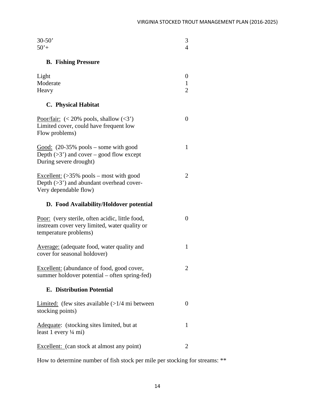| $30 - 50'$<br>$50'+$                                                                                                           | 3<br>4                   |
|--------------------------------------------------------------------------------------------------------------------------------|--------------------------|
| <b>B.</b> Fishing Pressure                                                                                                     |                          |
| Light<br>Moderate<br>Heavy                                                                                                     | 0<br>1<br>$\overline{2}$ |
| <b>C.</b> Physical Habitat                                                                                                     |                          |
| Poor/fair: $(< 20\%$ pools, shallow $(3)$<br>Limited cover, could have frequent low<br>Flow problems)                          | $\theta$                 |
| Good: $(20-35\% \text{ pools} - \text{some with good})$<br>Depth $(>3)$ and cover – good flow except<br>During severe drought) | 1                        |
| Excellent: $($ >35% pools – most with good<br>Depth $(>3)$ and abundant overhead cover-<br>Very dependable flow)               | 2                        |
| D. Food Availability/Holdover potential                                                                                        |                          |
| Poor: (very sterile, often acidic, little food,<br>instream cover very limited, water quality or<br>temperature problems)      | 0                        |
| <b>Average:</b> (adequate food, water quality and<br>cover for seasonal holdover)                                              | 1                        |
| Excellent: (abundance of food, good cover,<br>summer holdover potential – often spring-fed)                                    | 2                        |
| <b>E.</b> Distribution Potential                                                                                               |                          |
|                                                                                                                                |                          |
| Limited: (few sites available $(>1/4$ mi between<br>stocking points)                                                           | $\Omega$                 |
| Adequate: (stocking sites limited, but at<br>least 1 every $\frac{1}{4}$ mi)                                                   | 1                        |

How to determine number of fish stock per mile per stocking for streams: \*\*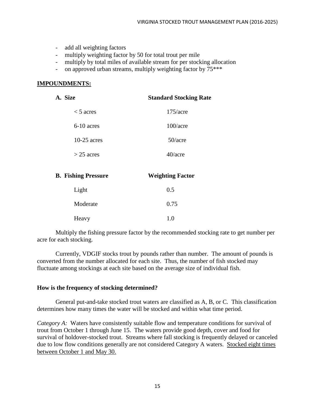- add all weighting factors
- multiply weighting factor by 50 for total trout per mile
- multiply by total miles of available stream for per stocking allocation
- on approved urban streams, multiply weighting factor by  $75***$

#### **IMPOUNDMENTS:**

| A. Size                    | <b>Standard Stocking Rate</b> |
|----------------------------|-------------------------------|
| $<$ 5 acres                | $175/$ acre                   |
| $6-10$ acres               | $100/$ acre                   |
| $10-25$ acres              | $50/$ acre                    |
| $>$ 25 acres               | $40/$ acre                    |
| <b>B.</b> Fishing Pressure | <b>Weighting Factor</b>       |
| Light                      | 0.5                           |
| Moderate                   | 0.75                          |
| Heavy                      | 1.0                           |

Multiply the fishing pressure factor by the recommended stocking rate to get number per acre for each stocking.

Currently, VDGIF stocks trout by pounds rather than number. The amount of pounds is converted from the number allocated for each site. Thus, the number of fish stocked may fluctuate among stockings at each site based on the average size of individual fish.

#### <span id="page-20-0"></span>**How is the frequency of stocking determined?**

General put-and-take stocked trout waters are classified as A, B, or C. This classification determines how many times the water will be stocked and within what time period.

*Category A:* Waters have consistently suitable flow and temperature conditions for survival of trout from October 1 through June 15. The waters provide good depth, cover and food for survival of holdover-stocked trout. Streams where fall stocking is frequently delayed or canceled due to low flow conditions generally are not considered Category A waters. Stocked eight times between October 1 and May 30.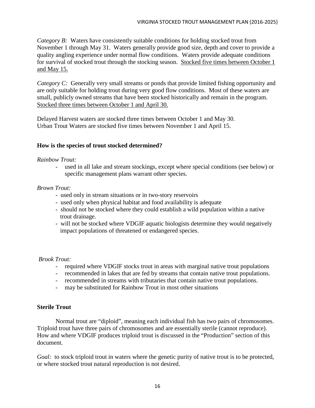*Category B:* Waters have consistently suitable conditions for holding stocked trout from November 1 through May 31. Waters generally provide good size, depth and cover to provide a quality angling experience under normal flow conditions. Waters provide adequate conditions for survival of stocked trout through the stocking season. Stocked five times between October 1 and May 15.

*Category C:* Generally very small streams or ponds that provide limited fishing opportunity and are only suitable for holding trout during very good flow conditions. Most of these waters are small, publicly owned streams that have been stocked historically and remain in the program. Stocked three times between October 1 and April 30.

Delayed Harvest waters are stocked three times between October 1 and May 30. Urban Trout Waters are stocked five times between November 1 and April 15.

#### <span id="page-21-0"></span>**How is the species of trout stocked determined?**

#### *Rainbow Trout:*

- used in all lake and stream stockings, except where special conditions (see below) or specific management plans warrant other species.

#### *Brown Trout:*

- used only in stream situations or in two-story reservoirs
- used only when physical habitat and food availability is adequate
- should not be stocked where they could establish a wild population within a native trout drainage.
- will not be stocked where VDGIF aquatic biologists determine they would negatively impact populations of threatened or endangered species.

#### *Brook Trout:*

- required where VDGIF stocks trout in areas with marginal native trout populations
- recommended in lakes that are fed by streams that contain native trout populations.
- recommended in streams with tributaries that contain native trout populations.
- may be substituted for Rainbow Trout in most other situations

#### <span id="page-21-1"></span>**Sterile Trout**

Normal trout are "diploid", meaning each individual fish has two pairs of chromosomes. Triploid trout have three pairs of chromosomes and are essentially sterile (cannot reproduce). How and where VDGIF produces triploid trout is discussed in the "Production" section of this document.

*Goal:* to stock triploid trout in waters where the genetic purity of native trout is to be protected, or where stocked trout natural reproduction is not desired.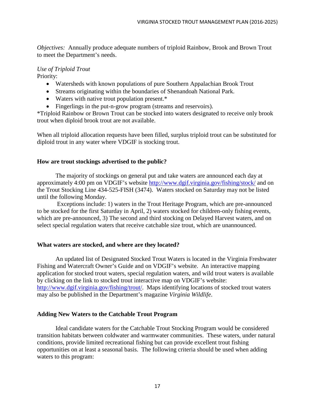*Objectives:* Annually produce adequate numbers of triploid Rainbow, Brook and Brown Trout to meet the Department's needs.

## *Use of Triploid Trout*

Priority:

- Watersheds with known populations of pure Southern Appalachian Brook Trout
- Streams originating within the boundaries of Shenandoah National Park.
- Waters with native trout population present.\*
- Fingerlings in the put-n-grow program (streams and reservoirs).

\*Triploid Rainbow or Brown Trout can be stocked into waters designated to receive only brook trout when diploid brook trout are not available.

When all triploid allocation requests have been filled, surplus triploid trout can be substituted for diploid trout in any water where VDGIF is stocking trout.

#### <span id="page-22-0"></span>**How are trout stockings advertised to the public?**

The majority of stockings on general put and take waters are announced each day at approximately 4:00 pm on VDGIF's website<http://www.dgif.virginia.gov/fishing/stock/> and on the Trout Stocking Line 434-525-FISH (3474). Waters stocked on Saturday may not be listed until the following Monday.

Exceptions include: 1) waters in the Trout Heritage Program, which are pre-announced to be stocked for the first Saturday in April, 2) waters stocked for children-only fishing events, which are pre-announced, 3) The second and third stocking on Delayed Harvest waters, and on select special regulation waters that receive catchable size trout, which are unannounced.

#### <span id="page-22-1"></span>**What waters are stocked, and where are they located?**

An updated list of Designated Stocked Trout Waters is located in the Virginia Freshwater Fishing and Watercraft Owner's Guide and on VDGIF's website. An interactive mapping application for stocked trout waters, special regulation waters, and wild trout waters is available by clicking on the link to stocked trout interactive map on VDGIF's website: [http://www.dgif.virginia.gov/fishing/trout/.](http://www.dgif.virginia.gov/fishing/trout/) Maps identifying locations of stocked trout waters may also be published in the Department's magazine *Virginia Wildlife*.

#### <span id="page-22-2"></span>**Adding New Waters to the Catchable Trout Program**

Ideal candidate waters for the Catchable Trout Stocking Program would be considered transition habitats between coldwater and warmwater communities. These waters, under natural conditions, provide limited recreational fishing but can provide excellent trout fishing opportunities on at least a seasonal basis. The following criteria should be used when adding waters to this program: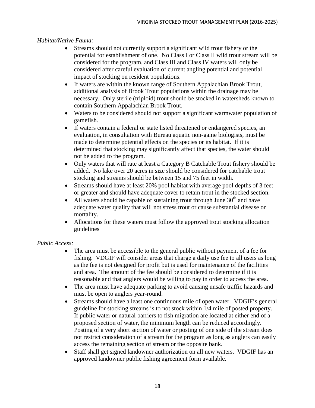#### *Habitat/Native Fauna:*

- Streams should not currently support a significant wild trout fishery or the potential for establishment of one. No Class I or Class II wild trout stream will be considered for the program, and Class III and Class IV waters will only be considered after careful evaluation of current angling potential and potential impact of stocking on resident populations.
- If waters are within the known range of Southern Appalachian Brook Trout, additional analysis of Brook Trout populations within the drainage may be necessary. Only sterile (triploid) trout should be stocked in watersheds known to contain Southern Appalachian Brook Trout.
- Waters to be considered should not support a significant warmwater population of gamefish.
- If waters contain a federal or state listed threatened or endangered species, an evaluation, in consultation with Bureau aquatic non-game biologists, must be made to determine potential effects on the species or its habitat. If it is determined that stocking may significantly affect that species, the water should not be added to the program.
- Only waters that will rate at least a Category B Catchable Trout fishery should be added. No lake over 20 acres in size should be considered for catchable trout stocking and streams should be between 15 and 75 feet in width.
- Streams should have at least 20% pool habitat with average pool depths of 3 feet or greater and should have adequate cover to retain trout in the stocked section.
- All waters should be capable of sustaining trout through June  $30<sup>th</sup>$  and have adequate water quality that will not stress trout or cause substantial disease or mortality.
- Allocations for these waters must follow the approved trout stocking allocation guidelines

#### *Public Access:*

- The area must be accessible to the general public without payment of a fee for fishing. VDGIF will consider areas that charge a daily use fee to all users as long as the fee is not designed for profit but is used for maintenance of the facilities and area. The amount of the fee should be considered to determine if it is reasonable and that anglers would be willing to pay in order to access the area.
- The area must have adequate parking to avoid causing unsafe traffic hazards and must be open to anglers year-round.
- Streams should have a least one continuous mile of open water. VDGIF's general guideline for stocking streams is to not stock within 1/4 mile of posted property. If public water or natural barriers to fish migration are located at either end of a proposed section of water, the minimum length can be reduced accordingly. Posting of a very short section of water or posting of one side of the stream does not restrict consideration of a stream for the program as long as anglers can easily access the remaining section of stream or the opposite bank.
- Staff shall get signed landowner authorization on all new waters. VDGIF has an approved landowner public fishing agreement form available.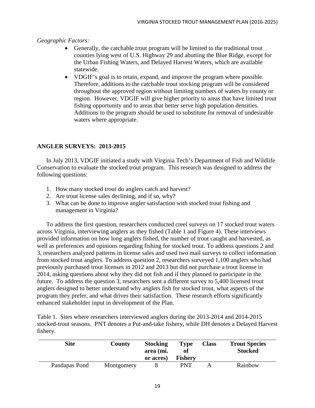*Geographic Factors:*

- Generally, the catchable trout program will be limited to the traditional trout counties lying west of U.S. Highway 29 and abutting the Blue Ridge, except for the Urban Fishing Waters, and Delayed Harvest Waters, which are available statewide.
- VDGIF's goal is to retain, expand, and improve the program where possible. Therefore, additions to the catchable trout stocking program will be considered throughout the approved region without limiting numbers of waters by county or region. However, VDGIF will give higher priority to areas that have limited trout fishing opportunity and to areas that better serve high population densities. Additions to the program should be used to substitute for removal of undesirable waters where appropriate.

#### <span id="page-24-0"></span>**ANGLER SURVEYS: 2013-2015**

In July 2013, VDGIF initiated a study with Virginia Tech's Department of Fish and Wildlife Conservation to evaluate the stocked trout program. This research was designed to address the following questions:

- 1. How many stocked trout do anglers catch and harvest?
- 2. Are trout license sales declining, and if so, why?
- 3. What can be done to improve angler satisfaction with stocked trout fishing and management in Virginia?

To address the first question, researchers conducted creel surveys on 17 stocked trout waters across Virginia, interviewing anglers as they fished (Table 1 and Figure 4). These interviews provided information on how long anglers fished, the number of trout caught and harvested, as well as preferences and opinions regarding fishing for stocked trout. To address questions 2 and 3, researchers analyzed patterns in license sales and used two mail surveys to collect information from stocked trout anglers. To address question 2, researchers surveyed 1,100 anglers who had previously purchased trout licenses in 2012 and 2013 but did not purchase a trout license in 2014, asking questions about why they did not fish and if they planned to participate in the future. To address the question 3, researchers sent a different survey to 5,400 licensed trout anglers designed to better understand why anglers fish for stocked trout, what aspects of the program they prefer, and what drives their satisfaction. These research efforts significantly enhanced stakeholder input in development of the Plan.

Table 1. Sites where researchers interviewed anglers during the 2013-2014 and 2014-2015 stocked-trout seasons. PNT denotes a Put-and-take fishery, while DH denotes a Delayed Harvest fishery.

| <b>Site</b>   | <b>County</b> | <b>Stocking</b><br>area (mi.<br>or acres) | Type<br>of<br><b>Fishery</b> | <b>Class</b> | <b>Trout Species</b><br><b>Stocked</b> |
|---------------|---------------|-------------------------------------------|------------------------------|--------------|----------------------------------------|
| Pandapas Pond | Montgomery    |                                           | PNT                          |              | Rainbow                                |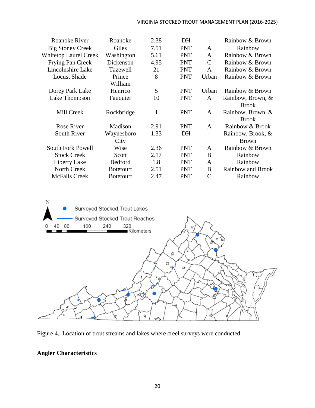#### VIRGINIA STOCKED TROUT MANAGEMENT PLAN (2016-2025)

| <b>Roanoke River</b>         | Roanoke           | 2.38 | DH         |               | Rainbow & Brown   |
|------------------------------|-------------------|------|------------|---------------|-------------------|
| <b>Big Stoney Creek</b>      | Giles             | 7.51 | <b>PNT</b> | A             | Rainbow           |
| <b>Whitetop Laurel Creek</b> | Washington        | 5.61 | <b>PNT</b> | $\mathbf{A}$  | Rainbow & Brown   |
| <b>Frying Pan Creek</b>      | Dickenson         | 4.95 | <b>PNT</b> | $\mathbf C$   | Rainbow & Brown   |
| Lincolnshire Lake            | Tazewell          | 21   | <b>PNT</b> | A             | Rainbow & Brown   |
| <b>Locust Shade</b>          | Prince            | 8    | <b>PNT</b> | Urban         | Rainbow & Brown   |
|                              | William           |      |            |               |                   |
| Dorey Park Lake              | Henrico           | 5    | <b>PNT</b> | Urban         | Rainbow & Brown   |
| Lake Thompson                | Fauquier          | 10   | <b>PNT</b> | A             | Rainbow, Brown, & |
|                              |                   |      |            |               | <b>Brook</b>      |
| Mill Creek                   | Rockbridge        | 1    | <b>PNT</b> | A             | Rainbow, Brown, & |
|                              |                   |      |            |               | <b>Brook</b>      |
| <b>Rose River</b>            | Madison           | 2.91 | <b>PNT</b> | A             | Rainbow & Brook   |
| South River                  | Waynesboro        | 1.33 | DH         |               | Rainbow, Brook, & |
|                              | City              |      |            |               | <b>Brown</b>      |
| <b>South Fork Powell</b>     | Wise              | 2.36 | <b>PNT</b> | A             | Rainbow & Brown   |
| <b>Stock Creek</b>           | Scott             | 2.17 | <b>PNT</b> | B             | Rainbow           |
| Liberty Lake                 | <b>Bedford</b>    | 1.8  | <b>PNT</b> | $\mathbf{A}$  | Rainbow           |
| North Creek                  | <b>B</b> otetourt | 2.51 | <b>PNT</b> | B             | Rainbow and Brook |
| <b>McFalls Creek</b>         | <b>B</b> otetourt | 2.47 | <b>PNT</b> | $\mathcal{C}$ | Rainbow           |





#### <span id="page-25-0"></span>**Angler Characteristics**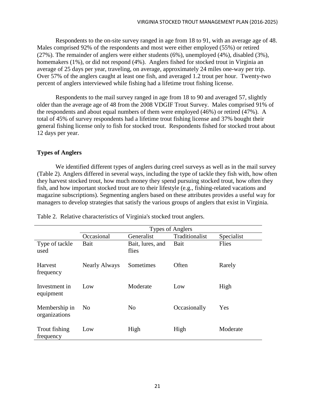Respondents to the on-site survey ranged in age from 18 to 91, with an average age of 48. Males comprised 92% of the respondents and most were either employed (55%) or retired (27%). The remainder of anglers were either students (6%), unemployed (4%), disabled (3%), homemakers (1%), or did not respond (4%). Anglers fished for stocked trout in Virginia an average of 25 days per year, traveling, on average, approximately 24 miles one-way per trip. Over 57% of the anglers caught at least one fish, and averaged 1.2 trout per hour. Twenty-two percent of anglers interviewed while fishing had a lifetime trout fishing license.

Respondents to the mail survey ranged in age from 18 to 90 and averaged 57, slightly older than the average age of 48 from the 2008 VDGIF Trout Survey. Males comprised 91% of the respondents and about equal numbers of them were employed (46%) or retired (47%). A total of 45% of survey respondents had a lifetime trout fishing license and 37% bought their general fishing license only to fish for stocked trout. Respondents fished for stocked trout about 12 days per year.

#### <span id="page-26-0"></span>**Types of Anglers**

We identified different types of anglers during creel surveys as well as in the mail survey (Table 2). Anglers differed in several ways, including the type of tackle they fish with, how often they harvest stocked trout, how much money they spend pursuing stocked trout, how often they fish, and how important stocked trout are to their lifestyle (e.g., fishing-related vacations and magazine subscriptions). Segmenting anglers based on these attributes provides a useful way for managers to develop strategies that satisfy the various groups of anglers that exist in Virginia.

|                                | <b>Types of Anglers</b> |                           |                |            |  |  |
|--------------------------------|-------------------------|---------------------------|----------------|------------|--|--|
|                                | Occasional              | Generalist                | Traditionalist | Specialist |  |  |
| Type of tackle<br>used         | Bait                    | Bait, lures, and<br>flies | Bait           | Flies      |  |  |
| <b>Harvest</b><br>frequency    | <b>Nearly Always</b>    | Sometimes                 | Often          | Rarely     |  |  |
| Investment in<br>equipment     | Low                     | Moderate                  | Low            | High       |  |  |
| Membership in<br>organizations | N <sub>0</sub>          | No                        | Occasionally   | Yes        |  |  |
| Trout fishing<br>frequency     | Low                     | High                      | High           | Moderate   |  |  |

Table 2. Relative characteristics of Virginia's stocked trout anglers.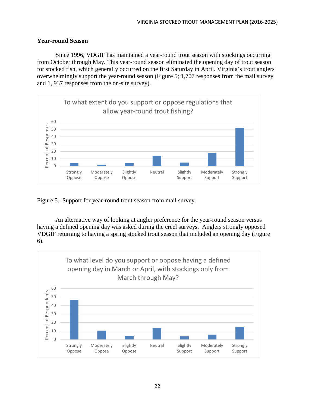#### <span id="page-27-0"></span>**Year-round Season**

Since 1996, VDGIF has maintained a year-round trout season with stockings occurring from October through May. This year-round season eliminated the opening day of trout season for stocked fish, which generally occurred on the first Saturday in April. Virginia's trout anglers overwhelmingly support the year-round season (Figure 5; 1,707 responses from the mail survey and 1, 937 responses from the on-site survey).



Figure 5. Support for year-round trout season from mail survey.

An alternative way of looking at angler preference for the year-round season versus having a defined opening day was asked during the creel surveys. Anglers strongly opposed VDGIF returning to having a spring stocked trout season that included an opening day (Figure 6).

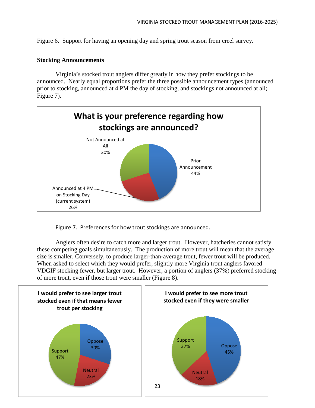Figure 6. Support for having an opening day and spring trout season from creel survey.

#### <span id="page-28-0"></span>**Stocking Announcements**

Virginia's stocked trout anglers differ greatly in how they prefer stockings to be announced. Nearly equal proportions prefer the three possible announcement types (announced prior to stocking, announced at 4 PM the day of stocking, and stockings not announced at all; Figure 7).



Figure 7. Preferences for how trout stockings are announced.

Anglers often desire to catch more and larger trout. However, hatcheries cannot satisfy these competing goals simultaneously. The production of more trout will mean that the average size is smaller. Conversely, to produce larger-than-average trout, fewer trout will be produced. When asked to select which they would prefer, slightly more Virginia trout anglers favored VDGIF stocking fewer, but larger trout. However, a portion of anglers (37%) preferred stocking of more trout, even if those trout were smaller (Figure 8).

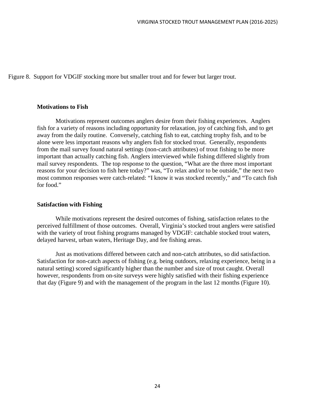Figure 8. Support for VDGIF stocking more but smaller trout and for fewer but larger trout.

#### <span id="page-29-0"></span>**Motivations to Fish**

Motivations represent outcomes anglers desire from their fishing experiences. Anglers fish for a variety of reasons including opportunity for relaxation, joy of catching fish, and to get away from the daily routine. Conversely, catching fish to eat, catching trophy fish, and to be alone were less important reasons why anglers fish for stocked trout. Generally, respondents from the mail survey found natural settings (non-catch attributes) of trout fishing to be more important than actually catching fish. Anglers interviewed while fishing differed slightly from mail survey respondents. The top response to the question, "What are the three most important reasons for your decision to fish here today?" was, "To relax and/or to be outside," the next two most common responses were catch-related: "I know it was stocked recently," and "To catch fish for food."

#### <span id="page-29-1"></span>**Satisfaction with Fishing**

While motivations represent the desired outcomes of fishing, satisfaction relates to the perceived fulfillment of those outcomes. Overall, Virginia's stocked trout anglers were satisfied with the variety of trout fishing programs managed by VDGIF: catchable stocked trout waters, delayed harvest, urban waters, Heritage Day, and fee fishing areas.

Just as motivations differed between catch and non-catch attributes, so did satisfaction. Satisfaction for non-catch aspects of fishing (e.g. being outdoors, relaxing experience, being in a natural setting) scored significantly higher than the number and size of trout caught. Overall however, respondents from on-site surveys were highly satisfied with their fishing experience that day (Figure 9) and with the management of the program in the last 12 months (Figure 10).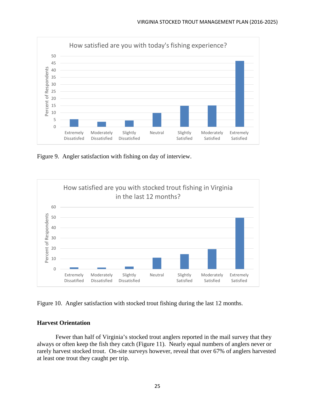

Figure 9. Angler satisfaction with fishing on day of interview.



Figure 10. Angler satisfaction with stocked trout fishing during the last 12 months.

#### <span id="page-30-0"></span>**Harvest Orientation**

Fewer than half of Virginia's stocked trout anglers reported in the mail survey that they always or often keep the fish they catch (Figure 11). Nearly equal numbers of anglers never or rarely harvest stocked trout. On-site surveys however, reveal that over 67% of anglers harvested at least one trout they caught per trip.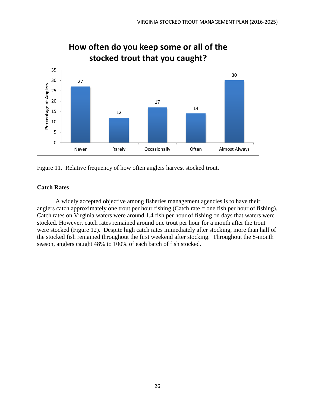

Figure 11. Relative frequency of how often anglers harvest stocked trout.

#### <span id="page-31-0"></span>**Catch Rates**

A widely accepted objective among fisheries management agencies is to have their anglers catch approximately one trout per hour fishing (Catch rate = one fish per hour of fishing). Catch rates on Virginia waters were around 1.4 fish per hour of fishing on days that waters were stocked. However, catch rates remained around one trout per hour for a month after the trout were stocked (Figure 12). Despite high catch rates immediately after stocking, more than half of the stocked fish remained throughout the first weekend after stocking. Throughout the 8-month season, anglers caught 48% to 100% of each batch of fish stocked.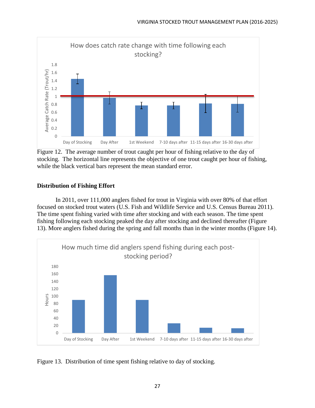

Figure 12. The average number of trout caught per hour of fishing relative to the day of stocking. The horizontal line represents the objective of one trout caught per hour of fishing, while the black vertical bars represent the mean standard error.

#### <span id="page-32-0"></span>**Distribution of Fishing Effort**

In 2011, over 111,000 anglers fished for trout in Virginia with over 80% of that effort focused on stocked trout waters (U.S. Fish and Wildlife Service and U.S. Census Bureau 2011). The time spent fishing varied with time after stocking and with each season. The time spent fishing following each stocking peaked the day after stocking and declined thereafter (Figure 13). More anglers fished during the spring and fall months than in the winter months (Figure 14).



Figure 13. Distribution of time spent fishing relative to day of stocking.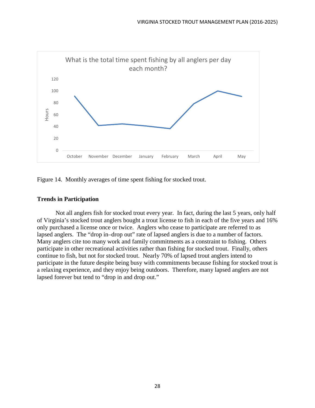

Figure 14. Monthly averages of time spent fishing for stocked trout.

#### <span id="page-33-0"></span>**Trends in Participation**

Not all anglers fish for stocked trout every year. In fact, during the last 5 years, only half of Virginia's stocked trout anglers bought a trout license to fish in each of the five years and 16% only purchased a license once or twice. Anglers who cease to participate are referred to as lapsed anglers. The "drop in–drop out" rate of lapsed anglers is due to a number of factors. Many anglers cite too many work and family commitments as a constraint to fishing. Others participate in other recreational activities rather than fishing for stocked trout. Finally, others continue to fish, but not for stocked trout. Nearly 70% of lapsed trout anglers intend to participate in the future despite being busy with commitments because fishing for stocked trout is a relaxing experience, and they enjoy being outdoors. Therefore, many lapsed anglers are not lapsed forever but tend to "drop in and drop out."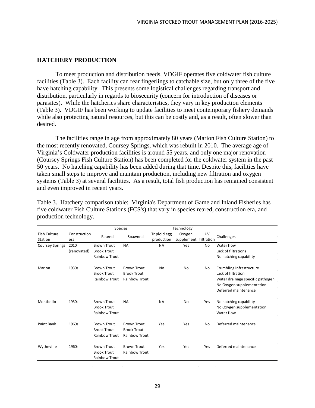#### <span id="page-34-0"></span>**HATCHERY PRODUCTION**

To meet production and distribution needs, VDGIF operates five coldwater fish culture facilities (Table 3). Each facility can rear fingerlings to catchable size, but only three of the five have hatching capability. This presents some logistical challenges regarding transport and distribution, particularly in regards to biosecurity (concern for introduction of diseases or parasites). While the hatcheries share characteristics, they vary in key production elements (Table 3). VDGIF has been working to update facilities to meet contemporary fishery demands while also protecting natural resources, but this can be costly and, as a result, often slower than desired.

The facilities range in age from approximately 80 years (Marion Fish Culture Station) to the most recently renovated, Coursey Springs, which was rebuilt in 2010. The average age of Virginia's Coldwater production facilities is around 55 years, and only one major renovation (Coursey Springs Fish Culture Station) has been completed for the coldwater system in the past 50 years. No hatching capability has been added during that time. Despite this, facilities have taken small steps to improve and maintain production, including new filtration and oxygen systems (Table 3) at several facilities. As a result, total fish production has remained consistent and even improved in recent years.

Table 3. Hatchery comparison table: Virginia's Department of Game and Inland Fisheries has five coldwater Fish Culture Stations (FCS's) that vary in species reared, construction era, and production technology.

|                                |                     | <b>Species</b>                                                   |                                                                  | Technology                 |                                 |           |                                                                                                                                         |
|--------------------------------|---------------------|------------------------------------------------------------------|------------------------------------------------------------------|----------------------------|---------------------------------|-----------|-----------------------------------------------------------------------------------------------------------------------------------------|
| <b>Fish Culture</b><br>Station | Construction<br>era | Reared                                                           | Spawned                                                          | Triploid egg<br>production | Oxygen<br>supplement filtration | UV        | Challenges                                                                                                                              |
| <b>Coursey Springs</b>         | 2010                | <b>Brown Trout</b>                                               | <b>NA</b>                                                        | <b>NA</b>                  | Yes                             | No        | Water flow                                                                                                                              |
|                                | (renovated)         | <b>Brook Trout</b><br><b>Rainbow Trout</b>                       |                                                                  |                            |                                 |           | Lack of filtrations<br>No hatching capability                                                                                           |
| Marion                         | 1930s               | <b>Brown Trout</b><br><b>Brook Trout</b><br>Rainbow Trout        | <b>Brown Trout</b><br><b>Brook Trout</b><br>Rainbow Trout        | No                         | <b>No</b>                       | <b>No</b> | Crumbling infrastructure<br>Lack of filtration<br>Water drainage specific pathogen<br>No Oxygen supplementation<br>Deferred maintenance |
| Montbello                      | 1930s               | <b>Brown Trout</b><br><b>Brook Trout</b><br><b>Rainbow Trout</b> | <b>NA</b>                                                        | <b>NA</b>                  | No                              | Yes       | No hatching capability<br>No Oxygen supplementation<br>Water flow                                                                       |
| Paint Bank                     | 1960s               | <b>Brown Trout</b><br><b>Brook Trout</b><br><b>Rainbow Trout</b> | <b>Brown Trout</b><br><b>Brook Trout</b><br><b>Rainbow Trout</b> | Yes                        | Yes                             | No        | Deferred maintenance                                                                                                                    |
| Wytheville                     | 1960s               | <b>Brown Trout</b><br><b>Brook Trout</b><br><b>Rainbow Trout</b> | <b>Brown Trout</b><br>Rainbow Trout                              | Yes                        | Yes                             | Yes       | Deferred maintenance                                                                                                                    |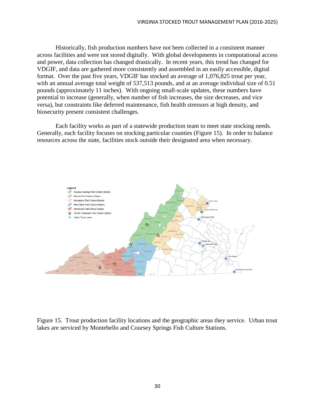Historically, fish production numbers have not been collected in a consistent manner across facilities and were not stored digitally. With global developments in computational access and power, data collection has changed drastically. In recent years, this trend has changed for VDGIF, and data are gathered more consistently and assembled in an easily accessible, digital format. Over the past five years, VDGIF has stocked an average of 1,076,825 trout per year, with an annual average total weight of 537,513 pounds, and at an average individual size of 0.51 pounds (approximately 11 inches). With ongoing small-scale updates, these numbers have potential to increase (generally, when number of fish increases, the size decreases, and vice versa), but constraints like deferred maintenance, fish health stressors at high density, and biosecurity present consistent challenges.

Each facility works as part of a statewide production team to meet state stocking needs. Generally, each facility focuses on stocking particular counties (Figure 15). In order to balance resources across the state, facilities stock outside their designated area when necessary.



Figure 15. Trout production facility locations and the geographic areas they service. Urban trout lakes are serviced by Montebello and Coursey Springs Fish Culture Stations.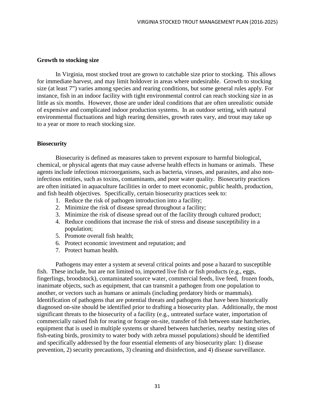#### **Growth to stocking size**

In Virginia, most stocked trout are grown to catchable size prior to stocking. This allows for immediate harvest, and may limit holdover in areas where undesirable. Growth to stocking size (at least 7") varies among species and rearing conditions, but some general rules apply. For instance, fish in an indoor facility with tight environmental control can reach stocking size in as little as six months. However, those are under ideal conditions that are often unrealistic outside of expensive and complicated indoor production systems. In an outdoor setting, with natural environmental fluctuations and high rearing densities, growth rates vary, and trout may take up to a year or more to reach stocking size.

#### **Biosecurity**

Biosecurity is defined as measures taken to prevent exposure to harmful biological, chemical, or physical agents that may cause adverse health effects in humans or animals. These agents include infectious microorganisms, such as bacteria, viruses, and parasites, and also noninfectious entities, such as toxins, contaminants, and poor water quality. Biosecurity practices are often initiated in aquaculture facilities in order to meet economic, public health, production, and fish health objectives. Specifically, certain biosecurity practices seek to:

- 1. Reduce the risk of pathogen introduction into a facility;
- 2. Minimize the risk of disease spread throughout a facility;
- 3. Minimize the risk of disease spread out of the facility through cultured product;
- 4. Reduce conditions that increase the risk of stress and disease susceptibility in a population;
- 5. Promote overall fish health;
- 6. Protect economic investment and reputation; and
- 7. Protect human health.

Pathogens may enter a system at several critical points and pose a hazard to susceptible fish. These include, but are not limited to, imported live fish or fish products (e.g., eggs, fingerlings, broodstock), contaminated source water, commercial feeds, live feed, frozen foods, inanimate objects, such as equipment, that can transmit a pathogen from one population to another, or vectors such as humans or animals (including predatory birds or mammals). Identification of pathogens that are potential threats and pathogens that have been historically diagnosed on-site should be identified prior to drafting a biosecurity plan. Additionally, the most significant threats to the biosecurity of a facility (e.g., untreated surface water, importation of commercially raised fish for rearing or forage on-site, transfer of fish between state hatcheries, equipment that is used in multiple systems or shared between hatcheries, nearby nesting sites of fish-eating birds, proximity to water body with zebra mussel populations) should be identified and specifically addressed by the four essential elements of any biosecurity plan: 1) disease prevention, 2) security precautions, 3) cleaning and disinfection, and 4) disease surveillance.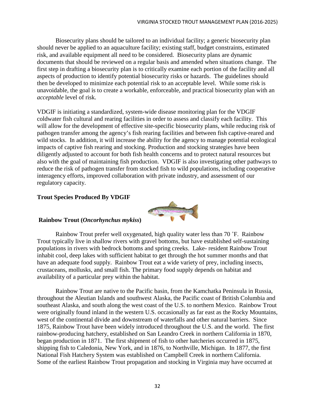Biosecurity plans should be tailored to an individual facility; a generic biosecurity plan should never be applied to an aquaculture facility; existing staff, budget constraints, estimated risk, and available equipment all need to be considered. Biosecurity plans are dynamic documents that should be reviewed on a regular basis and amended when situations change. The first step in drafting a biosecurity plan is to critically examine each portion of the facility and all aspects of production to identify potential biosecurity risks or hazards. The guidelines should then be developed to minimize each potential risk to an acceptable level. While some risk is unavoidable, the goal is to create a workable, enforceable, and practical biosecurity plan with an *acceptable* level of risk.

VDGIF is initiating a standardized, system-wide disease monitoring plan for the VDGIF coldwater fish cultural and rearing facilities in order to assess and classify each facility. This will allow for the development of effective site-specific biosecurity plans, while reducing risk of pathogen transfer among the agency's fish rearing facilities and between fish captive-reared and wild stocks. In addition, it will increase the ability for the agency to manage potential ecological impacts of captive fish rearing and stocking. Production and stocking strategies have been diligently adjusted to account for both fish health concerns and to protect natural resources but also with the goal of maintaining fish production. VDGIF is also investigating other pathways to reduce the risk of pathogen transfer from stocked fish to wild populations, including cooperative interagency efforts, improved collaboration with private industry, and assessment of our regulatory capacity.

### **Trout Species Produced By VDGIF**



# **Rainbow Trout (***Oncorhynchus mykiss***)**

Rainbow Trout prefer well oxygenated, high quality water less than 70 ˚F. Rainbow Trout typically live in shallow rivers with gravel bottoms, but have established self-sustaining populations in rivers with bedrock bottoms and spring creeks. Lake- resident Rainbow Trout inhabit cool, deep lakes with sufficient habitat to get through the hot summer months and that have an adequate food supply. Rainbow Trout eat a wide variety of prey, including insects, crustaceans, mollusks, and small fish. The primary food supply depends on habitat and availability of a particular prey within the habitat.

Rainbow Trout are native to the Pacific basin, from the Kamchatka Peninsula in Russia, throughout the Aleutian Islands and southwest Alaska, the Pacific coast of British Columbia and southeast Alaska, and south along the west coast of the U.S. to northern Mexico. Rainbow Trout were originally found inland in the western U.S. occasionally as far east as the Rocky Mountains, west of the continental divide and downstream of waterfalls and other natural barriers. Since 1875, Rainbow Trout have been widely introduced throughout the U.S. and the world. The first rainbow-producing hatchery, established on San Leandro Creek in northern California in 1870, began production in 1871. The first shipment of fish to other hatcheries occurred in 1875, shipping fish to Caledonia, New York, and in 1876, to Northville, Michigan. In 1877, the first National Fish Hatchery System was established on Campbell Creek in northern California. Some of the earliest Rainbow Trout propagation and stocking in Virginia may have occurred at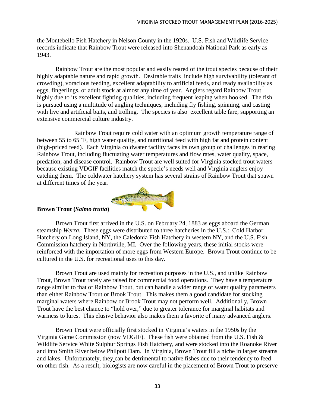the Montebello Fish Hatchery in Nelson County in the 1920s. U.S. Fish and Wildlife Service records indicate that Rainbow Trout were released into Shenandoah National Park as early as 1943.

Rainbow Trout are the most popular and easily reared of the trout species because of their highly adaptable nature and rapid growth. Desirable traits include high survivability (tolerant of crowding), voracious feeding, excellent adaptability to artificial feeds, and ready availability as eggs, fingerlings, or adult stock at almost any time of year. Anglers regard Rainbow Trout highly due to its excellent fighting qualities, including frequent leaping when hooked. The fish is pursued using a multitude of angling techniques, including fly fishing, spinning, and casting with live and artificial baits, and trolling. The species is also excellent table fare, supporting an extensive commercial culture industry.

Rainbow Trout require cold water with an optimum growth temperature range of between 55 to 65 ˚F, high water quality, and nutritional feed with high fat and protein content (high-priced feed). Each Virginia coldwater facility faces its own group of challenges in rearing Rainbow Trout, including fluctuating water temperatures and flow rates, water quality, space, predation, and disease control. Rainbow Trout are well suited for Virginia stocked trout waters because existing VDGIF facilities match the specie's needs well and Virginia anglers enjoy catching them. The coldwater hatchery system has several strains of Rainbow Trout that spawn at different times of the year.



# **Brown Trout (***Salmo trutta***)**

Brown Trout first arrived in the U.S. on February 24, 1883 as eggs aboard the German steamship *Werra*. These eggs were distributed to three hatcheries in the U.S.: Cold Harbor Hatchery on Long Island, NY, the Caledonia Fish Hatchery in western NY, and the U.S. Fish Commission hatchery in Northville, MI. Over the following years, these initial stocks were reinforced with the importation of more eggs from Western Europe. Brown Trout continue to be cultured in the U.S. for recreational uses to this day.

Brown Trout are used mainly for recreation purposes in the U.S., and unlike Rainbow Trout, Brown Trout rarely are raised for commercial food operations. They have a temperature range similar to that of Rainbow Trout, but can handle a wider range of water quality parameters than either Rainbow Trout or Brook Trout. This makes them a good candidate for stocking marginal waters where Rainbow or Brook Trout may not perform well. Additionally, Brown Trout have the best chance to "hold over," due to greater tolerance for marginal habitats and wariness to lures. This elusive behavior also makes them a favorite of many advanced anglers.

Brown Trout were officially first stocked in Virginia's waters in the 1950s by the Virginia Game Commission (now VDGIF). These fish were obtained from the U.S. Fish & Wildlife Service White Sulphur Springs Fish Hatchery, and were stocked into the Roanoke River and into Smith River below Philpott Dam. In Virginia, Brown Trout fill a niche in larger streams and lakes. Unfortunately, they can be detrimental to native fishes due to their tendency to feed on other fish. As a result, biologists are now careful in the placement of Brown Trout to preserve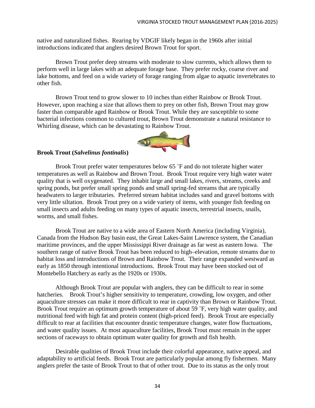native and naturalized fishes. Rearing by VDGIF likely began in the 1960s after initial introductions indicated that anglers desired Brown Trout for sport.

Brown Trout prefer deep streams with moderate to slow currents, which allows them to perform well in large lakes with an adequate forage base. They prefer rocky, coarse river and lake bottoms, and feed on a wide variety of forage ranging from algae to aquatic invertebrates to other fish.

Brown Trout tend to grow slower to 10 inches than either Rainbow or Brook Trout. However, upon reaching a size that allows them to prey on other fish, Brown Trout may grow faster than comparable aged Rainbow or Brook Trout. While they are susceptible to some bacterial infections common to cultured trout, Brown Trout demonstrate a natural resistance to Whirling disease, which can be devastating to Rainbow Trout.



## **Brook Trout (***Salvelinus fontinalis***)**

Brook Trout prefer water temperatures below 65 ˚F and do not tolerate higher water temperatures as well as Rainbow and Brown Trout. Brook Trout require very high water water quality that is well oxygenated. They inhabit large and small lakes, rivers, streams, creeks and spring ponds, but prefer small spring ponds and small spring-fed streams that are typically headwaters to larger tributaries. Preferred stream habitat includes sand and gravel bottoms with very little siltation. Brook Trout prey on a wide variety of items, with younger fish feeding on small insects and adults feeding on many types of aquatic insects, terrestrial insects, snails, worms, and small fishes.

Brook Trout are native to a wide area of Eastern North America (including Virginia), Canada from the Hudson Bay basin east, the Great Lakes-Saint Lawrence system, the Canadian maritime provinces, and the upper Mississippi River drainage as far west as eastern Iowa. The southern range of native Brook Trout has been reduced to high–elevation, remote streams due to habitat loss and introductions of Brown and Rainbow Trout. Their range expanded westward as early as 1850 through intentional introductions. Brook Trout may have been stocked out of Montebello Hatchery as early as the 1920s or 1930s.

Although Brook Trout are popular with anglers, they can be difficult to rear in some hatcheries. Brook Trout's higher sensitivity to temperature, crowding, low oxygen, and other aquaculture stresses can make it more difficult to rear in captivity than Brown or Rainbow Trout. Brook Trout require an optimum growth temperature of about 59 °F, very high water quality, and nutritional feed with high fat and protein content (high-priced feed). Brook Trout are especially difficult to rear at facilities that encounter drastic temperature changes, water flow fluctuations, and water quality issues. At most aquaculture facilities, Brook Trout must remain in the upper sections of raceways to obtain optimum water quality for growth and fish health.

Desirable qualities of Brook Trout include their colorful appearance, native appeal, and adaptability to artificial feeds. Brook Trout are particularly popular among fly fishermen. Many anglers prefer the taste of Brook Trout to that of other trout. Due to its status as the only trout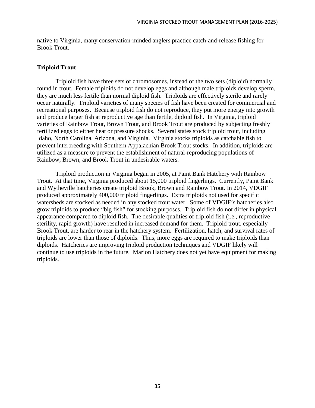native to Virginia, many conservation-minded anglers practice catch-and-release fishing for Brook Trout.

#### **Triploid Trout**

Triploid fish have three sets of chromosomes, instead of the two sets (diploid) normally found in trout. Female triploids do not develop eggs and although male triploids develop sperm, they are much less fertile than normal diploid fish. Triploids are effectively sterile and rarely occur naturally. Triploid varieties of many species of fish have been created for commercial and recreational purposes. Because triploid fish do not reproduce, they put more energy into growth and produce larger fish at reproductive age than fertile, diploid fish. In Virginia, triploid varieties of Rainbow Trout, Brown Trout, and Brook Trout are produced by subjecting freshly fertilized eggs to either heat or pressure shocks. Several states stock triploid trout, including Idaho, North Carolina, Arizona, and Virginia. Virginia stocks triploids as catchable fish to prevent interbreeding with Southern Appalachian Brook Trout stocks. In addition, triploids are utilized as a measure to prevent the establishment of natural-reproducing populations of Rainbow, Brown, and Brook Trout in undesirable waters.

Triploid production in Virginia began in 2005, at Paint Bank Hatchery with Rainbow Trout. At that time, Virginia produced about 15,000 triploid fingerlings. Currently, Paint Bank and Wytheville hatcheries create triploid Brook, Brown and Rainbow Trout. In 2014, VDGIF produced approximately 400,000 triploid fingerlings. Extra triploids not used for specific watersheds are stocked as needed in any stocked trout water. Some of VDGIF's hatcheries also grow triploids to produce "big fish" for stocking purposes. Triploid fish do not differ in physical appearance compared to diploid fish. The desirable qualities of triploid fish (i.e., reproductive sterility, rapid growth) have resulted in increased demand for them. Triploid trout, especially Brook Trout, are harder to rear in the hatchery system. Fertilization, hatch, and survival rates of triploids are lower than those of diploids. Thus, more eggs are required to make triploids than diploids. Hatcheries are improving triploid production techniques and VDGIF likely will continue to use triploids in the future. Marion Hatchery does not yet have equipment for making triploids.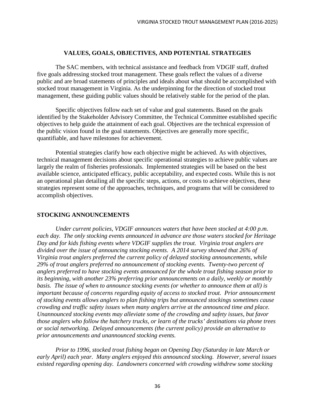#### **VALUES, GOALS, OBJECTIVES, AND POTENTIAL STRATEGIES**

The SAC members, with technical assistance and feedback from VDGIF staff, drafted five goals addressing stocked trout management. These goals reflect the values of a diverse public and are broad statements of principles and ideals about what should be accomplished with stocked trout management in Virginia. As the underpinning for the direction of stocked trout management, these guiding public values should be relatively stable for the period of the plan.

Specific objectives follow each set of value and goal statements. Based on the goals identified by the Stakeholder Advisory Committee, the Technical Committee established specific objectives to help guide the attainment of each goal. Objectives are the technical expression of the public vision found in the goal statements. Objectives are generally more specific, quantifiable, and have milestones for achievement.

Potential strategies clarify how each objective might be achieved. As with objectives, technical management decisions about specific operational strategies to achieve public values are largely the realm of fisheries professionals. Implemented strategies will be based on the best available science, anticipated efficacy, public acceptability, and expected costs. While this is not an operational plan detailing all the specific steps, actions, or costs to achieve objectives, these strategies represent some of the approaches, techniques, and programs that will be considered to accomplish objectives.

#### **STOCKING ANNOUNCEMENTS**

*Under current policies, VDGIF announces waters that have been stocked at 4:00 p.m. each day. The only stocking events announced in advance are those waters stocked for Heritage Day and for kids fishing events where VDGIF supplies the trout. Virginia trout anglers are divided over the issue of announcing stocking events. A 2014 survey showed that 26% of Virginia trout anglers preferred the current policy of delayed stocking announcements, while 29% of trout anglers preferred no announcement of stocking events. Twenty-two percent of anglers preferred to have stocking events announced for the whole trout fishing season prior to its beginning, with another 23% preferring prior announcements on a daily, weekly or monthly basis. The issue of when to announce stocking events (or whether to announce them at all) is important because of concerns regarding equity of access to stocked trout. Prior announcement of stocking events allows anglers to plan fishing trips but announced stockings sometimes cause crowding and traffic safety issues when many anglers arrive at the announced time and place. Unannounced stocking events may alleviate some of the crowding and safety issues, but favor those anglers who follow the hatchery trucks, or learn of the trucks' destinations via phone trees or social networking. Delayed announcements (the current policy) provide an alternative to prior announcements and unannounced stocking events.* 

*Prior to 1996, stocked trout fishing began on Opening Day (Saturday in late March or early April) each year. Many anglers enjoyed this announced stocking. However, several issues existed regarding opening day. Landowners concerned with crowding withdrew some stocking*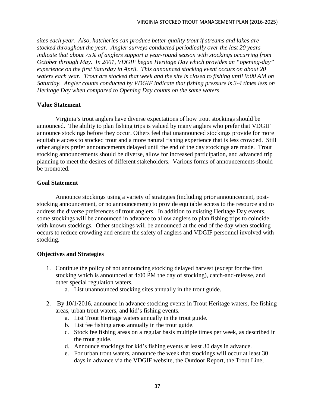*sites each year. Also, hatcheries can produce better quality trout if streams and lakes are stocked throughout the year. Angler surveys conducted periodically over the last 20 years indicate that about 75% of anglers support a year-round season with stockings occurring from October through May. In 2001, VDGIF began Heritage Day which provides an "opening-day" experience on the first Saturday in April. This announced stocking event occurs on about 20 waters each year. Trout are stocked that week and the site is closed to fishing until 9:00 AM on Saturday. Angler counts conducted by VDGIF indicate that fishing pressure is 3-4 times less on Heritage Day when compared to Opening Day counts on the same waters.*

### **Value Statement**

Virginia's trout anglers have diverse expectations of how trout stockings should be announced. The ability to plan fishing trips is valued by many anglers who prefer that VDGIF announce stockings before they occur. Others feel that unannounced stockings provide for more equitable access to stocked trout and a more natural fishing experience that is less crowded. Still other anglers prefer announcements delayed until the end of the day stockings are made. Trout stocking announcements should be diverse, allow for increased participation, and advanced trip planning to meet the desires of different stakeholders. Various forms of announcements should be promoted.

## **Goal Statement**

Announce stockings using a variety of strategies (including prior announcement, poststocking announcement, or no announcement) to provide equitable access to the resource and to address the diverse preferences of trout anglers. In addition to existing Heritage Day events, some stockings will be announced in advance to allow anglers to plan fishing trips to coincide with known stockings. Other stockings will be announced at the end of the day when stocking occurs to reduce crowding and ensure the safety of anglers and VDGIF personnel involved with stocking.

- 1. Continue the policy of not announcing stocking delayed harvest (except for the first stocking which is announced at 4:00 PM the day of stocking), catch-and-release, and other special regulation waters.
	- a. List unannounced stocking sites annually in the trout guide.
- 2. By 10/1/2016, announce in advance stocking events in Trout Heritage waters, fee fishing areas, urban trout waters, and kid's fishing events.
	- a. List Trout Heritage waters annually in the trout guide.
	- b. List fee fishing areas annually in the trout guide.
	- c. Stock fee fishing areas on a regular basis multiple times per week, as described in the trout guide.
	- d. Announce stockings for kid's fishing events at least 30 days in advance.
	- e. For urban trout waters, announce the week that stockings will occur at least 30 days in advance via the VDGIF website, the Outdoor Report, the Trout Line,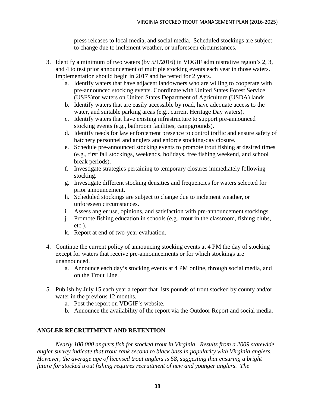press releases to local media, and social media. Scheduled stockings are subject to change due to inclement weather, or unforeseen circumstances.

- 3. Identify a minimum of two waters (by 5/1/2016) in VDGIF administrative region's 2, 3, and 4 to test prior announcement of multiple stocking events each year in those waters. Implementation should begin in 2017 and be tested for 2 years.
	- a. Identify waters that have adjacent landowners who are willing to cooperate with pre-announced stocking events. Coordinate with United States Forest Service (USFS)for waters on United States Department of Agriculture (USDA) lands.
	- b. Identify waters that are easily accessible by road, have adequate access to the water, and suitable parking areas (e.g., current Heritage Day waters).
	- c. Identify waters that have existing infrastructure to support pre-announced stocking events (e.g., bathroom facilities, campgrounds).
	- d. Identify needs for law enforcement presence to control traffic and ensure safety of hatchery personnel and anglers and enforce stocking-day closure.
	- e. Schedule pre-announced stocking events to promote trout fishing at desired times (e.g., first fall stockings, weekends, holidays, free fishing weekend, and school break periods).
	- f. Investigate strategies pertaining to temporary closures immediately following stocking.
	- g. Investigate different stocking densities and frequencies for waters selected for prior announcement.
	- h. Scheduled stockings are subject to change due to inclement weather, or unforeseen circumstances.
	- i. Assess angler use, opinions, and satisfaction with pre-announcement stockings.
	- j. Promote fishing education in schools (e.g., trout in the classroom, fishing clubs, etc.).
	- k. Report at end of two-year evaluation.
- 4. Continue the current policy of announcing stocking events at 4 PM the day of stocking except for waters that receive pre-announcements or for which stockings are unannounced.
	- a. Announce each day's stocking events at 4 PM online, through social media, and on the Trout Line.
- 5. Publish by July 15 each year a report that lists pounds of trout stocked by county and/or water in the previous 12 months.
	- a. Post the report on VDGIF's website.
	- b. Announce the availability of the report via the Outdoor Report and social media.

# **ANGLER RECRUITMENT AND RETENTION**

*Nearly 100,000 anglers fish for stocked trout in Virginia. Results from a 2009 statewide angler survey indicate that trout rank second to black bass in popularity with Virginia anglers. However, the average age of licensed trout anglers is 58, suggesting that ensuring a bright future for stocked trout fishing requires recruitment of new and younger anglers. The*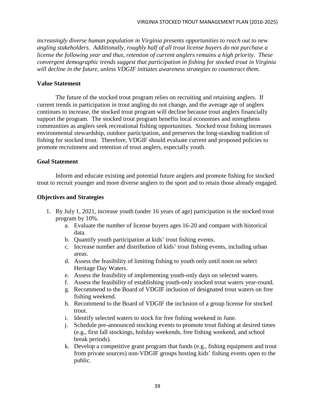*increasingly diverse human population in Virginia presents opportunities to reach out to new angling stakeholders. Additionally, roughly half of all trout license buyers do not purchase a license the following year and thus, retention of current anglers remains a high priority. These convergent demographic trends suggest that participation in fishing for stocked trout in Virginia will decline in the future, unless VDGIF initiates awareness strategies to counteract them.*

### **Value Statement**

The future of the stocked trout program relies on recruiting and retaining anglers. If current trends in participation in trout angling do not change, and the average age of anglers continues to increase, the stocked trout program will decline because trout anglers financially support the program. The stocked trout program benefits local economies and strengthens communities as anglers seek recreational fishing opportunities. Stocked trout fishing increases environmental stewardship, outdoor participation, and preserves the long-standing tradition of fishing for stocked trout. Therefore, VDGIF should evaluate current and proposed policies to promote recruitment and retention of trout anglers, especially youth.

### **Goal Statement**

Inform and educate existing and potential future anglers and promote fishing for stocked trout to recruit younger and more diverse anglers to the sport and to retain those already engaged.

- 1. By July 1, 2021, increase youth (under 16 years of age) participation in the stocked trout program by 10%.
	- a. Evaluate the number of license buyers ages 16-20 and compare with historical data.
	- b. Quantify youth participation at kids' trout fishing events.
	- c. Increase number and distribution of kids' trout fishing events, including urban areas.
	- d. Assess the feasibility of limiting fishing to youth only until noon on select Heritage Day Waters.
	- e. Assess the feasibility of implementing youth-only days on selected waters.
	- f. Assess the feasibility of establishing youth-only stocked trout waters year-round.
	- g. Recommend to the Board of VDGIF inclusion of designated trout waters on free fishing weekend.
	- h. Recommend to the Board of VDGIF the inclusion of a group license for stocked trout.
	- i. Identify selected waters to stock for free fishing weekend in June.
	- j. Schedule pre-announced stocking events to promote trout fishing at desired times (e.g., first fall stockings, holiday weekends, free fishing weekend, and school break periods).
	- k. Develop a competitive grant program that funds (e.g., fishing equipment and trout from private sources) non-VDGIF groups hosting kids' fishing events open to the public.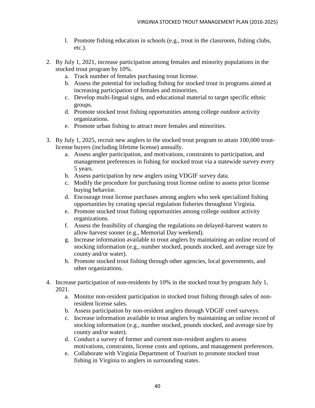- l. Promote fishing education in schools (e.g., trout in the classroom, fishing clubs, etc.).
- 2. By July 1, 2021, increase participation among females and minority populations in the stocked trout program by 10%.
	- a. Track number of females purchasing trout license.
	- b. Assess the potential for including fishing for stocked trout in programs aimed at increasing participation of females and minorities.
	- c. Develop multi-lingual signs, and educational material to target specific ethnic groups.
	- d. Promote stocked trout fishing opportunities among college outdoor activity organizations.
	- e. Promote urban fishing to attract more females and minorities.
- 3. By July 1, 2025, recruit new anglers to the stocked trout program to attain 100,000 troutlicense buyers (including lifetime license) annually.
	- a. Assess angler participation, and motivations, constraints to participation, and management preferences in fishing for stocked trout via a statewide survey every 5 years.
	- b. Assess participation by new anglers using VDGIF survey data.
	- c. Modify the procedure for purchasing trout license online to assess prior license buying behavior.
	- d. Encourage trout license purchases among anglers who seek specialized fishing opportunities by creating special regulation fisheries throughout Virginia.
	- e. Promote stocked trout fishing opportunities among college outdoor activity organizations.
	- f. Assess the feasibility of changing the regulations on delayed-harvest waters to allow harvest sooner (e.g., Memorial Day weekend).
	- g. Increase information available to trout anglers by maintaining an online record of stocking information (e.g., number stocked, pounds stocked, and average size by county and/or water).
	- h. Promote stocked trout fishing through other agencies, local governments, and other organizations.
- 4. Increase participation of non-residents by 10% in the stocked trout by program July 1, 2021.
	- a. Monitor non-resident participation in stocked trout fishing through sales of nonresident license sales.
	- b. Assess participation by non-resident anglers through VDGIF creel surveys.
	- c. Increase information available to trout anglers by maintaining an online record of stocking information (e.g., number stocked, pounds stocked, and average size by county and/or water).
	- d. Conduct a survey of former and current non-resident anglers to assess motivations, constraints, license costs and options, and management preferences.
	- e. Collaborate with Virginia Department of Tourism to promote stocked trout fishing in Virginia to anglers in surrounding states.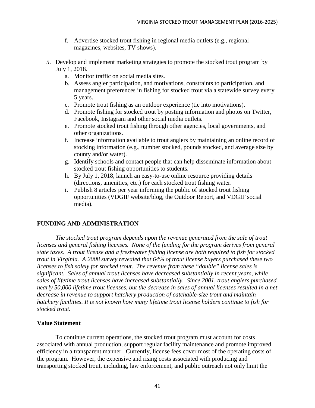- f. Advertise stocked trout fishing in regional media outlets (e.g., regional magazines, websites, TV shows).
- 5. Develop and implement marketing strategies to promote the stocked trout program by July 1, 2018.
	- a. Monitor traffic on social media sites.
	- b. Assess angler participation, and motivations, constraints to participation, and management preferences in fishing for stocked trout via a statewide survey every 5 years.
	- c. Promote trout fishing as an outdoor experience (tie into motivations).
	- d. Promote fishing for stocked trout by posting information and photos on Twitter, Facebook, Instagram and other social media outlets.
	- e. Promote stocked trout fishing through other agencies, local governments, and other organizations.
	- f. Increase information available to trout anglers by maintaining an online record of stocking information (e.g., number stocked, pounds stocked, and average size by county and/or water).
	- g. Identify schools and contact people that can help disseminate information about stocked trout fishing opportunities to students.
	- h. By July 1, 2018, launch an easy-to-use online resource providing details (directions, amenities, etc.) for each stocked trout fishing water.
	- i. Publish 8 articles per year informing the public of stocked trout fishing opportunities (VDGIF website/blog, the Outdoor Report, and VDGIF social media).

## **FUNDING AND ADMINISTRATION**

*The stocked trout program depends upon the revenue generated from the sale of trout licenses and general fishing licenses. None of the funding for the program derives from general state taxes. A trout license and a freshwater fishing license are both required to fish for stocked trout in Virginia. A 2008 survey revealed that 64% of trout license buyers purchased these two licenses to fish solely for stocked trout. The revenue from these "double" license sales is significant. Sales of annual trout licenses have decreased substantially in recent years, while sales of lifetime trout licenses have increased substantially. Since 2001, trout anglers purchased nearly 50,000 lifetime trout licenses, but the decrease in sales of annual licenses resulted in a net decrease in revenue to support hatchery production of catchable-size trout and maintain hatchery facilities. It is not known how many lifetime trout license holders continue to fish for stocked trout.* 

## **Value Statement**

To continue current operations, the stocked trout program must account for costs associated with annual production, support regular facility maintenance and promote improved efficiency in a transparent manner. Currently, license fees cover most of the operating costs of the program. However, the expensive and rising costs associated with producing and transporting stocked trout, including, law enforcement, and public outreach not only limit the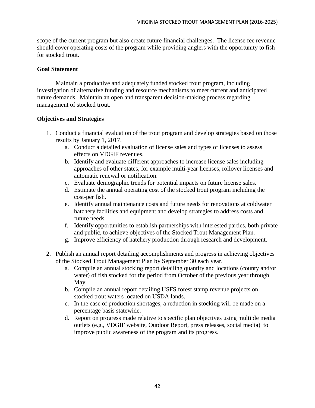scope of the current program but also create future financial challenges. The license fee revenue should cover operating costs of the program while providing anglers with the opportunity to fish for stocked trout.

### **Goal Statement**

Maintain a productive and adequately funded stocked trout program, including investigation of alternative funding and resource mechanisms to meet current and anticipated future demands. Maintain an open and transparent decision-making process regarding management of stocked trout.

- 1. Conduct a financial evaluation of the trout program and develop strategies based on those results by January 1, 2017.
	- a. Conduct a detailed evaluation of license sales and types of licenses to assess effects on VDGIF revenues.
	- b. Identify and evaluate different approaches to increase license sales including approaches of other states, for example multi-year licenses, rollover licenses and automatic renewal or notification.
	- c. Evaluate demographic trends for potential impacts on future license sales.
	- d. Estimate the annual operating cost of the stocked trout program including the cost-per fish.
	- e. Identify annual maintenance costs and future needs for renovations at coldwater hatchery facilities and equipment and develop strategies to address costs and future needs.
	- f. Identify opportunities to establish partnerships with interested parties, both private and public, to achieve objectives of the Stocked Trout Management Plan.
	- g. Improve efficiency of hatchery production through research and development.
- 2. Publish an annual report detailing accomplishments and progress in achieving objectives of the Stocked Trout Management Plan by September 30 each year.
	- a. Compile an annual stocking report detailing quantity and locations (county and/or water) of fish stocked for the period from October of the previous year through May.
	- b. Compile an annual report detailing USFS forest stamp revenue projects on stocked trout waters located on USDA lands.
	- c. In the case of production shortages, a reduction in stocking will be made on a percentage basis statewide.
	- d. Report on progress made relative to specific plan objectives using multiple media outlets (e.g., VDGIF website, Outdoor Report, press releases, social media) to improve public awareness of the program and its progress.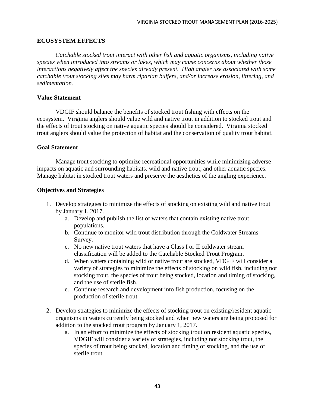### **ECOSYSTEM EFFECTS**

*Catchable stocked trout interact with other fish and aquatic organisms, including native species when introduced into streams or lakes, which may cause concerns about whether those interactions negatively affect the species already present. High angler use associated with some catchable trout stocking sites may harm riparian buffers, and/or increase erosion, littering, and sedimentation.* 

### **Value Statement**

VDGIF should balance the benefits of stocked trout fishing with effects on the ecosystem. Virginia anglers should value wild and native trout in addition to stocked trout and the effects of trout stocking on native aquatic species should be considered. Virginia stocked trout anglers should value the protection of habitat and the conservation of quality trout habitat.

#### **Goal Statement**

Manage trout stocking to optimize recreational opportunities while minimizing adverse impacts on aquatic and surrounding habitats, wild and native trout, and other aquatic species. Manage habitat in stocked trout waters and preserve the aesthetics of the angling experience.

- 1. Develop strategies to minimize the effects of stocking on existing wild and native trout by January 1, 2017.
	- a. Develop and publish the list of waters that contain existing native trout populations.
	- b. Continue to monitor wild trout distribution through the Coldwater Streams Survey.
	- c. No new native trout waters that have a Class I or II coldwater stream classification will be added to the Catchable Stocked Trout Program.
	- d. When waters containing wild or native trout are stocked, VDGIF will consider a variety of strategies to minimize the effects of stocking on wild fish, including not stocking trout, the species of trout being stocked, location and timing of stocking, and the use of sterile fish.
	- e. Continue research and development into fish production, focusing on the production of sterile trout.
- 2. Develop strategies to minimize the effects of stocking trout on existing/resident aquatic organisms in waters currently being stocked and when new waters are being proposed for addition to the stocked trout program by January 1, 2017.
	- a. In an effort to minimize the effects of stocking trout on resident aquatic species, VDGIF will consider a variety of strategies, including not stocking trout, the species of trout being stocked, location and timing of stocking, and the use of sterile trout.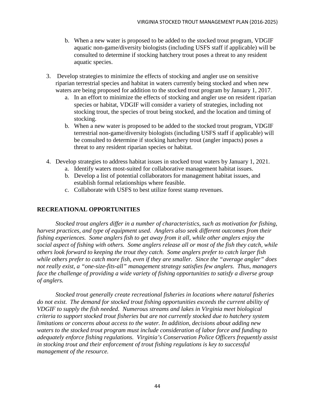- b. When a new water is proposed to be added to the stocked trout program, VDGIF aquatic non-game/diversity biologists (including USFS staff if applicable) will be consulted to determine if stocking hatchery trout poses a threat to any resident aquatic species.
- 3. Develop strategies to minimize the effects of stocking and angler use on sensitive riparian terrestrial species and habitat in waters currently being stocked and when new waters are being proposed for addition to the stocked trout program by January 1, 2017.
	- a. In an effort to minimize the effects of stocking and angler use on resident riparian species or habitat, VDGIF will consider a variety of strategies, including not stocking trout, the species of trout being stocked, and the location and timing of stocking.
	- b. When a new water is proposed to be added to the stocked trout program, VDGIF terrestrial non-game/diversity biologists (including USFS staff if applicable) will be consulted to determine if stocking hatchery trout (angler impacts) poses a threat to any resident riparian species or habitat.
- 4. Develop strategies to address habitat issues in stocked trout waters by January 1, 2021.
	- a. Identify waters most-suited for collaborative management habitat issues.
	- b. Develop a list of potential collaborators for management habitat issues, and establish formal relationships where feasible.
	- c. Collaborate with USFS to best utilize forest stamp revenues.

## **RECREATIONAL OPPORTUNITIES**

*Stocked trout anglers differ in a number of characteristics, such as motivation for fishing, harvest practices, and type of equipment used. Anglers also seek different outcomes from their fishing experiences. Some anglers fish to get away from it all, while other anglers enjoy the social aspect of fishing with others. Some anglers release all or most of the fish they catch, while others look forward to keeping the trout they catch. Some anglers prefer to catch larger fish while others prefer to catch more fish, even if they are smaller. Since the "average angler" does not really exist, a "one-size-fits-all" management strategy satisfies few anglers. Thus, managers face the challenge of providing a wide variety of fishing opportunities to satisfy a diverse group of anglers.* 

*Stocked trout generally create recreational fisheries in locations where natural fisheries do not exist. The demand for stocked trout fishing opportunities exceeds the current ability of VDGIF to supply the fish needed. Numerous streams and lakes in Virginia meet biological criteria to support stocked trout fisheries but are not currently stocked due to hatchery system limitations or concerns about access to the water. In addition, decisions about adding new waters to the stocked trout program must include consideration of labor force and funding to adequately enforce fishing regulations. Virginia's Conservation Police Officers frequently assist in stocking trout and their enforcement of trout fishing regulations is key to successful management of the resource.*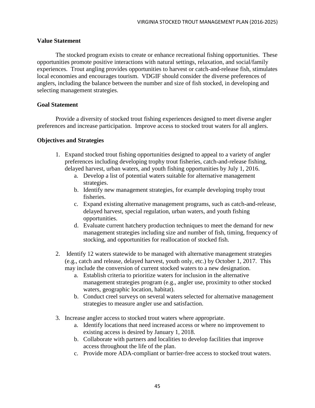### **Value Statement**

The stocked program exists to create or enhance recreational fishing opportunities. These opportunities promote positive interactions with natural settings, relaxation, and social/family experiences. Trout angling provides opportunities to harvest or catch-and-release fish, stimulates local economies and encourages tourism. VDGIF should consider the diverse preferences of anglers, including the balance between the number and size of fish stocked, in developing and selecting management strategies.

### **Goal Statement**

Provide a diversity of stocked trout fishing experiences designed to meet diverse angler preferences and increase participation. Improve access to stocked trout waters for all anglers.

- 1. Expand stocked trout fishing opportunities designed to appeal to a variety of angler preferences including developing trophy trout fisheries, catch-and-release fishing, delayed harvest, urban waters, and youth fishing opportunities by July 1, 2016.
	- a. Develop a list of potential waters suitable for alternative management strategies.
	- b. Identify new management strategies, for example developing trophy trout fisheries.
	- c. Expand existing alternative management programs, such as catch-and-release, delayed harvest, special regulation, urban waters, and youth fishing opportunities.
	- d. Evaluate current hatchery production techniques to meet the demand for new management strategies including size and number of fish, timing, frequency of stocking, and opportunities for reallocation of stocked fish.
- 2. Identify 12 waters statewide to be managed with alternative management strategies (e.g., catch and release, delayed harvest, youth only, etc.) by October 1, 2017. This may include the conversion of current stocked waters to a new designation.
	- a. Establish criteria to prioritize waters for inclusion in the alternative management strategies program (e.g., angler use, proximity to other stocked waters, geographic location, habitat).
	- b. Conduct creel surveys on several waters selected for alternative management strategies to measure angler use and satisfaction.
- 3. Increase angler access to stocked trout waters where appropriate.
	- a. Identify locations that need increased access or where no improvement to existing access is desired by January 1, 2018.
	- b. Collaborate with partners and localities to develop facilities that improve access throughout the life of the plan.
	- c. Provide more ADA-compliant or barrier-free access to stocked trout waters.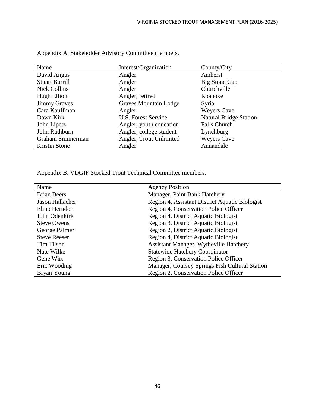| Name                  | Interest/Organization        | County/City                   |
|-----------------------|------------------------------|-------------------------------|
| David Angus           | Angler                       | Amherst                       |
| <b>Stuart Burrill</b> | Angler                       | <b>Big Stone Gap</b>          |
| <b>Nick Collins</b>   | Angler                       | Churchville                   |
| Hugh Elliott          | Angler, retired              | Roanoke                       |
| <b>Jimmy Graves</b>   | <b>Graves Mountain Lodge</b> | Syria                         |
| Cara Kauffman         | Angler                       | <b>Weyers Cave</b>            |
| Dawn Kirk             | U.S. Forest Service          | <b>Natural Bridge Station</b> |
| John Lipetz           | Angler, youth education      | <b>Falls Church</b>           |
| John Rathburn         | Angler, college student      | Lynchburg                     |
| Graham Simmerman      | Angler, Trout Unlimited      | <b>Weyers Cave</b>            |
| Kristin Stone         | Angler                       | Annandale                     |

Appendix A. Stakeholder Advisory Committee members.

Appendix B. VDGIF Stocked Trout Technical Committee members.

| Name                | <b>Agency Position</b>                         |
|---------------------|------------------------------------------------|
| <b>Brian Beers</b>  | Manager, Paint Bank Hatchery                   |
| Jason Hallacher     | Region 4, Assistant District Aquatic Biologist |
| Elmo Herndon        | Region 4, Conservation Police Officer          |
| John Odenkirk       | Region 4, District Aquatic Biologist           |
| <b>Steve Owens</b>  | Region 3, District Aquatic Biologist           |
| George Palmer       | Region 2, District Aquatic Biologist           |
| <b>Steve Reeser</b> | Region 4, District Aquatic Biologist           |
| Tim Tilson          | Assistant Manager, Wytheville Hatchery         |
| Nate Wilke          | <b>Statewide Hatchery Coordinator</b>          |
| Gene Wirt           | Region 3, Conservation Police Officer          |
| Eric Wooding        | Manager, Coursey Springs Fish Cultural Station |
| Bryan Young         | Region 2, Conservation Police Officer          |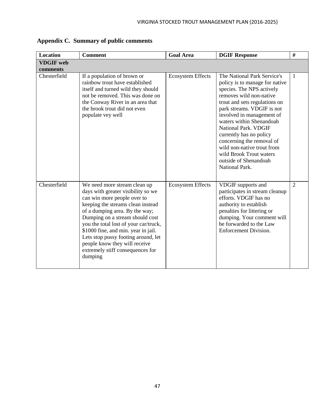| <b>Location</b>  | <b>Comment</b>                                                                                                                                                                                                                                                                                                                                                                                                     | <b>Goal Area</b>         | <b>DGIF Response</b>                                                                                                                                                                                                                                                                                                                                                                                                              | #              |
|------------------|--------------------------------------------------------------------------------------------------------------------------------------------------------------------------------------------------------------------------------------------------------------------------------------------------------------------------------------------------------------------------------------------------------------------|--------------------------|-----------------------------------------------------------------------------------------------------------------------------------------------------------------------------------------------------------------------------------------------------------------------------------------------------------------------------------------------------------------------------------------------------------------------------------|----------------|
| <b>VDGIF</b> web |                                                                                                                                                                                                                                                                                                                                                                                                                    |                          |                                                                                                                                                                                                                                                                                                                                                                                                                                   |                |
| comments         |                                                                                                                                                                                                                                                                                                                                                                                                                    |                          |                                                                                                                                                                                                                                                                                                                                                                                                                                   |                |
| Chesterfield     | If a population of brown or<br>rainbow trout have established<br>itself and turned wild they should<br>not be removed. This was done on<br>the Conway River in an area that<br>the brook trout did not even<br>populate vey well                                                                                                                                                                                   | <b>Ecosystem Effects</b> | The National Park Service's<br>policy is to manage for native<br>species. The NPS actively<br>removes wild non-native<br>trout and sets regulations on<br>park streams. VDGIF is not<br>involved in management of<br>waters within Shenandoah<br>National Park. VDGIF<br>currently has no policy<br>concerning the removal of<br>wild non-native trout from<br>wild Brook Trout waters<br>outside of Shenandoah<br>National Park. | 1              |
| Chesterfield     | We need more stream clean up<br>days with greater visibility so we<br>can win more people over to<br>keeping the streams clean instead<br>of a dumping area. By the way;<br>Dumping on a stream should cost<br>you the total lost of your car/truck,<br>\$1000 fine, and min. year in jail.<br>Lets stop pussy footing around, let<br>people know they will receive<br>extremely stiff consequences for<br>dumping | <b>Ecosystem Effects</b> | VDGIF supports and<br>participates in stream cleanup<br>efforts. VDGIF has no<br>authority to establish<br>penalties for littering or<br>dumping. Your comment will<br>be forwarded to the Law<br>Enforcement Division.                                                                                                                                                                                                           | $\overline{2}$ |

**Appendix C. Summary of public comments**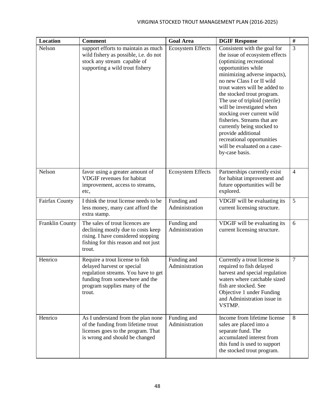| <b>Location</b> | <b>Comment</b>                                                                                                                                                                   | <b>Goal Area</b>              | <b>DGIF Response</b>                                                                                                                                                                                                                                                                                                                                                                                                                                                                                         | $\#$           |
|-----------------|----------------------------------------------------------------------------------------------------------------------------------------------------------------------------------|-------------------------------|--------------------------------------------------------------------------------------------------------------------------------------------------------------------------------------------------------------------------------------------------------------------------------------------------------------------------------------------------------------------------------------------------------------------------------------------------------------------------------------------------------------|----------------|
| Nelson          | support efforts to maintain as much<br>wild fishery as possible, i.e. do not<br>stock any stream capable of<br>supporting a wild trout fishery                                   | <b>Ecosystem Effects</b>      | Consistent with the goal for<br>the issue of ecosystem effects<br>(optimizing recreational<br>opportunities while<br>minimizing adverse impacts),<br>no new Class I or II wild<br>trout waters will be added to<br>the stocked trout program.<br>The use of triploid (sterile)<br>will be investigated when<br>stocking over current wild<br>fisheries. Streams that are<br>currently being stocked to<br>provide additional<br>recreational opportunities<br>will be evaluated on a case-<br>by-case basis. | 3              |
| Nelson          | favor using a greater amount of<br><b>VDGIF</b> revenues for habitat<br>improvement, access to streams,<br>etc,                                                                  | <b>Ecosystem Effects</b>      | Partnerships currently exist<br>for habitat improvement and<br>future opportunities will be<br>explored.                                                                                                                                                                                                                                                                                                                                                                                                     | $\overline{4}$ |
| Fairfax County  | I think the trout license needs to be<br>less money, many cant afford the<br>extra stamp.                                                                                        | Funding and<br>Administration | VDGIF will be evaluating its<br>current licensing structure.                                                                                                                                                                                                                                                                                                                                                                                                                                                 | 5              |
| Franklin County | The sales of trout licences are<br>declining mostly due to costs keep<br>rising. I have considered stopping<br>fishing for this reason and not just<br>trout.                    | Funding and<br>Administration | VDGIF will be evaluating its<br>current licensing structure.                                                                                                                                                                                                                                                                                                                                                                                                                                                 | 6              |
| Henrico         | Require a trout license to fish<br>delayed harvest or special<br>regulation streams. You have to get<br>funding from somewhere and the<br>program supplies many of the<br>trout. | Funding and<br>Administration | Currently a trout license is<br>required to fish delayed<br>harvest and special regulation<br>waters where catchable sized<br>fish are stocked. See<br>Objective 1 under Funding<br>and Administration issue in<br>VSTMP.                                                                                                                                                                                                                                                                                    | 7              |
| Henrico         | As I understand from the plan none<br>of the funding from lifetime trout<br>licenses goes to the program. That<br>is wrong and should be changed                                 | Funding and<br>Administration | Income from lifetime license<br>sales are placed into a<br>separate fund. The<br>accumulated interest from<br>this fund is used to support<br>the stocked trout program.                                                                                                                                                                                                                                                                                                                                     | 8              |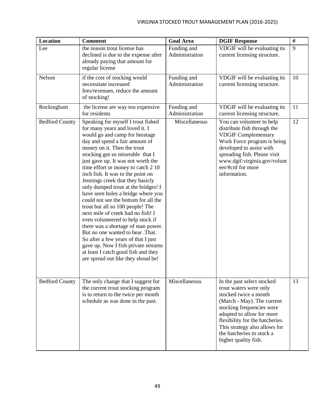| <b>Location</b>       | <b>Comment</b>                                                                                                                                                                                                                                                                                                                                                                                                                                                                                                                                                                                                                                                                                                                                                                                                                           | <b>Goal Area</b>              | <b>DGIF Response</b>                                                                                                                                                                                                                                                                           | $\#$ |
|-----------------------|------------------------------------------------------------------------------------------------------------------------------------------------------------------------------------------------------------------------------------------------------------------------------------------------------------------------------------------------------------------------------------------------------------------------------------------------------------------------------------------------------------------------------------------------------------------------------------------------------------------------------------------------------------------------------------------------------------------------------------------------------------------------------------------------------------------------------------------|-------------------------------|------------------------------------------------------------------------------------------------------------------------------------------------------------------------------------------------------------------------------------------------------------------------------------------------|------|
| Lee                   | the reason trout license has<br>declined is due to the expense after<br>already paying that amount for<br>regular license                                                                                                                                                                                                                                                                                                                                                                                                                                                                                                                                                                                                                                                                                                                | Funding and<br>Administration | VDGIF will be evaluating its<br>current licensing structure.                                                                                                                                                                                                                                   | 9    |
| Nelson                | if the cost of stocking would<br>necessitate increased<br>fees/revenues, reduce the amount<br>of stocking!                                                                                                                                                                                                                                                                                                                                                                                                                                                                                                                                                                                                                                                                                                                               | Funding and<br>Administration | VDGIF will be evaluating its<br>current licensing structure.                                                                                                                                                                                                                                   | 10   |
| Rockingham            | the license are way too expensive<br>for residents                                                                                                                                                                                                                                                                                                                                                                                                                                                                                                                                                                                                                                                                                                                                                                                       | Funding and<br>Administration | VDGIF will be evaluating its<br>current licensing structure.                                                                                                                                                                                                                                   | 11   |
| <b>Bedford County</b> | Speaking for myself I trout fished<br>for many years and loved it. I<br>would go and camp for heratage<br>day and spend a fair amount of<br>money on it. Then the trout<br>stocking got so miserable that I<br>just gave up. It was not worth the<br>time effort or money to catch 2 10<br>inch fish. It was to the point on<br>Jennings creek that they basicly<br>only dumped trout at the bridges! I<br>have seen holes a bridge where you<br>could not see the bottom for all the<br>trout but all so 100 people! The<br>next mile of creek had no fish! I<br>even volunteered to help stock if<br>there was a shortage of man power.<br>But no one wanted to hear .That.<br>So after a few years of that I just<br>gave up. Now I fish private streams<br>at least I catch good fish and they<br>are spread out like they shoud be! | Miscellaneous                 | You can volunteer to help<br>distribute fish through the<br><b>VDGIF Complementary</b><br>Work Force program is being<br>developed to assist with<br>spreading fish. Please visit<br>www.dgif.virginia.gov/volunt<br>eer/#cnf for more<br>information.                                         | 12   |
| <b>Bedford County</b> | The only change that I suggest for<br>the current trout stocking program<br>is to return to the twice per month<br>schedule as was done in the past.                                                                                                                                                                                                                                                                                                                                                                                                                                                                                                                                                                                                                                                                                     | Miscellaneous                 | In the past select stocked<br>trout waters were only<br>stocked twice a month<br>(March - May). The current<br>stocking frequencies were<br>adopted to allow for more<br>flexibility for the hatcheries.<br>This strategy also allows for<br>the hatcheries to stock a<br>higher quality fish. | 13   |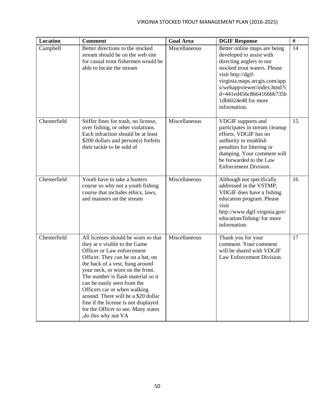| <b>Location</b> | <b>Comment</b>                                                                                                                                                                                                                                                                                                                                                                                                                                                    | <b>Goal Area</b> | <b>DGIF Response</b>                                                                                                                                                                                                                                                         | $\#$ |
|-----------------|-------------------------------------------------------------------------------------------------------------------------------------------------------------------------------------------------------------------------------------------------------------------------------------------------------------------------------------------------------------------------------------------------------------------------------------------------------------------|------------------|------------------------------------------------------------------------------------------------------------------------------------------------------------------------------------------------------------------------------------------------------------------------------|------|
| Campbell        | Better directions to the stocked<br>stream should be on the web site<br>for casual trout fishermen would be<br>able to locate the stream                                                                                                                                                                                                                                                                                                                          | Miscellaneous    | Better online maps are being<br>developed to assist with<br>directing anglers to our<br>stocked trout waters. Please<br>visit http://dgif-<br>virginia.maps.arcgis.com/app<br>s/webappviewer/index.html?i<br>d=441ed456c8664166bb735b<br>1db6024e48 for more<br>information. | 14   |
| Chesterfield    | Stiffer fines for trash, no license,<br>over fishing, or other violations.<br>Each infraction should be at least<br>\$200 dollars and person(s) forfeits<br>their tackle to be sold of                                                                                                                                                                                                                                                                            | Miscellaneous    | VDGIF supports and<br>participates in stream cleanup<br>efforts. VDGIF has no<br>authority to establish<br>penalties for littering or<br>dumping. Your comment will<br>be forwarded to the Law<br><b>Enforcement Division.</b>                                               | 15   |
| Chesterfield    | Youth have to take a hunters<br>course so why not a youth fishing<br>course that includes ethics, laws,<br>and manners on the stream                                                                                                                                                                                                                                                                                                                              | Miscellaneous    | Although not specifically<br>addressed in the VSTMP,<br>VDGIF does have a fishing<br>education program. Please<br>visit<br>http://www.dgif.virginia.gov/<br>education/fishing/ for more<br>information.                                                                      | 16   |
| Chesterfield    | All licenses should be worn so that<br>they ar e visible to the Game<br>Officer or Law enforcement<br>Officer. They can be on a hat, on<br>the back of a vest, hung around<br>your neck, or worn on the front.<br>The number is flash material so it<br>can be easily seen from the<br>Officers car or when walking<br>around. There will be a \$20 dollar<br>fine if the license is not displayed<br>for the Officer to see. Many states<br>, do this why not VA | Miscellaneous    | Thank you for your<br>comment. Your comment<br>will be shared with VDGIF<br>Law Enforcement Division.                                                                                                                                                                        | 17   |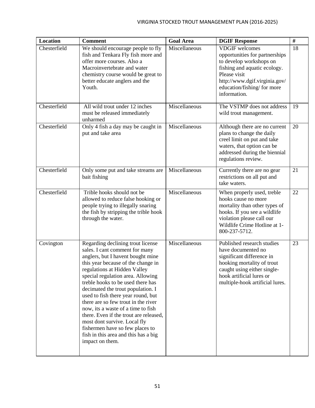| <b>Location</b> | <b>Comment</b>                                                                                                                                                                                                                                                                                                                                                                                                                                                                                                                                                                           | <b>Goal Area</b> | <b>DGIF Response</b>                                                                                                                                                                                               | $\#$ |
|-----------------|------------------------------------------------------------------------------------------------------------------------------------------------------------------------------------------------------------------------------------------------------------------------------------------------------------------------------------------------------------------------------------------------------------------------------------------------------------------------------------------------------------------------------------------------------------------------------------------|------------------|--------------------------------------------------------------------------------------------------------------------------------------------------------------------------------------------------------------------|------|
| Chesterfield    | We should encourage people to fly<br>fish and Tenkara Fly fish more and<br>offer more courses. Also a<br>Macroinvertebrate and water<br>chemistry course would be great to<br>better educate anglers and the<br>Youth.                                                                                                                                                                                                                                                                                                                                                                   | Miscellaneous    | <b>VDGIF</b> welcomes<br>opportunities for partnerships<br>to develop workshops on<br>fishing and aquatic ecology.<br>Please visit<br>http://www.dgif.virginia.gov/<br>education/fishing/ for more<br>information. | 18   |
| Chesterfield    | All wild trout under 12 inches<br>must be released immediately<br>unharmed                                                                                                                                                                                                                                                                                                                                                                                                                                                                                                               | Miscellaneous    | The VSTMP does not address<br>wild trout management.                                                                                                                                                               | 19   |
| Chesterfield    | Only 4 fish a day may be caught in<br>put and take area                                                                                                                                                                                                                                                                                                                                                                                                                                                                                                                                  | Miscellaneous    | Although there are no current<br>plans to change the daily<br>creel limit on put and take<br>waters, that option can be<br>addressed during the biennial<br>regulations review.                                    | 20   |
| Chesterfield    | Only some put and take streams are<br>bait fishing                                                                                                                                                                                                                                                                                                                                                                                                                                                                                                                                       | Miscellaneous    | Currently there are no gear<br>restrictions on all put and<br>take waters.                                                                                                                                         | 21   |
| Chesterfield    | Trible hooks should not be<br>allowed to reduce false hooking or<br>people trying to illegally snaring<br>the fish by stripping the trible hook<br>through the water.                                                                                                                                                                                                                                                                                                                                                                                                                    | Miscellaneous    | When properly used, treble<br>hooks cause no more<br>mortality than other types of<br>hooks. If you see a wildlife<br>violation please call our<br>Wildlife Crime Hotline at 1-<br>800-237-5712.                   | 22   |
| Covington       | Regarding declining trout license<br>sales. I cant comment for many<br>anglers, but I havent bought mine<br>this year because of the change in<br>regulations at Hidden Valley<br>special regulation area. Allowing<br>treble hooks to be used there has<br>decimated the trout population. I<br>used to fish there year round, but<br>there are so few trout in the river<br>now, its a waste of a time to fish<br>there. Even if the trout are released,<br>most dont survive. Local fly<br>fishermen have so few places to<br>fish in this area and this has a big<br>impact on them. | Miscellaneous    | Published research studies<br>have documented no<br>significant difference in<br>hooking mortality of trout<br>caught using either single-<br>hook artificial lures or<br>multiple-hook artificial lures.          | 23   |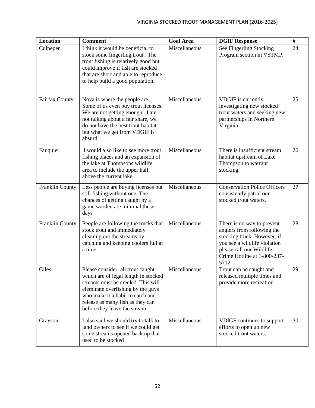| <b>Location</b>        | <b>Comment</b>                                                                                                                                                                                                                                               | <b>Goal Area</b> | <b>DGIF Response</b>                                                                                                                                                                        | $\#$ |
|------------------------|--------------------------------------------------------------------------------------------------------------------------------------------------------------------------------------------------------------------------------------------------------------|------------------|---------------------------------------------------------------------------------------------------------------------------------------------------------------------------------------------|------|
| Culpeper               | I think it would be beneficial to<br>stock some fingerling trout. The<br>trout fishing is relatively good but<br>could improve if fish are stocked<br>that are short and able to reproduce<br>to help build a good population.                               | Miscellaneous    | See Fingerling Stocking<br>Program section in VSTMP.                                                                                                                                        | 24   |
| Fairfax County         | Nova is where the people are.<br>Some of us even buy trout licenses.<br>We are not getting enough. I am<br>not talking about a fair share, we<br>do not have the best trout habitat<br>but what we get from VDGIF is<br>absurd.                              | Miscellaneous    | VDGIF is currently<br>investigating new stocked<br>trout waters and seeking new<br>partnerships in Northern<br>Virginia                                                                     | 25   |
| Fauquier               | I would also like to see more trout<br>fishing places and an expansion of<br>the lake at Thompsons wildlife<br>area to include the upper half<br>above the current lake                                                                                      | Miscellaneous    | There is insufficient stream<br>habitat upstream of Lake<br>Thompson to warrant<br>stocking.                                                                                                | 26   |
| <b>Franklin County</b> | Less people are buying licenses but<br>still fishing without one. The<br>chances of getting caught by a<br>game warden are minimal these<br>days                                                                                                             | Miscellaneous    | <b>Conservation Police Officers</b><br>consistently patrol our<br>stocked trout waters.                                                                                                     | 27   |
| <b>Franklin County</b> | People are following the trucks that<br>stock trout and immediately<br>cleaning out the streams by<br>catching and keeping coolers full at<br>a time                                                                                                         | Miscellaneous    | There is no way to prevent<br>anglers from following the<br>stocking truck. However, if<br>you see a wildlife violation<br>please call our Wildlife<br>Crime Hotline at 1-800-237-<br>5712. | 28   |
| Giles                  | Please consider: all trout caught<br>which are of legal length in stocked<br>streams must be creeled. This will<br>eleminate overfishing by the guys<br>who make it a habit to catch and<br>release as many fish as they can<br>before they leave the stream | Miscellaneous    | Trout can be caught and<br>released multiple times and<br>provide more recreation.                                                                                                          | 29   |
| Grayson                | I also said we should try to talk to<br>land owners to see if we could get<br>some streams opened back up that<br>used to be stocked                                                                                                                         | Miscellaneous    | VDIGF continues to support<br>efforts to open up new<br>stocked trout waters.                                                                                                               | 30   |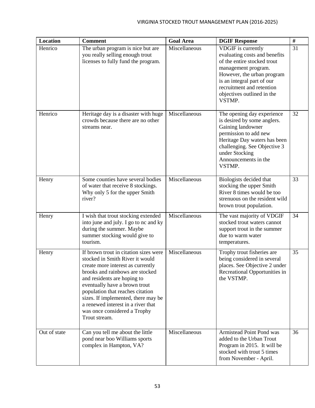| <b>Location</b> | <b>Comment</b>                                                                                                                                                                                                                                                                                                                                                                     | <b>Goal Area</b> | <b>DGIF Response</b>                                                                                                                                                                                                                       | $\#$ |
|-----------------|------------------------------------------------------------------------------------------------------------------------------------------------------------------------------------------------------------------------------------------------------------------------------------------------------------------------------------------------------------------------------------|------------------|--------------------------------------------------------------------------------------------------------------------------------------------------------------------------------------------------------------------------------------------|------|
| Henrico         | The urban program is nice but are<br>you really selling enough trout<br>licenses to fully fund the program.                                                                                                                                                                                                                                                                        | Miscellaneous    | VDGIF is currently<br>evaluating costs and benefits<br>of the entire stocked trout<br>management program.<br>However, the urban program<br>is an integral part of our<br>recruitment and retention<br>objectives outlined in the<br>VSTMP. | 31   |
| Henrico         | Heritage day is a disaster with huge<br>crowds because there are no other<br>streams near.                                                                                                                                                                                                                                                                                         | Miscellaneous    | The opening day experience<br>is desired by some anglers.<br>Gaining landowner<br>permission to add new<br>Heritage Day waters has been<br>challenging. See Objective 3<br>under Stocking<br>Announcements in the<br>VSTMP.                | 32   |
| Henry           | Some counties have several bodies<br>of water that receive 8 stockings.<br>Why only 5 for the upper Smith<br>river?                                                                                                                                                                                                                                                                | Miscellaneous    | Biologists decided that<br>stocking the upper Smith<br>River 8 times would be too<br>strenuous on the resident wild<br>brown trout population.                                                                                             | 33   |
| Henry           | I wish that trout stocking extended<br>into june and july. I go to nc and ky<br>during the summer. Maybe<br>summer stocking would give to<br>tourism.                                                                                                                                                                                                                              | Miscellaneous    | The vast majority of VDGIF<br>stocked trout waters cannot<br>support trout in the summer<br>due to warm water<br>temperatures.                                                                                                             | 34   |
| Henry           | If brown trout in citation sizes were<br>stocked in Smith River it would<br>create more interest as currently<br>brooks and rainbows are stocked<br>and residents are hoping to<br>eventually have a brown trout<br>population that reaches citation<br>sizes. If implemented, there may be<br>a renewed interest in a river that<br>was once considered a Trophy<br>Trout stream. | Miscellaneous    | Trophy trout fisheries are<br>being considered in several<br>places. See Objective 2 under<br>Recreational Opportunities in<br>the VSTMP.                                                                                                  | 35   |
| Out of state    | Can you tell me about the little<br>pond near boo Williams sports<br>complex in Hampton, VA?                                                                                                                                                                                                                                                                                       | Miscellaneous    | <b>Armistead Point Pond was</b><br>added to the Urban Trout<br>Program in 2015. It will be<br>stocked with trout 5 times<br>from November - April.                                                                                         | 36   |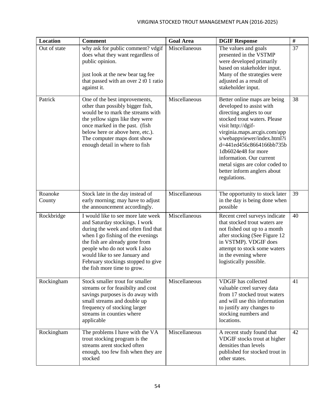| Location          | <b>Comment</b>                                                                                                                                                                                                                                                                                                            | <b>Goal Area</b> | <b>DGIF Response</b>                                                                                                                                                                                                                                                                                                                                                      | $\#$ |
|-------------------|---------------------------------------------------------------------------------------------------------------------------------------------------------------------------------------------------------------------------------------------------------------------------------------------------------------------------|------------------|---------------------------------------------------------------------------------------------------------------------------------------------------------------------------------------------------------------------------------------------------------------------------------------------------------------------------------------------------------------------------|------|
| Out of state      | why ask for public comment? vdgif<br>does what they want regardless of<br>public opinion.<br>just look at the new bear tag fee<br>that passed with an over 2 t0 1 ratio<br>against it.                                                                                                                                    | Miscellaneous    | The values and goals<br>presented in the VSTMP<br>were developed primarily<br>based on stakeholder input.<br>Many of the strategies were<br>adjusted as a result of<br>stakeholder input.                                                                                                                                                                                 | 37   |
| Patrick           | One of the best improvements,<br>other than possibly bigger fish,<br>would be to mark the streams with<br>the yellow signs like they were<br>once marked in the past. (fish<br>below here or above here, etc.).<br>The computer maps dont show<br>enough detail in where to fish                                          | Miscellaneous    | Better online maps are being<br>developed to assist with<br>directing anglers to our<br>stocked trout waters. Please<br>visit http://dgif-<br>virginia.maps.arcgis.com/app<br>s/webappviewer/index.html?i<br>d=441ed456c8664166bb735b<br>1db6024e48 for more<br>information. Our current<br>metal signs are color coded to<br>better inform anglers about<br>regulations. | 38   |
| Roanoke<br>County | Stock late in the day instead of<br>early morning; may have to adjust<br>the announcement accordingly.                                                                                                                                                                                                                    | Miscellaneous    | The opportunity to stock later<br>in the day is being done when<br>possible                                                                                                                                                                                                                                                                                               | 39   |
| Rockbridge        | I would like to see more late week<br>and Saturday stockings. I work<br>during the week and often find that<br>when I go fishing of the evenings<br>the fish are already gone from<br>people who do not work I also<br>would like to see January and<br>February stockings stopped to give<br>the fish more time to grow. | Miscellaneous    | Recent creel surveys indicate<br>that stocked trout waters are<br>not fished out up to a month<br>after stocking (See Figure 12<br>in VSTMP). VDGIF does<br>attempt to stock some waters<br>in the evening where<br>logistically possible.                                                                                                                                | 40   |
| Rockingham        | Stock smaller trout for smaller<br>streams or for feasibilty and cost<br>savings purposes is do away with<br>small streams and double up<br>frequency of stocking larger<br>streams in counties where<br>applicable                                                                                                       | Miscellaneous    | <b>VDGIF</b> has collected<br>valuable creel survey data<br>from 17 stocked trout waters<br>and will use this information<br>to justify any changes to<br>stocking numbers and<br>locations.                                                                                                                                                                              | 41   |
| Rockingham        | The problems I have with the VA<br>trout stocking program is the<br>streams arent stocked often<br>enough, too few fish when they are<br>stocked                                                                                                                                                                          | Miscellaneous    | A recent study found that<br>VDGIF stocks trout at higher<br>densities than levels<br>published for stocked trout in<br>other states.                                                                                                                                                                                                                                     | 42   |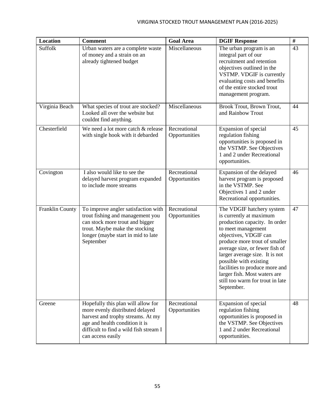| <b>Location</b> | <b>Comment</b>                                                                                                                                                                                              | <b>Goal Area</b>              | <b>DGIF Response</b>                                                                                                                                                                                                                                                                                                                                                                    | #  |
|-----------------|-------------------------------------------------------------------------------------------------------------------------------------------------------------------------------------------------------------|-------------------------------|-----------------------------------------------------------------------------------------------------------------------------------------------------------------------------------------------------------------------------------------------------------------------------------------------------------------------------------------------------------------------------------------|----|
| Suffolk         | Urban waters are a complete waste<br>of money and a strain on an<br>already tightened budget                                                                                                                | Miscellaneous                 | The urban program is an<br>integral part of our<br>recruitment and retention<br>objectives outlined in the<br>VSTMP. VDGIF is currently<br>evaluating costs and benefits<br>of the entire stocked trout<br>management program.                                                                                                                                                          | 43 |
| Virginia Beach  | What species of trout are stocked?<br>Looked all over the website but<br>couldnt find anything.                                                                                                             | Miscellaneous                 | Brook Trout, Brown Trout,<br>and Rainbow Trout                                                                                                                                                                                                                                                                                                                                          | 44 |
| Chesterfield    | We need a lot more catch & release<br>with single hook with it debarded                                                                                                                                     | Recreational<br>Opportunities | Expansion of special<br>regulation fishing<br>opportunities is proposed in<br>the VSTMP. See Objectives<br>1 and 2 under Recreational<br>opportunities.                                                                                                                                                                                                                                 | 45 |
| Covington       | I also would like to see the<br>delayed harvest program expanded<br>to include more streams                                                                                                                 | Recreational<br>Opportunities | Expansion of the delayed<br>harvest program is proposed<br>in the VSTMP. See<br>Objectives 1 and 2 under<br>Recreational opportunities.                                                                                                                                                                                                                                                 | 46 |
| Franklin County | To improve angler satisfaction with<br>trout fishing and management you<br>can stock more trout and bigger<br>trout. Maybe make the stocking<br>longer (maybe start in mid to late<br>September             | Recreational<br>Opportunities | The VDGIF hatchery system<br>is currently at maximum<br>production capacity. In order<br>to meet management<br>objectives, VDGIF can<br>produce more trout of smaller<br>average size, or fewer fish of<br>larger average size. It is not<br>possible with existing<br>facilities to produce more and<br>larger fish. Most waters are<br>still too warm for trout in late<br>September. | 47 |
| Greene          | Hopefully this plan will allow for<br>more evenly distributed delayed<br>harvest and trophy streams. At my<br>age and health condition it is<br>difficult to find a wild fish stream I<br>can access easily | Recreational<br>Opportunities | Expansion of special<br>regulation fishing<br>opportunities is proposed in<br>the VSTMP. See Objectives<br>1 and 2 under Recreational<br>opportunities.                                                                                                                                                                                                                                 | 48 |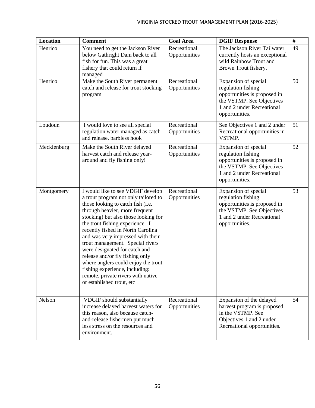| <b>Location</b> | <b>Comment</b>                                                                                                                                                                                                                                                                                                                                                                                                                                                                                                                                            | <b>Goal Area</b>              | <b>DGIF Response</b>                                                                                                                                    | $\#$ |
|-----------------|-----------------------------------------------------------------------------------------------------------------------------------------------------------------------------------------------------------------------------------------------------------------------------------------------------------------------------------------------------------------------------------------------------------------------------------------------------------------------------------------------------------------------------------------------------------|-------------------------------|---------------------------------------------------------------------------------------------------------------------------------------------------------|------|
| Henrico         | You need to get the Jackson River<br>below Gathright Dam back to all<br>fish for fun. This was a great<br>fishery that could return if<br>managed                                                                                                                                                                                                                                                                                                                                                                                                         | Recreational<br>Opportunities | The Jackson River Tailwater<br>currently hosts an exceptional<br>wild Rainbow Trout and<br>Brown Trout fishery.                                         | 49   |
| Henrico         | Make the South River permanent<br>catch and release for trout stocking<br>program                                                                                                                                                                                                                                                                                                                                                                                                                                                                         | Recreational<br>Opportunities | Expansion of special<br>regulation fishing<br>opportunities is proposed in<br>the VSTMP. See Objectives<br>1 and 2 under Recreational<br>opportunities. | 50   |
| Loudoun         | I would love to see all special<br>regulation water managed as catch<br>and release, barbless hook                                                                                                                                                                                                                                                                                                                                                                                                                                                        | Recreational<br>Opportunities | See Objectives 1 and 2 under<br>Recreational opportunities in<br>VSTMP.                                                                                 | 51   |
| Mecklenburg     | Make the South River delayed<br>harvest catch and release year-<br>around and fly fishing only!                                                                                                                                                                                                                                                                                                                                                                                                                                                           | Recreational<br>Opportunities | Expansion of special<br>regulation fishing<br>opportunities is proposed in<br>the VSTMP. See Objectives<br>1 and 2 under Recreational<br>opportunities. | 52   |
| Montgomery      | I would like to see VDGIF develop<br>a trout program not only tailored to<br>those looking to catch fish (i.e.<br>through heavier, more frequent<br>stocking) but also those looking for<br>the trout fishing experience. I<br>recently fished in North Carolina<br>and was very impressed with their<br>trout management. Special rivers<br>were designated for catch and<br>release and/or fly fishing only<br>where anglers could enjoy the trout<br>fishing experience, including:<br>remote, private rivers with native<br>or established trout, etc | Recreational<br>Opportunities | Expansion of special<br>regulation fishing<br>opportunities is proposed in<br>the VSTMP. See Objectives<br>1 and 2 under Recreational<br>opportunities. | 53   |
| Nelson          | <b>VDGIF</b> should substantially<br>increase delayed harvest waters for<br>this reason, also because catch-<br>and-release fishermen put much<br>less stress on the resources and<br>environment.                                                                                                                                                                                                                                                                                                                                                        | Recreational<br>Opportunities | Expansion of the delayed<br>harvest program is proposed<br>in the VSTMP. See<br>Objectives 1 and 2 under<br>Recreational opportunities.                 | 54   |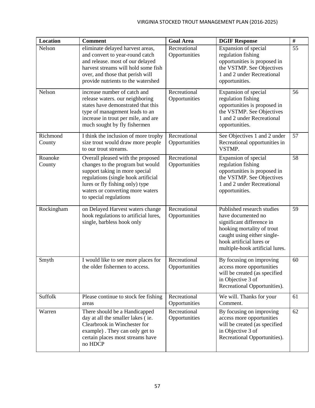| <b>Location</b>    | <b>Comment</b>                                                                                                                                                                                                                                  | <b>Goal Area</b>              | <b>DGIF Response</b>                                                                                                                                                                                      | $\#$ |
|--------------------|-------------------------------------------------------------------------------------------------------------------------------------------------------------------------------------------------------------------------------------------------|-------------------------------|-----------------------------------------------------------------------------------------------------------------------------------------------------------------------------------------------------------|------|
| Nelson             | eliminate delayed harvest areas,<br>and convert to year-round catch<br>and release. most of our delayed<br>harvest streams will hold some fish<br>over, and those that perish will<br>provide nutrients to the watershed                        | Recreational<br>Opportunities | Expansion of special<br>regulation fishing<br>opportunities is proposed in<br>the VSTMP. See Objectives<br>1 and 2 under Recreational<br>opportunities.                                                   | 55   |
| Nelson             | increase number of catch and<br>release waters. our neighboring<br>states have demonstrated that this<br>type of management leads to an<br>increase in trout per mile, and are<br>much sought by fly fishermen                                  | Recreational<br>Opportunities | Expansion of special<br>regulation fishing<br>opportunities is proposed in<br>the VSTMP. See Objectives<br>1 and 2 under Recreational<br>opportunities.                                                   | 56   |
| Richmond<br>County | I think the inclusion of more trophy<br>size trout would draw more people<br>to our trout streams.                                                                                                                                              | Recreational<br>Opportunities | See Objectives 1 and 2 under<br>Recreational opportunities in<br>VSTMP.                                                                                                                                   | 57   |
| Roanoke<br>County  | Overall pleased with the proposed<br>changes to the program but would<br>support taking in more special<br>regulations (single hook artificial<br>lures or fly fishing only) type<br>waters or converting more waters<br>to special regulations | Recreational<br>Opportunities | Expansion of special<br>regulation fishing<br>opportunities is proposed in<br>the VSTMP. See Objectives<br>1 and 2 under Recreational<br>opportunities.                                                   | 58   |
| Rockingham         | on Delayed Harvest waters change<br>hook regulations to artificial lures,<br>single, barbless hook only                                                                                                                                         | Recreational<br>Opportunities | Published research studies<br>have documented no<br>significant difference in<br>hooking mortality of trout<br>caught using either single-<br>hook artificial lures or<br>multiple-hook artificial lures. | 59   |
| Smyth              | I would like to see more places for<br>the older fishermen to access.                                                                                                                                                                           | Recreational<br>Opportunities | By focusing on improving<br>access more opportunities<br>will be created (as specified<br>in Objective 3 of<br>Recreational Opportunities).                                                               | 60   |
| Suffolk            | Please continue to stock fee fishing<br>areas                                                                                                                                                                                                   | Recreational<br>Opportunities | We will. Thanks for your<br>Comment.                                                                                                                                                                      | 61   |
| Warren             | There should be a Handicapped<br>day at all the smaller lakes (ie.<br>Clearbrook in Winchester for<br>example). They can only get to<br>certain places most streams have<br>no HDCP                                                             | Recreational<br>Opportunities | By focusing on improving<br>access more opportunities<br>will be created (as specified<br>in Objective 3 of<br>Recreational Opportunities).                                                               | 62   |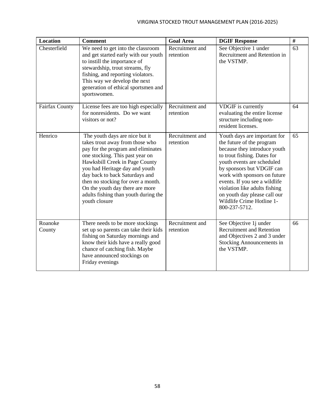| <b>Location</b>   | <b>Comment</b>                                                                                                                                                                                                                                                                                                                                                                     | <b>Goal Area</b>             | <b>DGIF Response</b>                                                                                                                                                                                                                                                                                                                                                | $\#$ |
|-------------------|------------------------------------------------------------------------------------------------------------------------------------------------------------------------------------------------------------------------------------------------------------------------------------------------------------------------------------------------------------------------------------|------------------------------|---------------------------------------------------------------------------------------------------------------------------------------------------------------------------------------------------------------------------------------------------------------------------------------------------------------------------------------------------------------------|------|
| Chesterfield      | We need to get into the classroom<br>and get started early with our youth<br>to instill the importance of<br>stewardship, trout streams, fly<br>fishing, and reporting violators.<br>This way we develop the next<br>generation of ethical sportsmen and<br>sportswomen.                                                                                                           | Recruitment and<br>retention | See Objective 1 under<br>Recruitment and Retention in<br>the VSTMP.                                                                                                                                                                                                                                                                                                 | 63   |
| Fairfax County    | License fees are too high especially<br>for nonresidents. Do we want<br>visitors or not?                                                                                                                                                                                                                                                                                           | Recruitment and<br>retention | VDGIF is currently<br>evaluating the entire license<br>structure including non-<br>resident licenses.                                                                                                                                                                                                                                                               | 64   |
| Henrico           | The youth days are nice but it<br>takes trout away from those who<br>pay for the program and eliminates<br>one stocking. This past year on<br>Hawksbill Creek in Page County<br>you had Heritage day and youth<br>day back to back Saturdays and<br>then no stocking for over a month.<br>On the youth day there are more<br>adults fishing than youth during the<br>youth closure | Recruitment and<br>retention | Youth days are important for<br>the future of the program<br>because they introduce youth<br>to trout fishing. Dates for<br>youth events are scheduled<br>by sponsors but VDGIF can<br>work with sponsors on future<br>events. If you see a wildlife<br>violation like adults fishing<br>on youth day please call our<br>Wildlife Crime Hotline 1-<br>800-237-5712. | 65   |
| Roanoke<br>County | There needs to be more stockings<br>set up so parents can take their kids<br>fishing on Saturday mornings and<br>know their kids have a really good<br>chance of catching fish. Maybe<br>have announced stockings on<br>Friday evenings                                                                                                                                            | Recruitment and<br>retention | See Objective 1j under<br><b>Recruitment and Retention</b><br>and Objectives 2 and 3 under<br>Stocking Announcements in<br>the VSTMP.                                                                                                                                                                                                                               | 66   |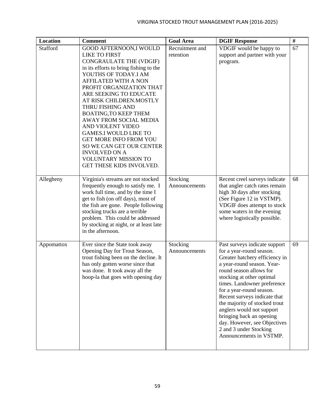| <b>Location</b> | <b>Comment</b>                                                                                                                                                                                                                                                                                                                                                                                                                                                                                                                                  | <b>Goal Area</b>             | <b>DGIF Response</b>                                                                                                                                                                                                                                                                                                                                                                                                                                        | $\#$ |
|-----------------|-------------------------------------------------------------------------------------------------------------------------------------------------------------------------------------------------------------------------------------------------------------------------------------------------------------------------------------------------------------------------------------------------------------------------------------------------------------------------------------------------------------------------------------------------|------------------------------|-------------------------------------------------------------------------------------------------------------------------------------------------------------------------------------------------------------------------------------------------------------------------------------------------------------------------------------------------------------------------------------------------------------------------------------------------------------|------|
| Stafford        | GOOD AFTERNOON, I WOULD<br><b>LIKE TO FIRST</b><br>CONGRAULATE THE (VDGIF)<br>in its efforts to bring fishing to the<br>YOUTHS OF TODAY.I AM<br><b>AFFILATED WITH A NON</b><br>PROFIT ORGANIZATION THAT<br>ARE SEEKING TO EDUCATE<br>AT RISK CHILDREN.MOSTLY<br>THRU FISHING AND<br><b>BOATING, TO KEEP THEM</b><br>AWAY FROM SOCIAL MEDIA<br>AND VIOLENT VIDEO<br><b>GAMES.I WOULD LIKE TO</b><br><b>GET MORE INFO FROM YOU</b><br>SO WE CAN GET OUR CENTER<br><b>INVOLVED ON A</b><br><b>VOLUNTARY MISSION TO</b><br>GET THESE KIDS INVOLVED. | Recruitment and<br>retention | VDGIF would be happy to<br>support and partner with your<br>program.                                                                                                                                                                                                                                                                                                                                                                                        | 67   |
| Allegheny       | Virginia's streams are not stocked<br>frequently enough to satisfy me. I<br>work full time, and by the time I<br>get to fish (on off days), most of<br>the fish are gone. People following<br>stocking trucks are a terrible<br>problem. This could be addressed<br>by stocking at night, or at least late<br>in the afternoon.                                                                                                                                                                                                                 | Stocking<br>Announcements    | Recent creel surveys indicate<br>that angler catch rates remain<br>high 30 days after stocking<br>(See Figure 12 in VSTMP).<br>VDGIF does attempt to stock<br>some waters in the evening<br>where logistically possible.                                                                                                                                                                                                                                    | 68   |
| Appomattox      | Ever since the State took away<br>Opening Day for Trout Season,<br>trout fishing been on the decline. It<br>has only gotten worse since that<br>was done. It took away all the<br>hoop-la that goes with opening day                                                                                                                                                                                                                                                                                                                            | Stocking<br>Announcements    | Past surveys indicate support<br>for a year-round season.<br>Greater hatchery efficiency in<br>a year-round season. Year-<br>round season allows for<br>stocking at other optimal<br>times. Landowner preference<br>for a year-round season.<br>Recent surveys indicate that<br>the majority of stocked trout<br>anglers would not support<br>bringing back an opening<br>day. However, see Objectives<br>2 and 3 under Stocking<br>Announcements in VSTMP. | 69   |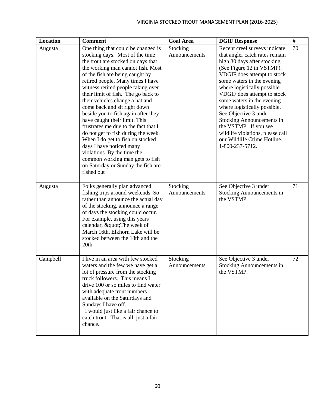| Location | <b>Comment</b>                                                                                                                                                                                                                                                                                                                                                                                                                                                                                                                                                                                                                                                                                                        | <b>Goal Area</b>          | <b>DGIF Response</b>                                                                                                                                                                                                                                                                                                                                                                                                                                                                              | #  |
|----------|-----------------------------------------------------------------------------------------------------------------------------------------------------------------------------------------------------------------------------------------------------------------------------------------------------------------------------------------------------------------------------------------------------------------------------------------------------------------------------------------------------------------------------------------------------------------------------------------------------------------------------------------------------------------------------------------------------------------------|---------------------------|---------------------------------------------------------------------------------------------------------------------------------------------------------------------------------------------------------------------------------------------------------------------------------------------------------------------------------------------------------------------------------------------------------------------------------------------------------------------------------------------------|----|
| Augusta  | One thing that could be changed is<br>stocking days. Most of the time<br>the trout are stocked on days that<br>the working man cannot fish. Most<br>of the fish are being caught by<br>retired people. Many times I have<br>witness retired people taking over<br>their limit of fish. The go back to<br>their vehicles change a hat and<br>come back and sit right down<br>beside you to fish again after they<br>have caught their limit. This<br>frustrates me due to the fact that I<br>do not get to fish during the week.<br>When I do get to fish on stocked<br>days I have noticed many<br>violations. By the time the<br>common working man gets to fish<br>on Saturday or Sunday the fish are<br>fished out | Stocking<br>Announcements | Recent creel surveys indicate<br>that angler catch rates remain<br>high 30 days after stocking<br>(See Figure 12 in VSTMP).<br>VDGIF does attempt to stock<br>some waters in the evening<br>where logistically possible.<br>VDGIF does attempt to stock<br>some waters in the evening<br>where logistically possible.<br>See Objective 3 under<br><b>Stocking Announcements in</b><br>the VSTMP. If you see<br>wildlife violations, please call<br>our Wildlife Crime Hotline.<br>1-800-237-5712. | 70 |
| Augusta  | Folks generally plan advanced<br>fishing trips around weekends. So<br>rather than announce the actual day<br>of the stocking, announce a range<br>of days the stocking could occur.<br>For example, using this years<br>calendar, " The week of<br>March 16th, Elkhorn Lake will be<br>stocked between the 18th and the<br>20th                                                                                                                                                                                                                                                                                                                                                                                       | Stocking<br>Announcements | See Objective 3 under<br><b>Stocking Announcements in</b><br>the VSTMP.                                                                                                                                                                                                                                                                                                                                                                                                                           | 71 |
| Campbell | I live in an area with few stocked<br>waters and the few we have get a<br>lot of pressure from the stocking<br>truck followers. This means I<br>drive 100 or so miles to find water<br>with adequate trout numbers<br>available on the Saturdays and<br>Sundays I have off.<br>I would just like a fair chance to<br>catch trout. That is all, just a fair<br>chance.                                                                                                                                                                                                                                                                                                                                                 | Stocking<br>Announcements | See Objective 3 under<br><b>Stocking Announcements in</b><br>the VSTMP.                                                                                                                                                                                                                                                                                                                                                                                                                           | 72 |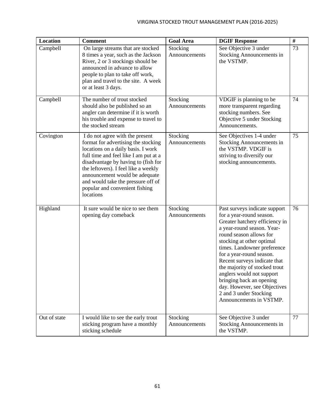| <b>Location</b> | <b>Comment</b>                                                                                                                                                                                                                                                                                                                                              | <b>Goal Area</b>          | <b>DGIF Response</b>                                                                                                                                                                                                                                                                                                                                                                                                                                        | $\#$ |
|-----------------|-------------------------------------------------------------------------------------------------------------------------------------------------------------------------------------------------------------------------------------------------------------------------------------------------------------------------------------------------------------|---------------------------|-------------------------------------------------------------------------------------------------------------------------------------------------------------------------------------------------------------------------------------------------------------------------------------------------------------------------------------------------------------------------------------------------------------------------------------------------------------|------|
| Campbell        | On large streams that are stocked<br>8 times a year, such as the Jackson<br>River, 2 or 3 stockings should be<br>announced in advance to allow<br>people to plan to take off work,<br>plan and travel to the site. A week<br>or at least 3 days.                                                                                                            | Stocking<br>Announcements | See Objective 3 under<br><b>Stocking Announcements in</b><br>the VSTMP.                                                                                                                                                                                                                                                                                                                                                                                     | 73   |
| Campbell        | The number of trout stocked<br>should also be published so an<br>angler can determine if it is worth<br>his trouble and expense to travel to<br>the stocked stream                                                                                                                                                                                          | Stocking<br>Announcements | VDGIF is planning to be<br>more transparent regarding<br>stocking numbers. See<br>Objective 5 under Stocking<br>Announcements.                                                                                                                                                                                                                                                                                                                              | 74   |
| Covington       | I do not agree with the present<br>format for advertising the stocking<br>locations on a daily basis. I work<br>full time and feel like I am put at a<br>disadvantage by having to (fish for<br>the leftovers). I feel like a weekly<br>announcement would be adequate<br>and would take the pressure off of<br>popular and convenient fishing<br>locations | Stocking<br>Announcements | See Objectives 1-4 under<br><b>Stocking Announcements in</b><br>the VSTMP. VDGIF is<br>striving to diversify our<br>stocking announcements.                                                                                                                                                                                                                                                                                                                 | 75   |
| Highland        | It sure would be nice to see them<br>opening day comeback                                                                                                                                                                                                                                                                                                   | Stocking<br>Announcements | Past surveys indicate support<br>for a year-round season.<br>Greater hatchery efficiency in<br>a year-round season. Year-<br>round season allows for<br>stocking at other optimal<br>times. Landowner preference<br>for a year-round season.<br>Recent surveys indicate that<br>the majority of stocked trout<br>anglers would not support<br>bringing back an opening<br>day. However, see Objectives<br>2 and 3 under Stocking<br>Announcements in VSTMP. | 76   |
| Out of state    | I would like to see the early trout<br>sticking program have a monthly<br>sticking schedule                                                                                                                                                                                                                                                                 | Stocking<br>Announcements | See Objective 3 under<br><b>Stocking Announcements in</b><br>the VSTMP.                                                                                                                                                                                                                                                                                                                                                                                     | 77   |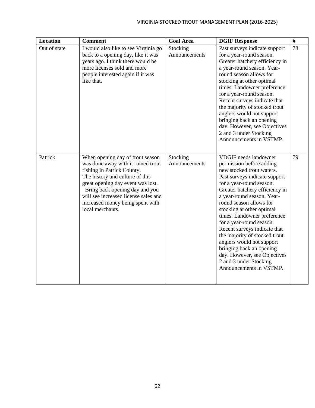| <b>Location</b> | <b>Comment</b>                                                                                                                                                                                                                                                                                                 | <b>Goal Area</b>          | <b>DGIF Response</b>                                                                                                                                                                                                                                                                                                                                                                                                                                                                                                                                 | #  |
|-----------------|----------------------------------------------------------------------------------------------------------------------------------------------------------------------------------------------------------------------------------------------------------------------------------------------------------------|---------------------------|------------------------------------------------------------------------------------------------------------------------------------------------------------------------------------------------------------------------------------------------------------------------------------------------------------------------------------------------------------------------------------------------------------------------------------------------------------------------------------------------------------------------------------------------------|----|
| Out of state    | I would also like to see Virginia go<br>back to a opening day, like it was<br>years ago. I think there would be<br>more licenses sold and more<br>people interested again if it was<br>like that.                                                                                                              | Stocking<br>Announcements | Past surveys indicate support<br>for a year-round season.<br>Greater hatchery efficiency in<br>a year-round season. Year-<br>round season allows for<br>stocking at other optimal<br>times. Landowner preference<br>for a year-round season.<br>Recent surveys indicate that<br>the majority of stocked trout<br>anglers would not support<br>bringing back an opening<br>day. However, see Objectives<br>2 and 3 under Stocking<br>Announcements in VSTMP.                                                                                          | 78 |
| Patrick         | When opening day of trout season<br>was done away with it ruined trout<br>fishing in Patrick County.<br>The history and culture of this<br>great opening day event was lost.<br>Bring back opening day and you<br>will see increased license sales and<br>increased money being spent with<br>local merchants. | Stocking<br>Announcements | <b>VDGIF</b> needs landowner<br>permission before adding<br>new stocked trout waters.<br>Past surveys indicate support<br>for a year-round season.<br>Greater hatchery efficiency in<br>a year-round season. Year-<br>round season allows for<br>stocking at other optimal<br>times. Landowner preference<br>for a year-round season.<br>Recent surveys indicate that<br>the majority of stocked trout<br>anglers would not support<br>bringing back an opening<br>day. However, see Objectives<br>2 and 3 under Stocking<br>Announcements in VSTMP. | 79 |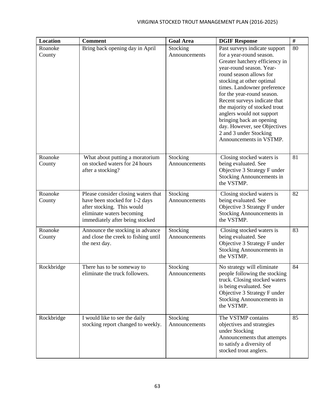| <b>Location</b>   | <b>Comment</b>                                                                                                                                                      | <b>Goal Area</b>          | <b>DGIF Response</b>                                                                                                                                                                                                                                                                                                                                                                                                                                        | $\#$ |
|-------------------|---------------------------------------------------------------------------------------------------------------------------------------------------------------------|---------------------------|-------------------------------------------------------------------------------------------------------------------------------------------------------------------------------------------------------------------------------------------------------------------------------------------------------------------------------------------------------------------------------------------------------------------------------------------------------------|------|
| Roanoke<br>County | Bring back opening day in April                                                                                                                                     | Stocking<br>Announcements | Past surveys indicate support<br>for a year-round season.<br>Greater hatchery efficiency in<br>year-round season. Year-<br>round season allows for<br>stocking at other optimal<br>times. Landowner preference<br>for the year-round season.<br>Recent surveys indicate that<br>the majority of stocked trout<br>anglers would not support<br>bringing back an opening<br>day. However, see Objectives<br>2 and 3 under Stocking<br>Announcements in VSTMP. | 80   |
| Roanoke<br>County | What about putting a moratorium<br>on stocked waters for 24 hours<br>after a stocking?                                                                              | Stocking<br>Announcements | Closing stocked waters is<br>being evaluated. See<br>Objective 3 Strategy F under<br>Stocking Announcements in<br>the VSTMP.                                                                                                                                                                                                                                                                                                                                | 81   |
| Roanoke<br>County | Please consider closing waters that<br>have been stocked for 1-2 days<br>after stocking. This would<br>eliminate waters becoming<br>immediately after being stocked | Stocking<br>Announcements | Closing stocked waters is<br>being evaluated. See<br>Objective 3 Strategy F under<br>Stocking Announcements in<br>the VSTMP.                                                                                                                                                                                                                                                                                                                                | 82   |
| Roanoke<br>County | Announce the stocking in advance<br>and close the creek to fishing until<br>the next day.                                                                           | Stocking<br>Announcements | Closing stocked waters is<br>being evaluated. See<br>Objective 3 Strategy F under<br>Stocking Announcements in<br>the VSTMP.                                                                                                                                                                                                                                                                                                                                | 83   |
| Rockbridge        | There has to be someway to<br>eliminate the truck followers.                                                                                                        | Stocking<br>Announcements | No strategy will eliminate<br>people following the stocking<br>truck. Closing stocked waters<br>is being evaluated. See<br>Objective 3 Strategy F under<br>Stocking Announcements in<br>the VSTMP.                                                                                                                                                                                                                                                          | 84   |
| Rockbridge        | I would like to see the daily<br>stocking report changed to weekly.                                                                                                 | Stocking<br>Announcements | The VSTMP contains<br>objectives and strategies<br>under Stocking<br>Announcements that attempts<br>to satisfy a diversity of<br>stocked trout anglers.                                                                                                                                                                                                                                                                                                     | 85   |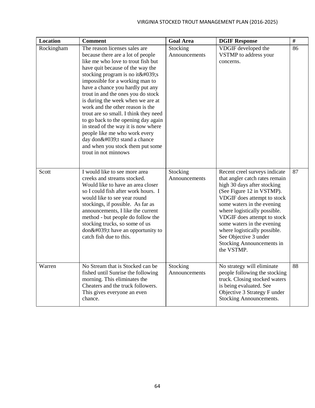| <b>Location</b> | <b>Comment</b>                                                                                                                                                                                                                                                                                                                                                                                                                                                                                                                                                                                                     | <b>Goal Area</b>          | <b>DGIF Response</b>                                                                                                                                                                                                                                                                                                                                                                      | $\#$ |
|-----------------|--------------------------------------------------------------------------------------------------------------------------------------------------------------------------------------------------------------------------------------------------------------------------------------------------------------------------------------------------------------------------------------------------------------------------------------------------------------------------------------------------------------------------------------------------------------------------------------------------------------------|---------------------------|-------------------------------------------------------------------------------------------------------------------------------------------------------------------------------------------------------------------------------------------------------------------------------------------------------------------------------------------------------------------------------------------|------|
| Rockingham      | The reason licenses sales are<br>because there are a lot of people<br>like me who love to trout fish but<br>have quit because of the way the<br>stocking program is no it 's<br>impossible for a working man to<br>have a chance you hardly put any<br>trout in and the ones you do stock<br>is during the week when we are at<br>work and the other reason is the<br>trout are so small. I think they need<br>to go back to the opening day again<br>in stead of the way it is now where<br>people like me who work every<br>day don't stand a chance<br>and when you stock them put some<br>trout in not minnows | Stocking<br>Announcements | VDGIF developed the<br>VSTMP to address your<br>concerns.                                                                                                                                                                                                                                                                                                                                 | 86   |
| Scott           | I would like to see more area<br>creeks and streams stocked.<br>Would like to have an area closer<br>so I could fish after work hours. I<br>would like to see year round<br>stockings, if possible. As far as<br>announcements, I like the current<br>method - but people do follow the<br>stocking trucks, so some of us<br>$don\&\#039$ ; thave an opportunity to<br>catch fish due to this.                                                                                                                                                                                                                     | Stocking<br>Announcements | Recent creel surveys indicate<br>that angler catch rates remain<br>high 30 days after stocking<br>(See Figure 12 in VSTMP).<br>VDGIF does attempt to stock<br>some waters in the evening<br>where logistically possible.<br>VDGIF does attempt to stock<br>some waters in the evening<br>where logistically possible.<br>See Objective 3 under<br>Stocking Announcements in<br>the VSTMP. | 87   |
| Warren          | No Stream that is Stocked can be<br>fished until Sunrise the following<br>morning. This eliminates the<br>Cheaters and the truck followers.<br>This gives everyone an even<br>chance.                                                                                                                                                                                                                                                                                                                                                                                                                              | Stocking<br>Announcements | No strategy will eliminate<br>people following the stocking<br>truck. Closing stocked waters<br>is being evaluated. See<br>Objective 3 Strategy F under<br>Stocking Announcements.                                                                                                                                                                                                        | 88   |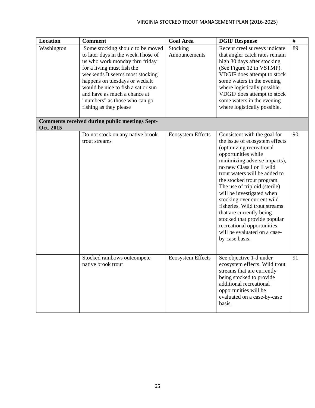| Location   | <b>Comment</b>                                                                                                                                                                                                                                                                                                                                  | <b>Goal Area</b>          | <b>DGIF Response</b>                                                                                                                                                                                                                                                                                                                                                                                                                                                                                                   | $\#$ |
|------------|-------------------------------------------------------------------------------------------------------------------------------------------------------------------------------------------------------------------------------------------------------------------------------------------------------------------------------------------------|---------------------------|------------------------------------------------------------------------------------------------------------------------------------------------------------------------------------------------------------------------------------------------------------------------------------------------------------------------------------------------------------------------------------------------------------------------------------------------------------------------------------------------------------------------|------|
| Washington | Some stocking should to be moved<br>to later days in the week. Those of<br>us who work monday thru friday<br>for a living must fish the<br>weekends. It seems most stocking<br>happens on tuesdays or weds. It<br>would be nice to fish a sat or sun<br>and have as much a chance at<br>"numbers" as those who can go<br>fishing as they please | Stocking<br>Announcements | Recent creel surveys indicate<br>that angler catch rates remain<br>high 30 days after stocking<br>(See Figure 12 in VSTMP).<br>VDGIF does attempt to stock<br>some waters in the evening<br>where logistically possible.<br>VDGIF does attempt to stock<br>some waters in the evening<br>where logistically possible.                                                                                                                                                                                                  | 89   |
| Oct. 2015  | <b>Comments received during public meetings Sept-</b>                                                                                                                                                                                                                                                                                           |                           |                                                                                                                                                                                                                                                                                                                                                                                                                                                                                                                        |      |
|            | Do not stock on any native brook<br>trout streams                                                                                                                                                                                                                                                                                               | <b>Ecosystem Effects</b>  | Consistent with the goal for<br>the issue of ecosystem effects<br>(optimizing recreational<br>opportunities while<br>minimizing adverse impacts),<br>no new Class I or II wild<br>trout waters will be added to<br>the stocked trout program.<br>The use of triploid (sterile)<br>will be investigated when<br>stocking over current wild<br>fisheries. Wild trout streams<br>that are currently being<br>stocked that provide popular<br>recreational opportunities<br>will be evaluated on a case-<br>by-case basis. | 90   |
|            | Stocked rainbows outcompete<br>native brook trout                                                                                                                                                                                                                                                                                               | <b>Ecosystem Effects</b>  | See objective 1-d under<br>ecosystem effects. Wild trout<br>streams that are currently<br>being stocked to provide<br>additional recreational<br>opportunities will be<br>evaluated on a case-by-case<br>basis.                                                                                                                                                                                                                                                                                                        | 91   |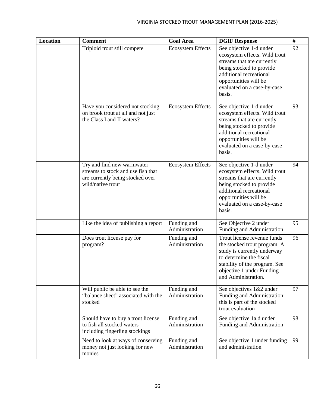| <b>Location</b> | <b>Comment</b>                                                                                                            | <b>Goal Area</b>              | <b>DGIF Response</b>                                                                                                                                                                                            | $\#$ |
|-----------------|---------------------------------------------------------------------------------------------------------------------------|-------------------------------|-----------------------------------------------------------------------------------------------------------------------------------------------------------------------------------------------------------------|------|
|                 | Triploid trout still compete                                                                                              | <b>Ecosystem Effects</b>      | See objective 1-d under<br>ecosystem effects. Wild trout<br>streams that are currently<br>being stocked to provide<br>additional recreational<br>opportunities will be<br>evaluated on a case-by-case<br>basis. | 92   |
|                 | Have you considered not stocking<br>on brook trout at all and not just<br>the Class I and II waters?                      | <b>Ecosystem Effects</b>      | See objective 1-d under<br>ecosystem effects. Wild trout<br>streams that are currently<br>being stocked to provide<br>additional recreational<br>opportunities will be<br>evaluated on a case-by-case<br>basis. | 93   |
|                 | Try and find new warmwater<br>streams to stock and use fish that<br>are currently being stocked over<br>wild/native trout | <b>Ecosystem Effects</b>      | See objective 1-d under<br>ecosystem effects. Wild trout<br>streams that are currently<br>being stocked to provide<br>additional recreational<br>opportunities will be<br>evaluated on a case-by-case<br>basis. | 94   |
|                 | Like the idea of publishing a report                                                                                      | Funding and<br>Administration | See Objective 2 under<br>Funding and Administration                                                                                                                                                             | 95   |
|                 | Does trout license pay for<br>program?                                                                                    | Funding and<br>Administration | Trout license revenue funds<br>the stocked trout program. A<br>study is currently underway<br>to determine the fiscal<br>stability of the program. See<br>objective 1 under Funding<br>and Administration.      | 96   |
|                 | Will public be able to see the<br>"balance sheet" associated with the<br>stocked                                          | Funding and<br>Administration | See objectives 1&2 under<br>Funding and Administration;<br>this is part of the stocked<br>trout evaluation                                                                                                      | 97   |
|                 | Should have to buy a trout license<br>to fish all stocked waters -<br>including fingerling stockings                      | Funding and<br>Administration | See objective 1a,d under<br>Funding and Administration                                                                                                                                                          | 98   |
|                 | Need to look at ways of conserving<br>money not just looking for new<br>monies                                            | Funding and<br>Administration | See objective 1 under funding<br>and administration                                                                                                                                                             | 99   |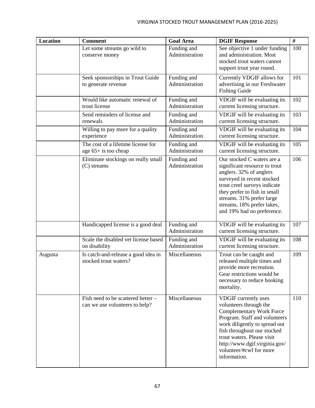| <b>Location</b> | <b>Comment</b>                                                       | <b>Goal Area</b>              | <b>DGIF Response</b>                                                                                                                                                                                                                                                                         | $\overline{t}$ |
|-----------------|----------------------------------------------------------------------|-------------------------------|----------------------------------------------------------------------------------------------------------------------------------------------------------------------------------------------------------------------------------------------------------------------------------------------|----------------|
|                 | Let some streams go wild to<br>conserve money                        | Funding and<br>Administration | See objective 1 under funding<br>and administration. Most<br>stocked trout waters cannot<br>support trout year round.                                                                                                                                                                        | 100            |
|                 | Seek sponsorships in Trout Guide<br>to generate revenue              | Funding and<br>Administration | Currently VDGIF allows for<br>advertising in our Freshwater<br><b>Fishing Guide</b>                                                                                                                                                                                                          | 101            |
|                 | Would like automatic renewal of<br>trout license                     | Funding and<br>Administration | VDGIF will be evaluating its<br>current licensing structure.                                                                                                                                                                                                                                 | 102            |
|                 | Send reminders of license and<br>renewals                            | Funding and<br>Administration | VDGIF will be evaluating its<br>current licensing structure.                                                                                                                                                                                                                                 | 103            |
|                 | Willing to pay more for a quality<br>experience                      | Funding and<br>Administration | VDGIF will be evaluating its<br>current licensing structure.                                                                                                                                                                                                                                 | 104            |
|                 | The cost of a lifetime license for<br>age $65+$ is too cheap         | Funding and<br>Administration | VDGIF will be evaluating its<br>current licensing structure.                                                                                                                                                                                                                                 | 105            |
|                 | Eliminate stockings on really small<br>(C) streams                   | Funding and<br>Administration | Our stocked C waters are a<br>significant resource to trout<br>anglers. 32% of anglers<br>surveyed in recent stocked<br>trout creel surveys indicate<br>they prefer to fish in small<br>streams. 31% prefer large<br>streams, 18% prefer lakes,<br>and 19% had no preference.                | 106            |
|                 | Handicapped license is a good deal                                   | Funding and<br>Administration | VDGIF will be evaluating its<br>current licensing structure.                                                                                                                                                                                                                                 | 107            |
|                 | Scale the disabled vet license based<br>on disability                | Funding and<br>Administration | VDGIF will be evaluating its<br>current licensing structure.                                                                                                                                                                                                                                 | 108            |
| Augusta         | Is catch-and-release a good idea in<br>stocked trout waters?         | Miscellaneous                 | Trout can be caught and<br>released multiple times and<br>provide more recreation.<br>Gear restrictions would be<br>necessary to reduce hooking<br>mortality.                                                                                                                                | 109            |
|                 | Fish need to be scattered better -<br>can we use volunteers to help? | Miscellaneous                 | VDGIF currently uses<br>volunteers through the<br><b>Complementary Work Force</b><br>Program. Staff and volunteers<br>work diligently to spread out<br>fish throughout our stocked<br>trout waters. Please visit<br>http://www.dgif.virginia.gov/<br>volunteer/#cwf for more<br>information. | 110            |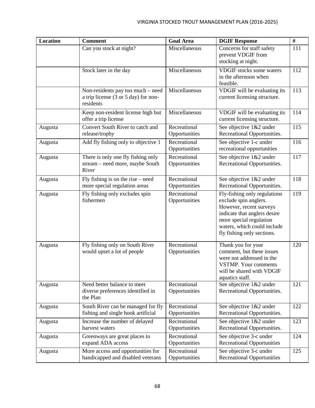| <b>Location</b> | <b>Comment</b>                                                                         | <b>Goal Area</b>              | <b>DGIF Response</b>                                                                                                                                                                                     | $\#$ |
|-----------------|----------------------------------------------------------------------------------------|-------------------------------|----------------------------------------------------------------------------------------------------------------------------------------------------------------------------------------------------------|------|
|                 | Can you stock at night?                                                                | Miscellaneous                 | Concerns for staff safety<br>prevent VDGIF from<br>stocking at night.                                                                                                                                    | 111  |
|                 | Stock later in the day                                                                 | Miscellaneous                 | <b>VDGIF</b> stocks some waters<br>in the afternoon when<br>feasible.                                                                                                                                    | 112  |
|                 | Non-residents pay too much – need<br>a trip license (3 or 5 day) for non-<br>residents | Miscellaneous                 | VDGIF will be evaluating its<br>current licensing structure.                                                                                                                                             | 113  |
|                 | Keep non-resident license high but<br>offer a trip license                             | Miscellaneous                 | VDGIF will be evaluating its<br>current licensing structure.                                                                                                                                             | 114  |
| Augusta         | Convert South River to catch and<br>release/trophy                                     | Recreational<br>Opportunities | See objective 1&2 under<br>Recreational Opportunities.                                                                                                                                                   | 115  |
| Augusta         | Add fly fishing only to objective 1                                                    | Recreational<br>Opportunities | See objective 1-c under<br>recreational opportunities                                                                                                                                                    | 116  |
| Augusta         | There is only one fly fishing only<br>stream – need more, maybe South<br>River         | Recreational<br>Opportunities | See objective 1&2 under<br>Recreational Opportunities.                                                                                                                                                   | 117  |
| Augusta         | Fly fishing is on the rise $-$ need<br>more special regulation areas                   | Recreational<br>Opportunities | See objective 1&2 under<br>Recreational Opportunities.                                                                                                                                                   | 118  |
| Augusta         | Fly fishing only excludes spin<br>fishermen                                            | Recreational<br>Opportunities | Fly-fishing only regulations<br>exclude spin anglers.<br>However, recent surveys<br>indicate that anglers desire<br>more special regulation<br>waters, which could include<br>fly fishing only sections. | 119  |
| Augusta         | Fly fishing only on South River<br>would upset a lot of people                         | Recreational<br>Opportunities | Thank you for your<br>comment, but these issues<br>were not addressed in the<br><b>VSTMP.</b> Your comments<br>will be shared with VDGIF<br>aquatics staff.                                              | 120  |
| Augusta         | Need better balance to meet<br>diverse preferences identified in<br>the Plan           | Recreational<br>Opportunities | See objective 1&2 under<br>Recreational Opportunities.                                                                                                                                                   | 121  |
| Augusta         | South River can be managed for fly<br>fishing and single hook artificial               | Recreational<br>Opportunities | See objective 1&2 under<br>Recreational Opportunities.                                                                                                                                                   | 122  |
| Augusta         | Increase the number of delayed<br>harvest waters                                       | Recreational<br>Opportunities | See objective 1&2 under<br>Recreational Opportunities.                                                                                                                                                   | 123  |
| Augusta         | Greenways are great places to<br>expand ADA access                                     | Recreational<br>Opportunities | See objective 3-c under<br><b>Recreational Opportunities</b>                                                                                                                                             | 124  |
| Augusta         | More access and opportunities for<br>handicapped and disabled veterans                 | Recreational<br>Opportunities | See objective 3-c under<br><b>Recreational Opportunities</b>                                                                                                                                             | 125  |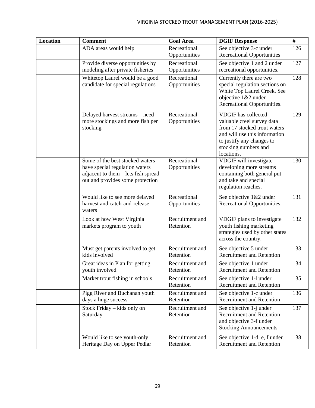## VIRGINIA STOCKED TROUT MANAGEMENT PLAN (2016-2025)

| <b>Location</b> | <b>Comment</b>                                                                                                                               | <b>Goal Area</b>              | <b>DGIF Response</b>                                                                                                                                                                         | $\#$ |
|-----------------|----------------------------------------------------------------------------------------------------------------------------------------------|-------------------------------|----------------------------------------------------------------------------------------------------------------------------------------------------------------------------------------------|------|
|                 | ADA areas would help                                                                                                                         | Recreational<br>Opportunities | See objective 3-c under<br><b>Recreational Opportunities</b>                                                                                                                                 | 126  |
|                 | Provide diverse opportunities by<br>modeling after private fisheries                                                                         | Recreational<br>Opportunities | See objective 1 and 2 under<br>recreational opportunities.                                                                                                                                   | 127  |
|                 | Whitetop Laurel would be a good<br>candidate for special regulations                                                                         | Recreational<br>Opportunities | Currently there are two<br>special regulation sections on<br>White Top Laurel Creek. See<br>objective 1&2 under<br>Recreational Opportunities.                                               | 128  |
|                 | Delayed harvest streams - need<br>more stockings and more fish per<br>stocking                                                               | Recreational<br>Opportunities | <b>VDGIF</b> has collected<br>valuable creel survey data<br>from 17 stocked trout waters<br>and will use this information<br>to justify any changes to<br>stocking numbers and<br>locations. | 129  |
|                 | Some of the best stocked waters<br>have special regulation waters<br>adjacent to them - lets fish spread<br>out and provides some protection | Recreational<br>Opportunities | VDGIF will investigate<br>developing more streams<br>containing both general put<br>and take and special<br>regulation reaches.                                                              | 130  |
|                 | Would like to see more delayed<br>harvest and catch-and-release<br>waters                                                                    | Recreational<br>Opportunities | See objective 1&2 under<br>Recreational Opportunities.                                                                                                                                       | 131  |
|                 | Look at how West Virginia<br>markets program to youth                                                                                        | Recruitment and<br>Retention  | VDGIF plans to investigate<br>youth fishing marketing<br>strategies used by other states<br>across the country.                                                                              | 132  |
|                 | Must get parents involved to get<br>kids involved                                                                                            | Recruitment and<br>Retention  | See objective 5 under<br><b>Recruitment and Retention</b>                                                                                                                                    | 133  |
|                 | Great ideas in Plan for getting<br>youth involved                                                                                            | Recruitment and<br>Retention  | See objective 1 under<br><b>Recruitment and Retention</b>                                                                                                                                    | 134  |
|                 | Market trout fishing in schools                                                                                                              | Recruitment and<br>Retention  | See objective 1-1 under<br><b>Recruitment and Retention</b>                                                                                                                                  | 135  |
|                 | Pigg River and Buchanan youth<br>days a huge success                                                                                         | Recruitment and<br>Retention  | See objective 1-c under<br><b>Recruitment and Retention</b>                                                                                                                                  | 136  |
|                 | Stock Friday - kids only on<br>Saturday                                                                                                      | Recruitment and<br>Retention  | See objective 1-j under<br><b>Recruitment and Retention</b><br>and objective 3-f under<br><b>Stocking Announcements</b>                                                                      | 137  |
|                 | Would like to see youth-only<br>Heritage Day on Upper Pedlar                                                                                 | Recruitment and<br>Retention  | See objective 1-d, e, f under<br><b>Recruitment and Retention</b>                                                                                                                            | 138  |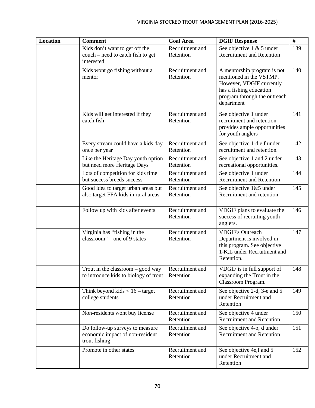| <b>Location</b> | <b>Comment</b>                                                                      | <b>Goal Area</b>             | <b>DGIF Response</b>                                                                                                                                        | #   |
|-----------------|-------------------------------------------------------------------------------------|------------------------------|-------------------------------------------------------------------------------------------------------------------------------------------------------------|-----|
|                 | Kids don't want to get off the<br>couch – need to catch fish to get<br>interested   | Recruitment and<br>Retention | See objective $1 \& 5$ under<br><b>Recruitment and Retention</b>                                                                                            | 139 |
|                 | Kids wont go fishing without a<br>mentor                                            | Recruitment and<br>Retention | A mentorship program is not<br>mentioned in the VSTMP.<br>However, VDGIF currently<br>has a fishing education<br>program through the outreach<br>department | 140 |
|                 | Kids will get interested if they<br>catch fish                                      | Recruitment and<br>Retention | See objective 1 under<br>recruitment and retention<br>provides ample opportunities<br>for youth anglers                                                     | 141 |
|                 | Every stream could have a kids day<br>once per year                                 | Recruitment and<br>Retention | See objective 1-d,e,f under<br>recruitment and retention.                                                                                                   | 142 |
|                 | Like the Heritage Day youth option<br>but need more Heritage Days                   | Recruitment and<br>Retention | See objective 1 and 2 under<br>recreational opportunities.                                                                                                  | 143 |
|                 | Lots of competition for kids time<br>but success breeds success                     | Recruitment and<br>Retention | See objective 1 under<br><b>Recruitment and Retention</b>                                                                                                   | 144 |
|                 | Good idea to target urban areas but<br>also target FFA kids in rural areas          | Recruitment and<br>Retention | See objective 1&5 under<br>Recruitment and retention                                                                                                        | 145 |
|                 | Follow up with kids after events                                                    | Recruitment and<br>Retention | VDGIF plans to evaluate the<br>success of recruiting youth<br>anglers.                                                                                      | 146 |
|                 | Virginia has "fishing in the<br>classroom" – one of 9 states                        | Recruitment and<br>Retention | <b>VDGIF's Outreach</b><br>Department is involved in<br>this program. See objective<br>1-K,L under Recruitment and<br>Retention.                            | 147 |
|                 | Trout in the classroom – good way<br>to introduce kids to biology of trout          | Recruitment and<br>Retention | VDGIF is in full support of<br>expanding the Trout in the<br>Classroom Program.                                                                             | 148 |
|                 | Think beyond kids $< 16$ – target<br>college students                               | Recruitment and<br>Retention | See objective 2-d, 3-e and 5<br>under Recruitment and<br>Retention                                                                                          | 149 |
|                 | Non-residents wont buy license                                                      | Recruitment and<br>Retention | See objective 4 under<br>Recruitment and Retention                                                                                                          | 150 |
|                 | Do follow-up surveys to measure<br>economic impact of non-resident<br>trout fishing | Recruitment and<br>Retention | See objective 4-b, d under<br><b>Recruitment and Retention</b>                                                                                              | 151 |
|                 | Promote in other states                                                             | Recruitment and<br>Retention | See objective 4e,f and 5<br>under Recruitment and<br>Retention                                                                                              | 152 |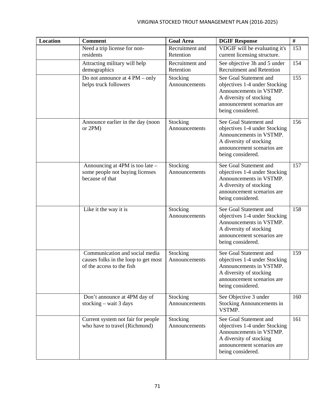| <b>Location</b> | <b>Comment</b>                                                                                      | <b>Goal Area</b>             | <b>DGIF Response</b>                                                                                                                                             | $\#$ |
|-----------------|-----------------------------------------------------------------------------------------------------|------------------------------|------------------------------------------------------------------------------------------------------------------------------------------------------------------|------|
|                 | Need a trip license for non-<br>residents                                                           | Recruitment and<br>Retention | VDGIF will be evaluating it's<br>current licensing structure.                                                                                                    | 153  |
|                 | Attracting military will help<br>demographics                                                       | Recruitment and<br>Retention | See objective 3h and 5 under<br><b>Recruitment and Retention</b>                                                                                                 | 154  |
|                 | Do not announce at $4 PM - only$<br>helps truck followers                                           | Stocking<br>Announcements    | See Goal Statement and<br>objectives 1-4 under Stocking<br>Announcements in VSTMP.<br>A diversity of stocking<br>announcement scenarios are<br>being considered. | 155  |
|                 | Announce earlier in the day (noon<br>or $2PM$ )                                                     | Stocking<br>Announcements    | See Goal Statement and<br>objectives 1-4 under Stocking<br>Announcements in VSTMP.<br>A diversity of stocking<br>announcement scenarios are<br>being considered. | 156  |
|                 | Announcing at 4PM is too late -<br>some people not buying licenses<br>because of that               | Stocking<br>Announcements    | See Goal Statement and<br>objectives 1-4 under Stocking<br>Announcements in VSTMP.<br>A diversity of stocking<br>announcement scenarios are<br>being considered. | 157  |
|                 | Like it the way it is                                                                               | Stocking<br>Announcements    | See Goal Statement and<br>objectives 1-4 under Stocking<br>Announcements in VSTMP.<br>A diversity of stocking<br>announcement scenarios are<br>being considered. | 158  |
|                 | Communication and social media<br>causes folks in the loop to get most<br>of the access to the fish | Stocking<br>Announcements    | See Goal Statement and<br>objectives 1-4 under Stocking<br>Announcements in VSTMP.<br>A diversity of stocking<br>announcement scenarios are<br>being considered. | 159  |
|                 | Don't announce at 4PM day of<br>stocking – wait 3 days                                              | Stocking<br>Announcements    | See Objective 3 under<br><b>Stocking Announcements in</b><br>VSTMP.                                                                                              | 160  |
|                 | Current system not fair for people<br>who have to travel (Richmond)                                 | Stocking<br>Announcements    | See Goal Statement and<br>objectives 1-4 under Stocking<br>Announcements in VSTMP.<br>A diversity of stocking<br>announcement scenarios are<br>being considered. | 161  |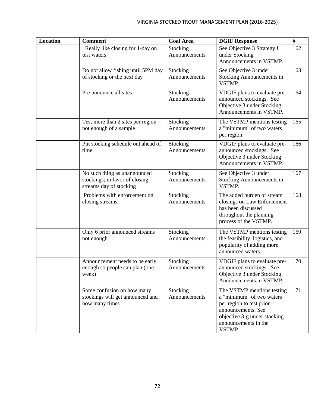| <b>Location</b> | <b>Comment</b>                                                                            | <b>Goal Area</b>          | <b>DGIF Response</b>                                                                                                                                                              | #   |
|-----------------|-------------------------------------------------------------------------------------------|---------------------------|-----------------------------------------------------------------------------------------------------------------------------------------------------------------------------------|-----|
|                 | Really like closing for 1-day on<br>test waters                                           | Stocking<br>Announcements | See Objective 3 Strategy f<br>under Stocking<br>Announcements in VSTMP.                                                                                                           | 162 |
|                 | Do not allow fishing until 5PM day<br>of stocking or the next day                         | Stocking<br>Announcements | See Objective 3 under<br><b>Stocking Announcements in</b><br>VSTMP.                                                                                                               | 163 |
|                 | Pre-announce all sites                                                                    | Stocking<br>Announcements | VDGIF plans to evaluate pre-<br>announced stockings. See<br>Objective 3 under Stocking<br>Announcements in VSTMP.                                                                 | 164 |
|                 | Test more than 2 sites per region -<br>not enough of a sample                             | Stocking<br>Announcements | The VSTMP mentions testing<br>a "minimum" of two waters<br>per region.                                                                                                            | 165 |
|                 | Put stocking schedule out ahead of<br>time                                                | Stocking<br>Announcements | VDGIF plans to evaluate pre-<br>announced stockings. See<br>Objective 3 under Stocking<br>Announcements in VSTMP.                                                                 | 166 |
|                 | No such thing as unannounced<br>stockings; in favor of closing<br>streams day of stocking | Stocking<br>Announcements | See Objective 3 under<br><b>Stocking Announcements in</b><br>VSTMP.                                                                                                               | 167 |
|                 | Problems with enforcement on<br>closing streams                                           | Stocking<br>Announcements | The added burden of stream<br>closings on Law Enforcement<br>has been discussed<br>throughout the planning<br>process of the VSTMP.                                               | 168 |
|                 | Only 6 prior announced streams<br>not enough                                              | Stocking<br>Announcements | The VSTMP mentions testing<br>the feasibility, logistics, and<br>popularity of adding more<br>announced waters.                                                                   | 169 |
|                 | Announcement needs to be early<br>enough so people can plan (one<br>week)                 | Stocking<br>Announcements | VDGIF plans to evaluate pre-<br>announced stockings. See<br>Objective 3 under Stocking<br>Announcements in VSTMP.                                                                 | 170 |
|                 | Some confusion on how many<br>stockings will get announced and<br>how many times          | Stocking<br>Announcements | The VSTMP mentions testing<br>a "minimum" of two waters<br>per region to test prior<br>announcements. See<br>objective 3-g under stocking<br>announcements in the<br><b>VSTMP</b> | 171 |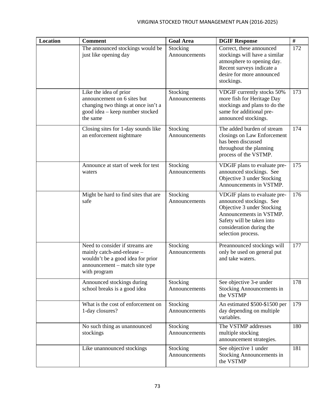| <b>Location</b> | <b>Comment</b>                                                                                                                                       | <b>Goal Area</b>          | <b>DGIF Response</b>                                                                                                                                                                             | #   |
|-----------------|------------------------------------------------------------------------------------------------------------------------------------------------------|---------------------------|--------------------------------------------------------------------------------------------------------------------------------------------------------------------------------------------------|-----|
|                 | The announced stockings would be<br>just like opening day                                                                                            | Stocking<br>Announcements | Correct, these announced<br>stockings will have a similar<br>atmosphere to opening day.<br>Recent surveys indicate a<br>desire for more announced<br>stockings.                                  | 172 |
|                 | Like the idea of prior<br>announcement on 6 sites but<br>changing two things at once isn't a<br>good idea – keep number stocked<br>the same          | Stocking<br>Announcements | VDGIF currently stocks 50%<br>more fish for Heritage Day<br>stockings and plans to do the<br>same for additional pre-<br>announced stockings.                                                    | 173 |
|                 | Closing sites for 1-day sounds like<br>an enforcement nightmare                                                                                      | Stocking<br>Announcements | The added burden of stream<br>closings on Law Enforcement<br>has been discussed<br>throughout the planning<br>process of the VSTMP.                                                              | 174 |
|                 | Announce at start of week for test<br>waters                                                                                                         | Stocking<br>Announcements | VDGIF plans to evaluate pre-<br>announced stockings. See<br>Objective 3 under Stocking<br>Announcements in VSTMP.                                                                                | 175 |
|                 | Might be hard to find sites that are<br>safe                                                                                                         | Stocking<br>Announcements | VDGIF plans to evaluate pre-<br>announced stockings. See<br>Objective 3 under Stocking<br>Announcements in VSTMP.<br>Safety will be taken into<br>consideration during the<br>selection process. | 176 |
|                 | Need to consider if streams are<br>mainly catch-and-release -<br>wouldn't be a good idea for prior<br>announcement - match site type<br>with program | Stocking<br>Announcements | Preannounced stockings will<br>only be used on general put<br>and take waters.                                                                                                                   | 177 |
|                 | Announced stockings during<br>school breaks is a good idea                                                                                           | Stocking<br>Announcements | See objective 3-e under<br><b>Stocking Announcements in</b><br>the VSTMP                                                                                                                         | 178 |
|                 | What is the cost of enforcement on<br>1-day closures?                                                                                                | Stocking<br>Announcements | An estimated \$500-\$1500 per<br>day depending on multiple<br>variables.                                                                                                                         | 179 |
|                 | No such thing as unannounced<br>stockings                                                                                                            | Stocking<br>Announcements | The VSTMP addresses<br>multiple stocking<br>announcement strategies.                                                                                                                             | 180 |
|                 | Like unannounced stockings                                                                                                                           | Stocking<br>Announcements | See objective 1 under<br><b>Stocking Announcements in</b><br>the VSTMP                                                                                                                           | 181 |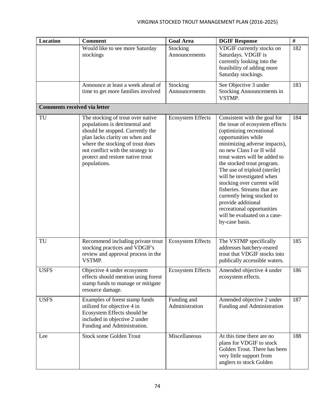| <b>Location</b>                     | <b>Comment</b>                                                                                                                                                                                                                                                         | <b>Goal Area</b>              | <b>DGIF Response</b>                                                                                                                                                                                                                                                                                                                                                                                                                                                                                         | $\#$ |
|-------------------------------------|------------------------------------------------------------------------------------------------------------------------------------------------------------------------------------------------------------------------------------------------------------------------|-------------------------------|--------------------------------------------------------------------------------------------------------------------------------------------------------------------------------------------------------------------------------------------------------------------------------------------------------------------------------------------------------------------------------------------------------------------------------------------------------------------------------------------------------------|------|
|                                     | Would like to see more Saturday<br>stockings                                                                                                                                                                                                                           | Stocking<br>Announcements     | VDGIF currently stocks on<br>Saturdays. VDGIF is<br>currently looking into the<br>feasibility of adding more<br>Saturday stockings.                                                                                                                                                                                                                                                                                                                                                                          | 182  |
|                                     | Announce at least a week ahead of<br>time to get more families involved                                                                                                                                                                                                | Stocking<br>Announcements     | See Objective 3 under<br>Stocking Announcements in<br>VSTMP.                                                                                                                                                                                                                                                                                                                                                                                                                                                 | 183  |
| <b>Comments received via letter</b> |                                                                                                                                                                                                                                                                        |                               |                                                                                                                                                                                                                                                                                                                                                                                                                                                                                                              |      |
| TU                                  | The stocking of trout over native<br>populations is detrimental and<br>should be stopped. Currently the<br>plan lacks clarity on when and<br>where the stocking of trout does<br>not conflict with the strategy to<br>protect and restore native trout<br>populations. | <b>Ecosystem Effects</b>      | Consistent with the goal for<br>the issue of ecosystem effects<br>(optimizing recreational<br>opportunities while<br>minimizing adverse impacts),<br>no new Class I or II wild<br>trout waters will be added to<br>the stocked trout program.<br>The use of triploid (sterile)<br>will be investigated when<br>stocking over current wild<br>fisheries. Streams that are<br>currently being stocked to<br>provide additional<br>recreational opportunities<br>will be evaluated on a case-<br>by-case basis. | 184  |
| TU                                  | Recommend including private trout<br>stocking practices and VDGIF's<br>review and approval process in the<br>VSTMP.                                                                                                                                                    | <b>Ecosystem Effects</b>      | The VSTMP specifically<br>addresses hatchery-reared<br>trout that VDGIF stocks into<br>publically accessible waters.                                                                                                                                                                                                                                                                                                                                                                                         | 185  |
| <b>USFS</b>                         | Objective 4 under ecosystem<br>effects should mention using forest<br>stamp funds to manage or mitigate<br>resource damage.                                                                                                                                            | <b>Ecosystem Effects</b>      | Amended objective 4 under<br>ecosystem effects.                                                                                                                                                                                                                                                                                                                                                                                                                                                              | 186  |
| <b>USFS</b>                         | Examples of forest stamp funds<br>utilized for objective 4 in<br>Ecosystem Effects should be<br>included in objective 2 under<br>Funding and Administration.                                                                                                           | Funding and<br>Administration | Amended objective 2 under<br>Funding and Administration                                                                                                                                                                                                                                                                                                                                                                                                                                                      | 187  |
| Lee                                 | <b>Stock some Golden Trout</b>                                                                                                                                                                                                                                         | Miscellaneous                 | At this time there are no<br>plans for VDGIF to stock<br>Golden Trout. There has been<br>very little support from<br>anglers to stock Golden                                                                                                                                                                                                                                                                                                                                                                 | 188  |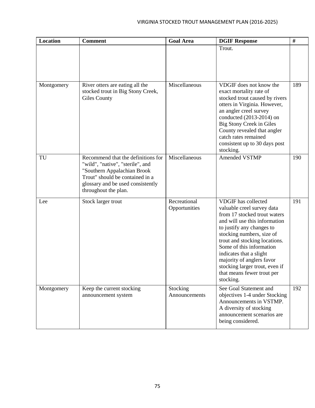| <b>Location</b> | <b>Comment</b>                                                                                                                                                                                        | <b>Goal Area</b>              | <b>DGIF Response</b>                                                                                                                                                                                                                                                                                                                                                                  | $\#$ |
|-----------------|-------------------------------------------------------------------------------------------------------------------------------------------------------------------------------------------------------|-------------------------------|---------------------------------------------------------------------------------------------------------------------------------------------------------------------------------------------------------------------------------------------------------------------------------------------------------------------------------------------------------------------------------------|------|
|                 |                                                                                                                                                                                                       |                               | Trout.                                                                                                                                                                                                                                                                                                                                                                                |      |
| Montgomery      | River otters are eating all the<br>stocked trout in Big Stony Creek,<br><b>Giles County</b>                                                                                                           | Miscellaneous                 | VDGIF does not know the<br>exact mortality rate of<br>stocked trout caused by rivers<br>otters in Virginia. However,<br>an angler creel survey<br>conducted (2013-2014) on<br>Big Stony Creek in Giles<br>County revealed that angler<br>catch rates remained<br>consistent up to 30 days post<br>stocking.                                                                           | 189  |
| TU              | Recommend that the definitions for<br>"wild", "native", "sterile", and<br>"Southern Appalachian Brook<br>Trout" should be contained in a<br>glossary and be used consistently<br>throughout the plan. | Miscellaneous                 | Amended VSTMP                                                                                                                                                                                                                                                                                                                                                                         | 190  |
| Lee             | Stock larger trout                                                                                                                                                                                    | Recreational<br>Opportunities | <b>VDGIF</b> has collected<br>valuable creel survey data<br>from 17 stocked trout waters<br>and will use this information<br>to justify any changes to<br>stocking numbers, size of<br>trout and stocking locations.<br>Some of this information<br>indicates that a slight<br>majority of anglers favor<br>stocking larger trout, even if<br>that means fewer trout per<br>stocking. | 191  |
| Montgomery      | Keep the current stocking<br>announcement system                                                                                                                                                      | Stocking<br>Announcements     | See Goal Statement and<br>objectives 1-4 under Stocking<br>Announcements in VSTMP.<br>A diversity of stocking<br>announcement scenarios are<br>being considered.                                                                                                                                                                                                                      | 192  |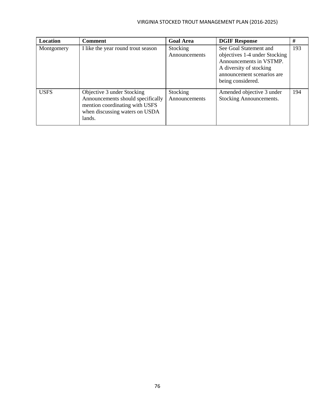## VIRGINIA STOCKED TROUT MANAGEMENT PLAN (2016-2025)

| Location    | <b>Comment</b>                                                                                                                                | <b>Goal Area</b>          | <b>DGIF Response</b>                                                                                                                                             | #   |
|-------------|-----------------------------------------------------------------------------------------------------------------------------------------------|---------------------------|------------------------------------------------------------------------------------------------------------------------------------------------------------------|-----|
| Montgomery  | I like the year round trout season                                                                                                            | Stocking<br>Announcements | See Goal Statement and<br>objectives 1-4 under Stocking<br>Announcements in VSTMP.<br>A diversity of stocking<br>announcement scenarios are<br>being considered. | 193 |
| <b>USFS</b> | Objective 3 under Stocking<br>Announcements should specifically<br>mention coordinating with USFS<br>when discussing waters on USDA<br>lands. | Stocking<br>Announcements | Amended objective 3 under<br>Stocking Announcements.                                                                                                             | 194 |